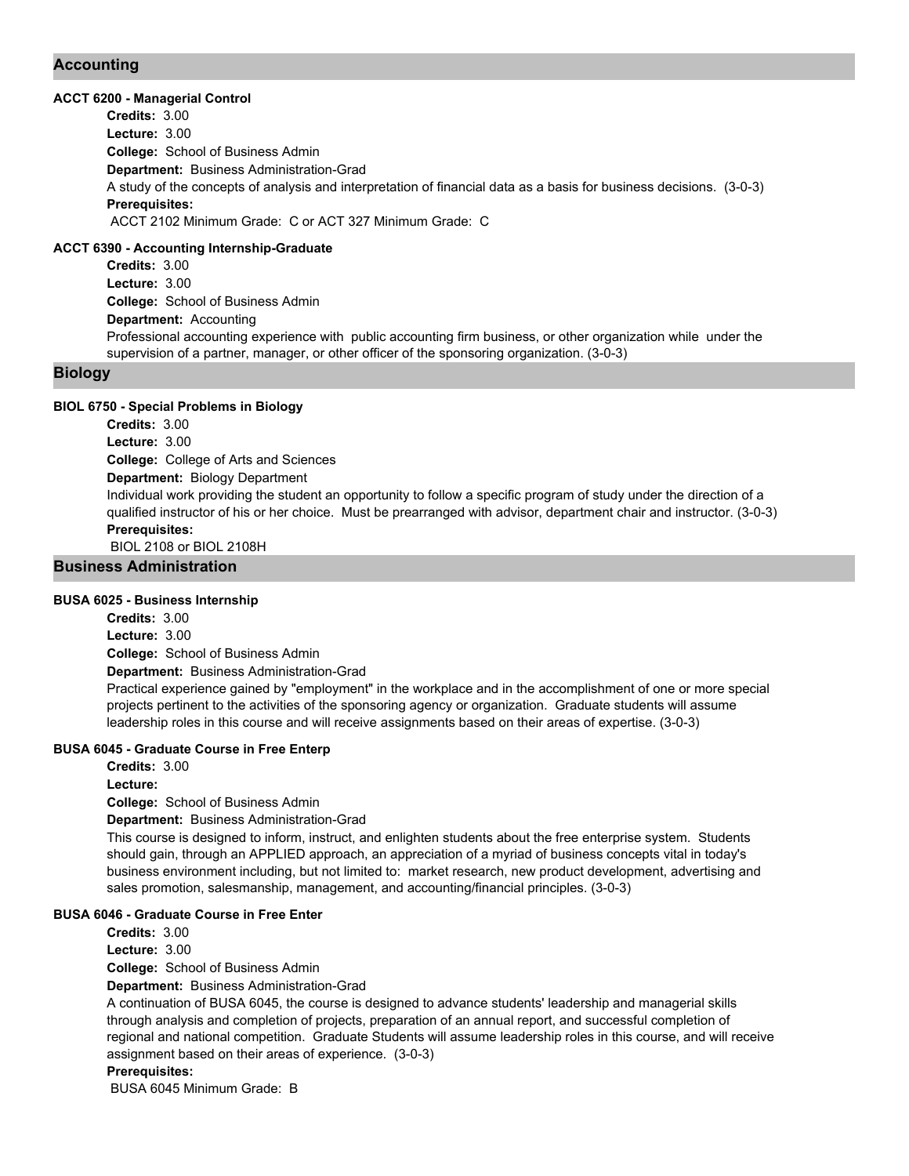## **Accounting**

#### **ACCT 6200 - Managerial Control**

**College:** School of Business Admin **Department:** Business Administration-Grad **Credits:** 3.00 **Lecture:** 3.00 A study of the concepts of analysis and interpretation of financial data as a basis for business decisions. (3-0-3) **Prerequisites:**  ACCT 2102 Minimum Grade: C or ACT 327 Minimum Grade: C

#### **ACCT 6390 - Accounting Internship-Graduate**

**College:** School of Business Admin **Department:** Accounting **Credits:** 3.00 **Lecture:** 3.00 Professional accounting experience with public accounting firm business, or other organization while under the supervision of a partner, manager, or other officer of the sponsoring organization. (3-0-3)

## **Biology**

#### **BIOL 6750 - Special Problems in Biology**

**College:** College of Arts and Sciences **Department:** Biology Department **Credits:** 3.00 **Lecture:** 3.00 Individual work providing the student an opportunity to follow a specific program of study under the direction of a qualified instructor of his or her choice. Must be prearranged with advisor, department chair and instructor. (3-0-3) **Prerequisites:**  BIOL 2108 or BIOL 2108H

## **Business Administration**

#### **BUSA 6025 - Business Internship**

**College:** School of Business Admin **Department:** Business Administration-Grad **Credits:** 3.00 **Lecture:** 3.00 Practical experience gained by "employment" in the workplace and in the accomplishment of one or more special projects pertinent to the activities of the sponsoring agency or organization. Graduate students will assume

#### **BUSA 6045 - Graduate Course in Free Enterp**

**Credits:** 3.00 **Lecture:**

**College:** School of Business Admin

**Department:** Business Administration-Grad

This course is designed to inform, instruct, and enlighten students about the free enterprise system. Students should gain, through an APPLIED approach, an appreciation of a myriad of business concepts vital in today's business environment including, but not limited to: market research, new product development, advertising and sales promotion, salesmanship, management, and accounting/financial principles. (3-0-3)

leadership roles in this course and will receive assignments based on their areas of expertise. (3-0-3)

#### **BUSA 6046 - Graduate Course in Free Enter**

**Credits:** 3.00 **Lecture:** 3.00

**College:** School of Business Admin

**Department:** Business Administration-Grad

A continuation of BUSA 6045, the course is designed to advance students' leadership and managerial skills through analysis and completion of projects, preparation of an annual report, and successful completion of regional and national competition. Graduate Students will assume leadership roles in this course, and will receive assignment based on their areas of experience. (3-0-3)

#### **Prerequisites:**

BUSA 6045 Minimum Grade: B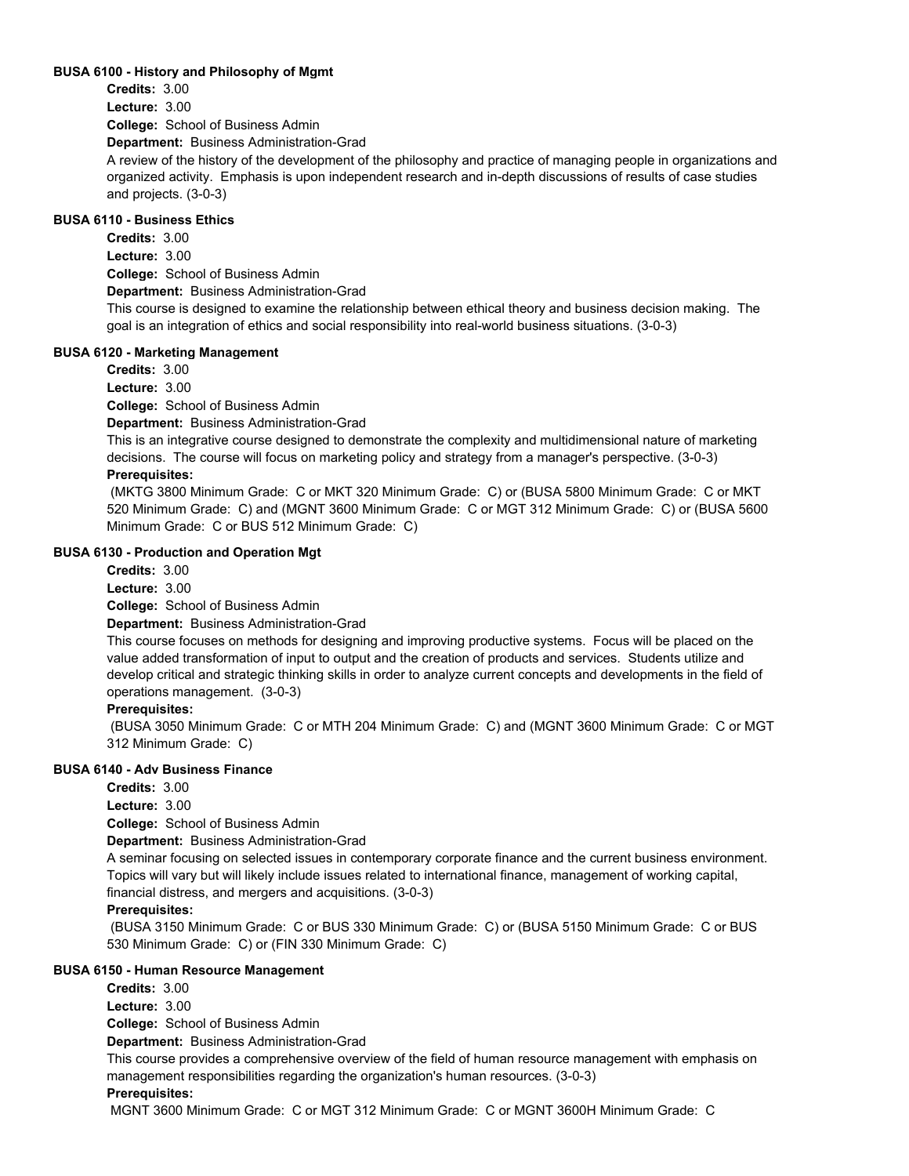#### **BUSA 6100 - History and Philosophy of Mgmt**

**Credits:** 3.00

**Lecture:** 3.00

**College:** School of Business Admin

**Department:** Business Administration-Grad

A review of the history of the development of the philosophy and practice of managing people in organizations and organized activity. Emphasis is upon independent research and in-depth discussions of results of case studies and projects. (3-0-3)

## **BUSA 6110 - Business Ethics**

**Credits:** 3.00

**Lecture:** 3.00

**College:** School of Business Admin

**Department:** Business Administration-Grad

This course is designed to examine the relationship between ethical theory and business decision making. The goal is an integration of ethics and social responsibility into real-world business situations. (3-0-3)

#### **BUSA 6120 - Marketing Management**

**Credits:** 3.00

**Lecture:** 3.00

**College:** School of Business Admin

**Department:** Business Administration-Grad

This is an integrative course designed to demonstrate the complexity and multidimensional nature of marketing decisions. The course will focus on marketing policy and strategy from a manager's perspective. (3-0-3)

## **Prerequisites:**

 (MKTG 3800 Minimum Grade: C or MKT 320 Minimum Grade: C) or (BUSA 5800 Minimum Grade: C or MKT 520 Minimum Grade: C) and (MGNT 3600 Minimum Grade: C or MGT 312 Minimum Grade: C) or (BUSA 5600 Minimum Grade: C or BUS 512 Minimum Grade: C)

#### **BUSA 6130 - Production and Operation Mgt**

**Credits:** 3.00 **Lecture:** 3.00

**College:** School of Business Admin

**Department:** Business Administration-Grad

This course focuses on methods for designing and improving productive systems. Focus will be placed on the value added transformation of input to output and the creation of products and services. Students utilize and develop critical and strategic thinking skills in order to analyze current concepts and developments in the field of operations management. (3-0-3)

#### **Prerequisites:**

 (BUSA 3050 Minimum Grade: C or MTH 204 Minimum Grade: C) and (MGNT 3600 Minimum Grade: C or MGT 312 Minimum Grade: C)

#### **BUSA 6140 - Adv Business Finance**

**Credits:** 3.00

**Lecture:** 3.00

**College:** School of Business Admin

**Department:** Business Administration-Grad

A seminar focusing on selected issues in contemporary corporate finance and the current business environment. Topics will vary but will likely include issues related to international finance, management of working capital, financial distress, and mergers and acquisitions. (3-0-3)

#### **Prerequisites:**

 (BUSA 3150 Minimum Grade: C or BUS 330 Minimum Grade: C) or (BUSA 5150 Minimum Grade: C or BUS 530 Minimum Grade: C) or (FIN 330 Minimum Grade: C)

#### **BUSA 6150 - Human Resource Management**

**Credits:** 3.00

**Lecture:** 3.00

**College:** School of Business Admin

**Department:** Business Administration-Grad

This course provides a comprehensive overview of the field of human resource management with emphasis on management responsibilities regarding the organization's human resources. (3-0-3)

#### **Prerequisites:**

MGNT 3600 Minimum Grade: C or MGT 312 Minimum Grade: C or MGNT 3600H Minimum Grade: C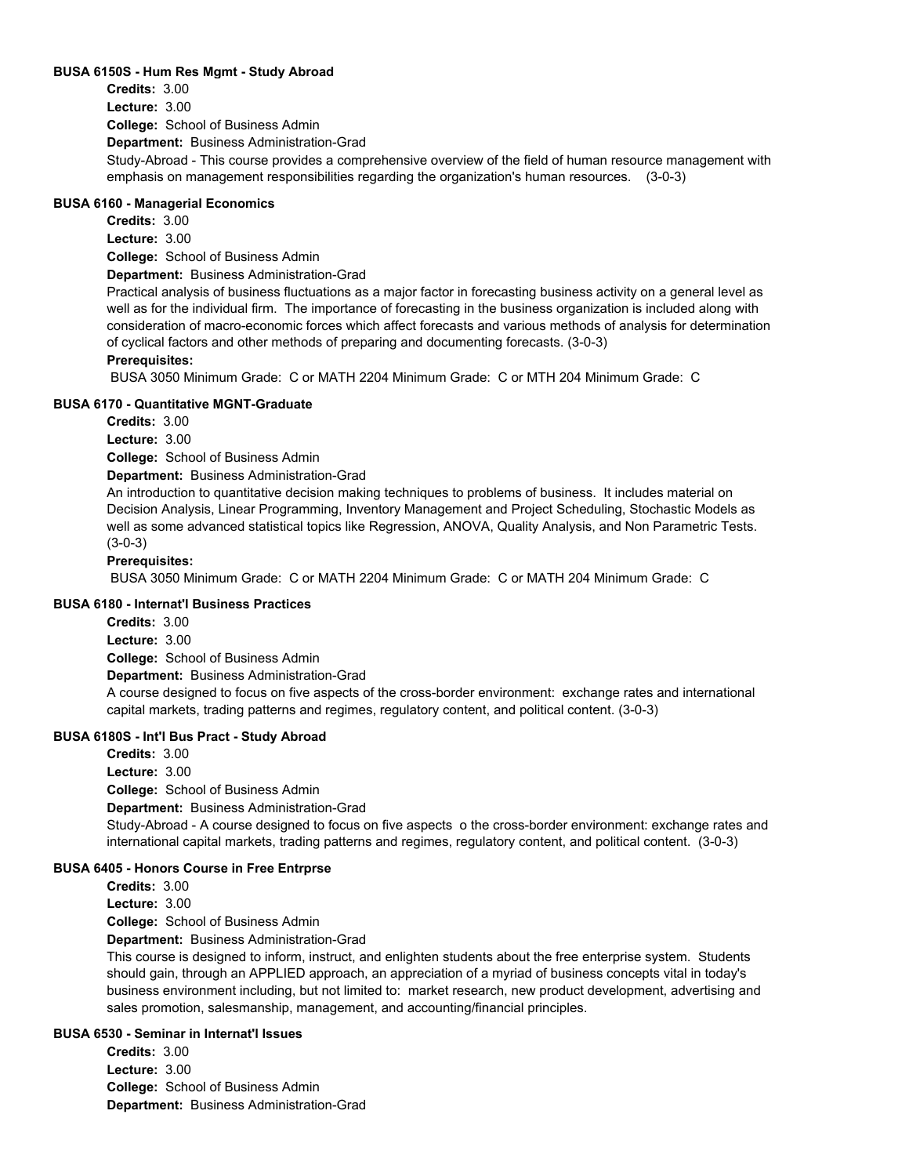#### **BUSA 6150S - Hum Res Mgmt - Study Abroad**

**College:** School of Business Admin **Department:** Business Administration-Grad **Credits:** 3.00 **Lecture:** 3.00 Study-Abroad - This course provides a comprehensive overview of the field of human resource management with emphasis on management responsibilities regarding the organization's human resources. (3-0-3)

#### **BUSA 6160 - Managerial Economics**

**Credits:** 3.00

**Lecture:** 3.00

**College:** School of Business Admin

**Department:** Business Administration-Grad

Practical analysis of business fluctuations as a major factor in forecasting business activity on a general level as well as for the individual firm. The importance of forecasting in the business organization is included along with consideration of macro-economic forces which affect forecasts and various methods of analysis for determination of cyclical factors and other methods of preparing and documenting forecasts. (3-0-3)

#### **Prerequisites:**

BUSA 3050 Minimum Grade: C or MATH 2204 Minimum Grade: C or MTH 204 Minimum Grade: C

#### **BUSA 6170 - Quantitative MGNT-Graduate**

**Credits:** 3.00

**Lecture:** 3.00

**College:** School of Business Admin

**Department:** Business Administration-Grad

An introduction to quantitative decision making techniques to problems of business. It includes material on Decision Analysis, Linear Programming, Inventory Management and Project Scheduling, Stochastic Models as well as some advanced statistical topics like Regression, ANOVA, Quality Analysis, and Non Parametric Tests. (3-0-3)

#### **Prerequisites:**

BUSA 3050 Minimum Grade: C or MATH 2204 Minimum Grade: C or MATH 204 Minimum Grade: C

### **BUSA 6180 - Internat'l Business Practices**

**College:** School of Business Admin **Department:** Business Administration-Grad **Credits:** 3.00 **Lecture:** 3.00 A course designed to focus on five aspects of the cross-border environment: exchange rates and international capital markets, trading patterns and regimes, regulatory content, and political content. (3-0-3)

#### **BUSA 6180S - Int'l Bus Pract - Study Abroad**

**College:** School of Business Admin **Department:** Business Administration-Grad **Credits:** 3.00 **Lecture:** 3.00 Study-Abroad - A course designed to focus on five aspects o the cross-border environment: exchange rates and international capital markets, trading patterns and regimes, regulatory content, and political content. (3-0-3) **BUSA 6405 - Honors Course in Free Entrprse**

**Credits:** 3.00

**Lecture:** 3.00

**College:** School of Business Admin

**Department:** Business Administration-Grad

This course is designed to inform, instruct, and enlighten students about the free enterprise system. Students should gain, through an APPLIED approach, an appreciation of a myriad of business concepts vital in today's business environment including, but not limited to: market research, new product development, advertising and sales promotion, salesmanship, management, and accounting/financial principles.

#### **BUSA 6530 - Seminar in Internat'l Issues**

**College:** School of Business Admin **Department:** Business Administration-Grad **Credits:** 3.00 **Lecture:** 3.00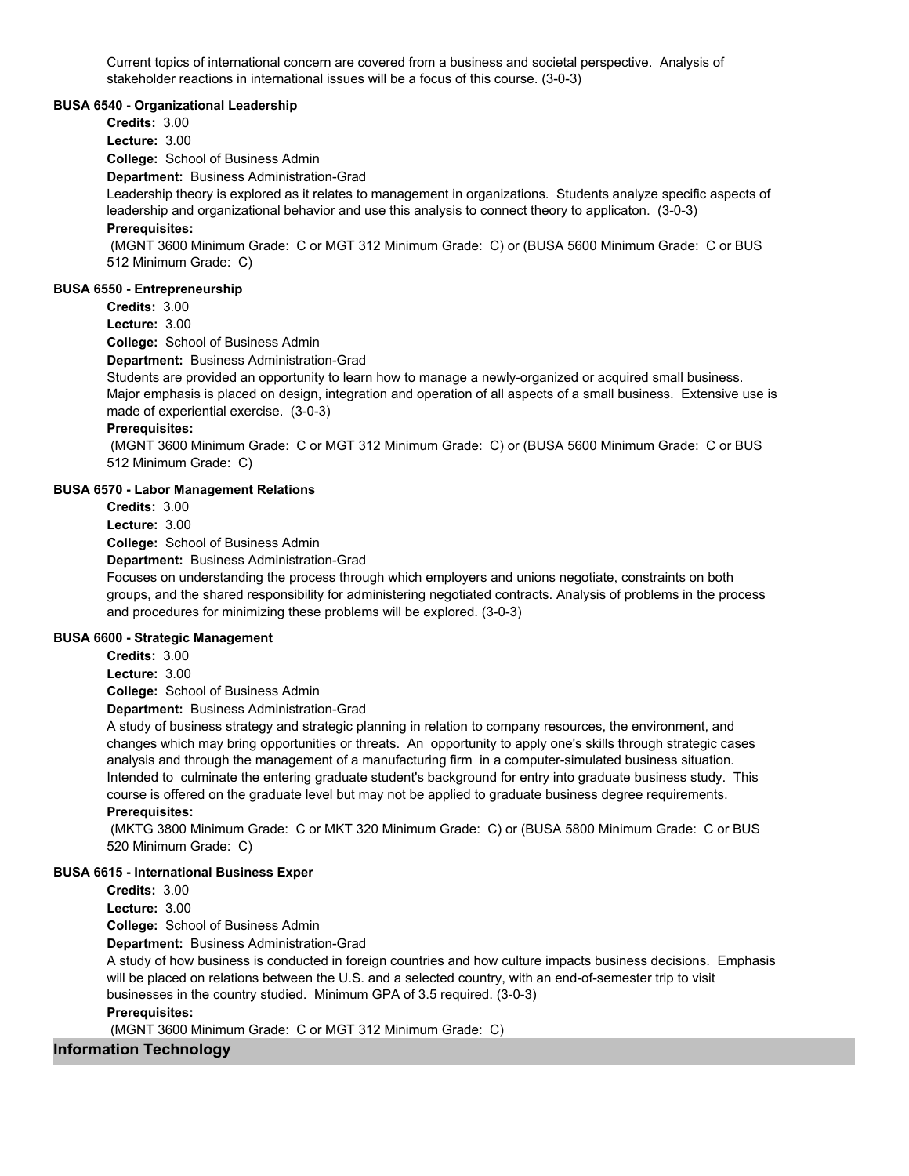Current topics of international concern are covered from a business and societal perspective. Analysis of stakeholder reactions in international issues will be a focus of this course. (3-0-3)

#### **BUSA 6540 - Organizational Leadership**

**Credits:** 3.00

**Lecture:** 3.00

**College:** School of Business Admin

**Department:** Business Administration-Grad

Leadership theory is explored as it relates to management in organizations. Students analyze specific aspects of leadership and organizational behavior and use this analysis to connect theory to applicaton. (3-0-3)

## **Prerequisites:**

 (MGNT 3600 Minimum Grade: C or MGT 312 Minimum Grade: C) or (BUSA 5600 Minimum Grade: C or BUS 512 Minimum Grade: C)

#### **BUSA 6550 - Entrepreneurship**

**Credits:** 3.00

**Lecture:** 3.00

**College:** School of Business Admin

**Department:** Business Administration-Grad

Students are provided an opportunity to learn how to manage a newly-organized or acquired small business. Major emphasis is placed on design, integration and operation of all aspects of a small business. Extensive use is made of experiential exercise. (3-0-3)

#### **Prerequisites:**

 (MGNT 3600 Minimum Grade: C or MGT 312 Minimum Grade: C) or (BUSA 5600 Minimum Grade: C or BUS 512 Minimum Grade: C)

#### **BUSA 6570 - Labor Management Relations**

**Credits:** 3.00

**Lecture:** 3.00

**College:** School of Business Admin

**Department:** Business Administration-Grad

Focuses on understanding the process through which employers and unions negotiate, constraints on both groups, and the shared responsibility for administering negotiated contracts. Analysis of problems in the process and procedures for minimizing these problems will be explored. (3-0-3)

#### **BUSA 6600 - Strategic Management**

**Credits:** 3.00

**Lecture:** 3.00

**College:** School of Business Admin

**Department:** Business Administration-Grad

A study of business strategy and strategic planning in relation to company resources, the environment, and changes which may bring opportunities or threats. An opportunity to apply one's skills through strategic cases analysis and through the management of a manufacturing firm in a computer-simulated business situation. Intended to culminate the entering graduate student's background for entry into graduate business study. This course is offered on the graduate level but may not be applied to graduate business degree requirements. **Prerequisites:** 

 (MKTG 3800 Minimum Grade: C or MKT 320 Minimum Grade: C) or (BUSA 5800 Minimum Grade: C or BUS 520 Minimum Grade: C)

#### **BUSA 6615 - International Business Exper**

**Credits:** 3.00

**Lecture:** 3.00

**College:** School of Business Admin

**Department:** Business Administration-Grad

A study of how business is conducted in foreign countries and how culture impacts business decisions. Emphasis will be placed on relations between the U.S. and a selected country, with an end-of-semester trip to visit businesses in the country studied. Minimum GPA of 3.5 required. (3-0-3)

## **Prerequisites:**

(MGNT 3600 Minimum Grade: C or MGT 312 Minimum Grade: C)

## **Information Technology**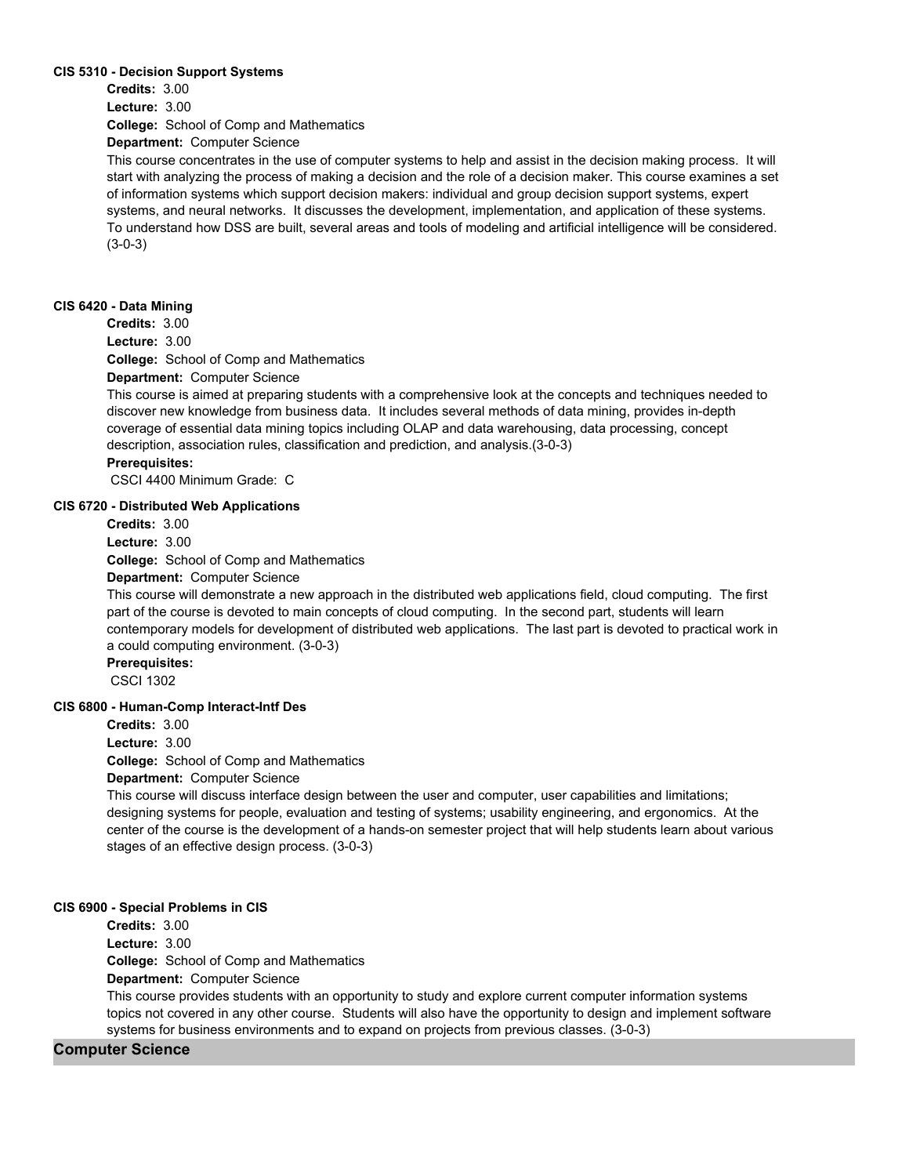#### **CIS 5310 - Decision Support Systems**

**College:** School of Comp and Mathematics **Credits:** 3.00 **Lecture:** 3.00

**Department:** Computer Science

This course concentrates in the use of computer systems to help and assist in the decision making process. It will start with analyzing the process of making a decision and the role of a decision maker. This course examines a set of information systems which support decision makers: individual and group decision support systems, expert systems, and neural networks. It discusses the development, implementation, and application of these systems. To understand how DSS are built, several areas and tools of modeling and artificial intelligence will be considered. (3-0-3)

#### **CIS 6420 - Data Mining**

**Credits:** 3.00

**Lecture:** 3.00

**College:** School of Comp and Mathematics

**Department:** Computer Science

This course is aimed at preparing students with a comprehensive look at the concepts and techniques needed to discover new knowledge from business data. It includes several methods of data mining, provides in-depth coverage of essential data mining topics including OLAP and data warehousing, data processing, concept description, association rules, classification and prediction, and analysis.(3-0-3)

## **Prerequisites:**

CSCI 4400 Minimum Grade: C

## **CIS 6720 - Distributed Web Applications**

**Credits:** 3.00

**Lecture:** 3.00

**College:** School of Comp and Mathematics

**Department:** Computer Science

This course will demonstrate a new approach in the distributed web applications field, cloud computing. The first part of the course is devoted to main concepts of cloud computing. In the second part, students will learn contemporary models for development of distributed web applications. The last part is devoted to practical work in a could computing environment. (3-0-3)

**Prerequisites:**  CSCI 1302

#### **CIS 6800 - Human-Comp Interact-Intf Des**

**Credits:** 3.00

**Lecture:** 3.00

**College:** School of Comp and Mathematics

**Department:** Computer Science

This course will discuss interface design between the user and computer, user capabilities and limitations; designing systems for people, evaluation and testing of systems; usability engineering, and ergonomics. At the center of the course is the development of a hands-on semester project that will help students learn about various stages of an effective design process. (3-0-3)

#### **CIS 6900 - Special Problems in CIS**

**Credits:** 3.00

**Lecture:** 3.00

**College:** School of Comp and Mathematics

**Department:** Computer Science

This course provides students with an opportunity to study and explore current computer information systems topics not covered in any other course. Students will also have the opportunity to design and implement software systems for business environments and to expand on projects from previous classes. (3-0-3)

#### **Computer Science**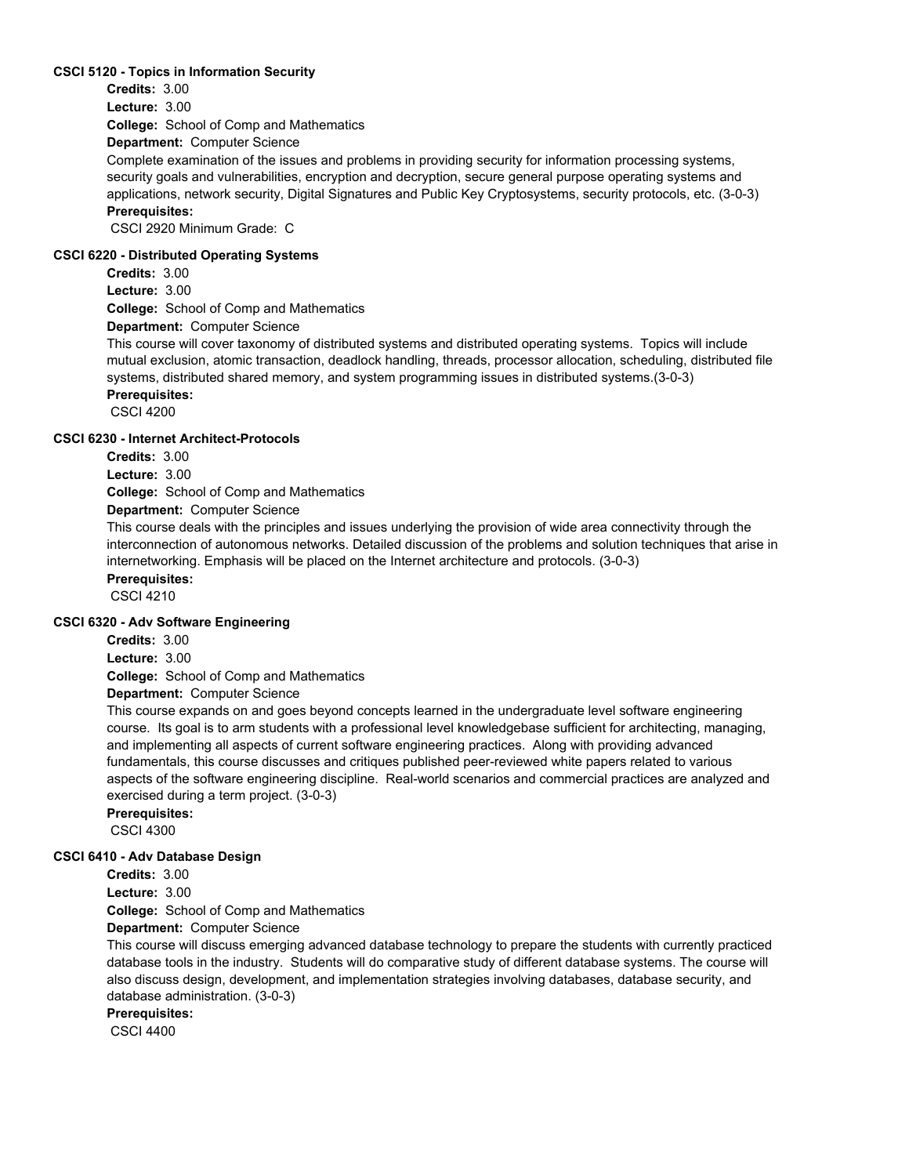#### **CSCI 5120 - Topics in Information Security**

**Credits:** 3.00

**Lecture:** 3.00

**College:** School of Comp and Mathematics

**Department:** Computer Science

Complete examination of the issues and problems in providing security for information processing systems, security goals and vulnerabilities, encryption and decryption, secure general purpose operating systems and applications, network security, Digital Signatures and Public Key Cryptosystems, security protocols, etc. (3-0-3) **Prerequisites:** 

CSCI 2920 Minimum Grade: C

#### **CSCI 6220 - Distributed Operating Systems**

**Credits:** 3.00 **Lecture:** 3.00

**College:** School of Comp and Mathematics

**Department:** Computer Science

This course will cover taxonomy of distributed systems and distributed operating systems. Topics will include mutual exclusion, atomic transaction, deadlock handling, threads, processor allocation, scheduling, distributed file systems, distributed shared memory, and system programming issues in distributed systems.(3-0-3) **Prerequisites:** 

CSCI 4200

#### **CSCI 6230 - Internet Architect-Protocols**

**Credits:** 3.00

**Lecture:** 3.00

**College:** School of Comp and Mathematics

#### **Department:** Computer Science

This course deals with the principles and issues underlying the provision of wide area connectivity through the interconnection of autonomous networks. Detailed discussion of the problems and solution techniques that arise in internetworking. Emphasis will be placed on the Internet architecture and protocols. (3-0-3)

**Prerequisites:** 

CSCI 4210

#### **CSCI 6320 - Adv Software Engineering**

**Credits:** 3.00 **Lecture:** 3.00

**College:** School of Comp and Mathematics

**Department:** Computer Science

This course expands on and goes beyond concepts learned in the undergraduate level software engineering course. Its goal is to arm students with a professional level knowledgebase sufficient for architecting, managing, and implementing all aspects of current software engineering practices. Along with providing advanced fundamentals, this course discusses and critiques published peer-reviewed white papers related to various aspects of the software engineering discipline. Real-world scenarios and commercial practices are analyzed and exercised during a term project. (3-0-3)

**Prerequisites:** 

# CSCI 4300

#### **CSCI 6410 - Adv Database Design**

**Credits:** 3.00 **Lecture:** 3.00

**College:** School of Comp and Mathematics

**Department:** Computer Science

This course will discuss emerging advanced database technology to prepare the students with currently practiced database tools in the industry. Students will do comparative study of different database systems. The course will also discuss design, development, and implementation strategies involving databases, database security, and database administration. (3-0-3)

**Prerequisites:** 

CSCI 4400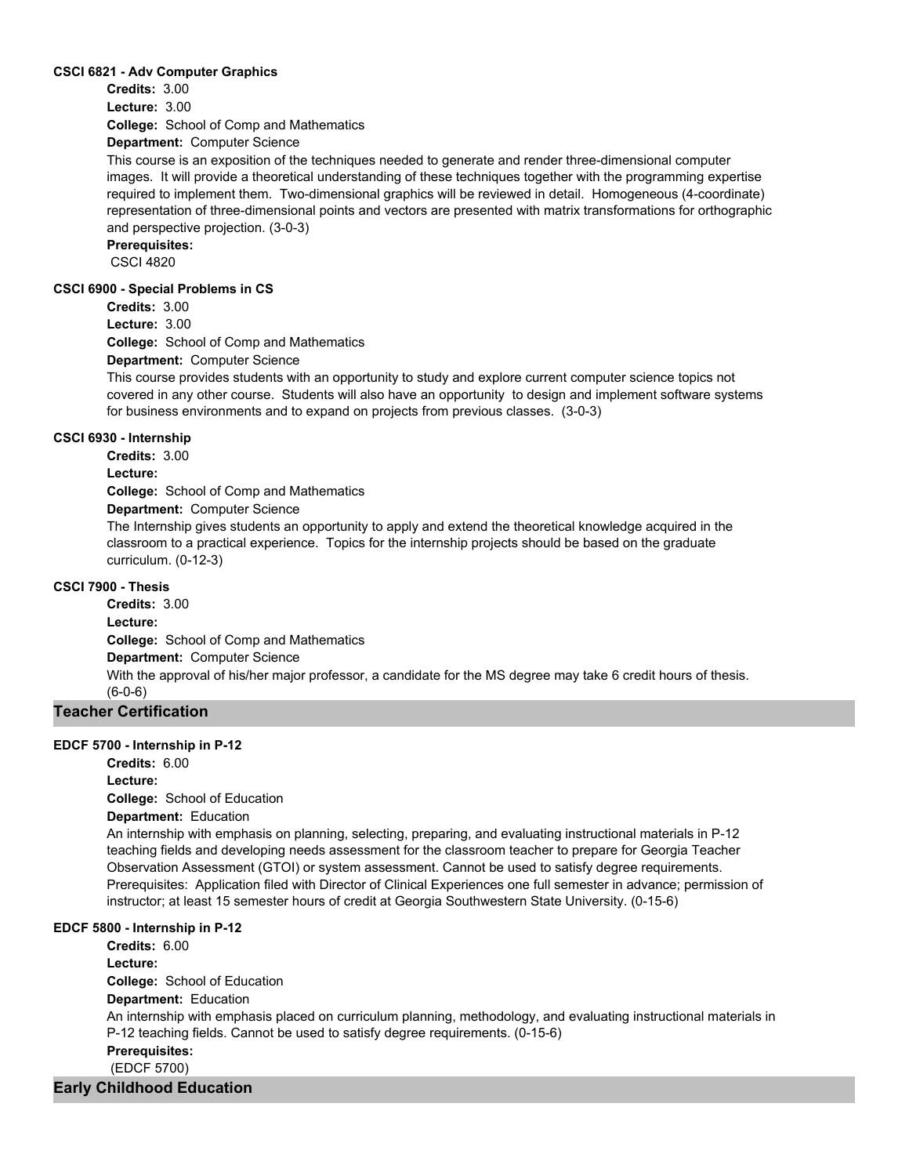#### **CSCI 6821 - Adv Computer Graphics**

**Credits:** 3.00

**College:** School of Comp and Mathematics **Lecture:** 3.00

**Department:** Computer Science

This course is an exposition of the techniques needed to generate and render three-dimensional computer images. It will provide a theoretical understanding of these techniques together with the programming expertise required to implement them. Two-dimensional graphics will be reviewed in detail. Homogeneous (4-coordinate) representation of three-dimensional points and vectors are presented with matrix transformations for orthographic and perspective projection. (3-0-3)

**Prerequisites:** 

CSCI 4820

#### **CSCI 6900 - Special Problems in CS**

**Credits:** 3.00

**Lecture:** 3.00

**College:** School of Comp and Mathematics

**Department:** Computer Science

This course provides students with an opportunity to study and explore current computer science topics not covered in any other course. Students will also have an opportunity to design and implement software systems for business environments and to expand on projects from previous classes. (3-0-3)

## **CSCI 6930 - Internship**

**Credits:** 3.00

**Lecture:**

**College:** School of Comp and Mathematics

**Department:** Computer Science

The Internship gives students an opportunity to apply and extend the theoretical knowledge acquired in the classroom to a practical experience. Topics for the internship projects should be based on the graduate curriculum. (0-12-3)

## **CSCI 7900 - Thesis**

**College:** School of Comp and Mathematics **Department:** Computer Science **Credits:** 3.00 **Lecture:** With the approval of his/her major professor, a candidate for the MS degree may take 6 credit hours of thesis. (6-0-6)

## **Teacher Certification**

#### **EDCF 5700 - Internship in P-12**

**College:** School of Education **Credits:** 6.00 **Lecture:**

**Department:** Education

An internship with emphasis on planning, selecting, preparing, and evaluating instructional materials in P-12 teaching fields and developing needs assessment for the classroom teacher to prepare for Georgia Teacher Observation Assessment (GTOI) or system assessment. Cannot be used to satisfy degree requirements. Prerequisites: Application filed with Director of Clinical Experiences one full semester in advance; permission of instructor; at least 15 semester hours of credit at Georgia Southwestern State University. (0-15-6)

#### **EDCF 5800 - Internship in P-12**

**College:** School of Education **Department:** Education **Credits:** 6.00 **Lecture:** An internship with emphasis placed on curriculum planning, methodology, and evaluating instructional materials in P-12 teaching fields. Cannot be used to satisfy degree requirements. (0-15-6) **Prerequisites:**  (EDCF 5700)

## **Early Childhood Education**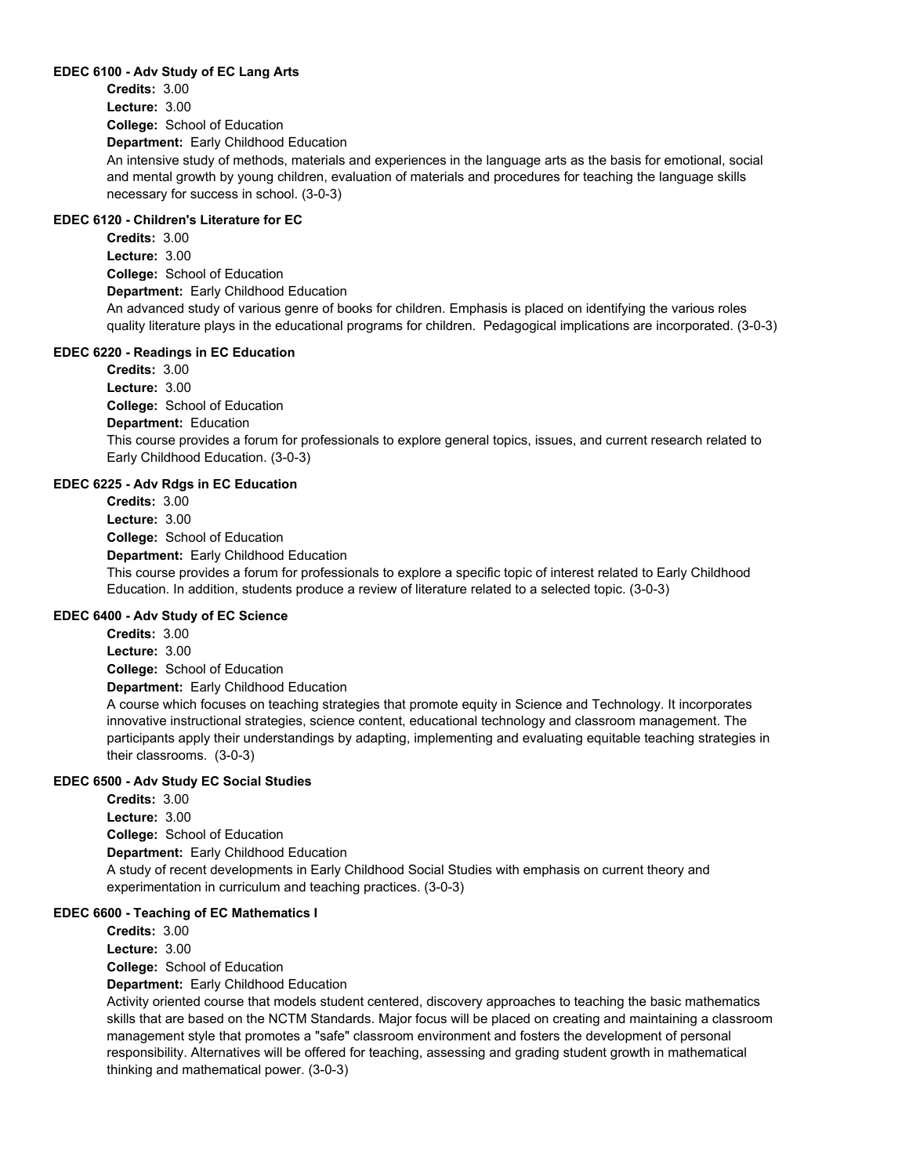#### **EDEC 6100 - Adv Study of EC Lang Arts**

**College:** School of Education **Department:** Early Childhood Education **Credits:** 3.00 **Lecture:** 3.00

An intensive study of methods, materials and experiences in the language arts as the basis for emotional, social and mental growth by young children, evaluation of materials and procedures for teaching the language skills necessary for success in school. (3-0-3)

## **EDEC 6120 - Children's Literature for EC**

**College:** School of Education **Department:** Early Childhood Education **Credits:** 3.00 **Lecture:** 3.00 An advanced study of various genre of books for children. Emphasis is placed on identifying the various roles quality literature plays in the educational programs for children. Pedagogical implications are incorporated. (3-0-3)

#### **EDEC 6220 - Readings in EC Education**

**College:** School of Education **Department:** Education **Credits:** 3.00 **Lecture:** 3.00 This course provides a forum for professionals to explore general topics, issues, and current research related to Early Childhood Education. (3-0-3)

### **EDEC 6225 - Adv Rdgs in EC Education**

**College:** School of Education **Department:** Early Childhood Education **Credits:** 3.00 **Lecture:** 3.00 This course provides a forum for professionals to explore a specific topic of interest related to Early Childhood Education. In addition, students produce a review of literature related to a selected topic. (3-0-3)

#### **EDEC 6400 - Adv Study of EC Science**

**College:** School of Education **Department:** Early Childhood Education **Credits:** 3.00 **Lecture:** 3.00

A course which focuses on teaching strategies that promote equity in Science and Technology. It incorporates innovative instructional strategies, science content, educational technology and classroom management. The participants apply their understandings by adapting, implementing and evaluating equitable teaching strategies in their classrooms. (3-0-3)

#### **EDEC 6500 - Adv Study EC Social Studies**

**College:** School of Education **Department:** Early Childhood Education **Credits:** 3.00 **Lecture:** 3.00 A study of recent developments in Early Childhood Social Studies with emphasis on current theory and experimentation in curriculum and teaching practices. (3-0-3)

## **EDEC 6600 - Teaching of EC Mathematics I**

**College:** School of Education **Department:** Early Childhood Education **Credits:** 3.00 **Lecture:** 3.00

Activity oriented course that models student centered, discovery approaches to teaching the basic mathematics skills that are based on the NCTM Standards. Major focus will be placed on creating and maintaining a classroom management style that promotes a "safe" classroom environment and fosters the development of personal responsibility. Alternatives will be offered for teaching, assessing and grading student growth in mathematical thinking and mathematical power. (3-0-3)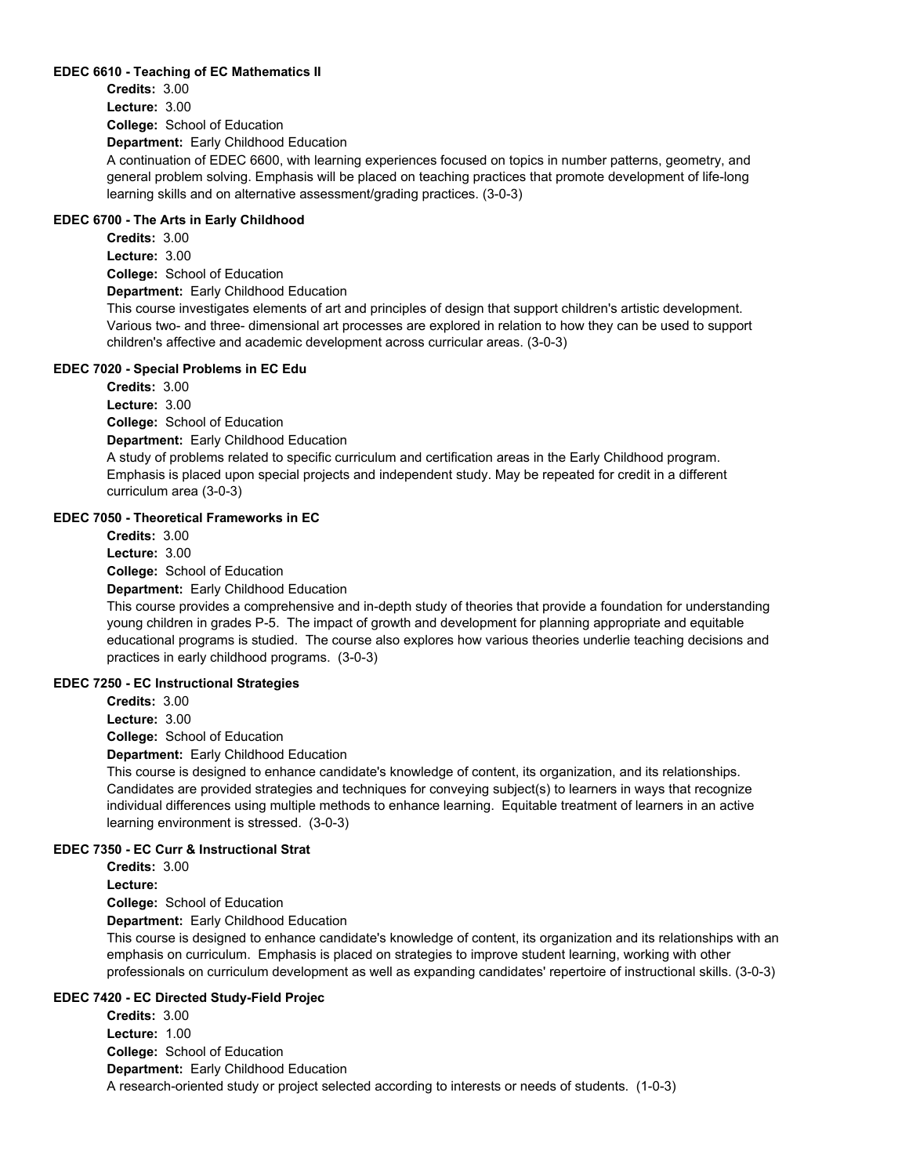#### **EDEC 6610 - Teaching of EC Mathematics II**

**College:** School of Education **Department:** Early Childhood Education **Credits:** 3.00 **Lecture:** 3.00 A continuation of EDEC 6600, with learning experiences focused on topics in number patterns, geometry, and general problem solving. Emphasis will be placed on teaching practices that promote development of life-long

#### **EDEC 6700 - The Arts in Early Childhood**

**College:** School of Education **Department:** Early Childhood Education **Credits:** 3.00 **Lecture:** 3.00 This course investigates elements of art and principles of design that support children's artistic development. Various two- and three- dimensional art processes are explored in relation to how they can be used to support

learning skills and on alternative assessment/grading practices. (3-0-3)

children's affective and academic development across curricular areas. (3-0-3) **EDEC 7020 - Special Problems in EC Edu**

**Credits:** 3.00 **Lecture:** 3.00

**College:** School of Education

**Department:** Early Childhood Education

A study of problems related to specific curriculum and certification areas in the Early Childhood program. Emphasis is placed upon special projects and independent study. May be repeated for credit in a different curriculum area (3-0-3)

#### **EDEC 7050 - Theoretical Frameworks in EC**

**College:** School of Education **Credits:** 3.00 **Lecture:** 3.00

**Department:** Early Childhood Education

This course provides a comprehensive and in-depth study of theories that provide a foundation for understanding young children in grades P-5. The impact of growth and development for planning appropriate and equitable educational programs is studied. The course also explores how various theories underlie teaching decisions and practices in early childhood programs. (3-0-3)

#### **EDEC 7250 - EC Instructional Strategies**

**Credits:** 3.00

**Lecture:** 3.00

**College:** School of Education

**Department:** Early Childhood Education

This course is designed to enhance candidate's knowledge of content, its organization, and its relationships. Candidates are provided strategies and techniques for conveying subject(s) to learners in ways that recognize individual differences using multiple methods to enhance learning. Equitable treatment of learners in an active learning environment is stressed. (3-0-3)

#### **EDEC 7350 - EC Curr & Instructional Strat**

**Credits:** 3.00

**Lecture:**

**College:** School of Education **Department:** Early Childhood Education

This course is designed to enhance candidate's knowledge of content, its organization and its relationships with an emphasis on curriculum. Emphasis is placed on strategies to improve student learning, working with other professionals on curriculum development as well as expanding candidates' repertoire of instructional skills. (3-0-3)

#### **EDEC 7420 - EC Directed Study-Field Projec**

**College:** School of Education **Department:** Early Childhood Education **Credits:** 3.00 **Lecture:** 1.00 A research-oriented study or project selected according to interests or needs of students. (1-0-3)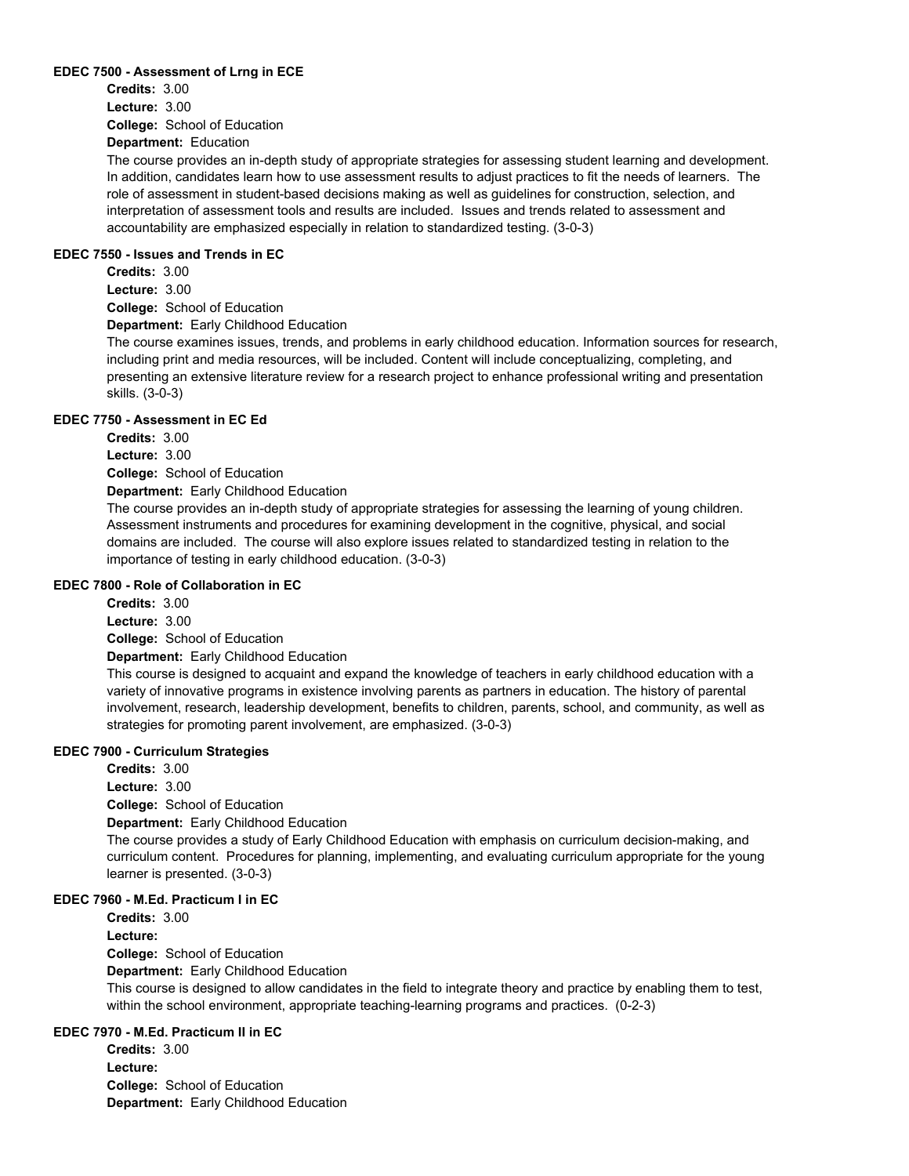#### **EDEC 7500 - Assessment of Lrng in ECE**

**College:** School of Education **Department:** Education **Credits:** 3.00 **Lecture:** 3.00

The course provides an in-depth study of appropriate strategies for assessing student learning and development. In addition, candidates learn how to use assessment results to adjust practices to fit the needs of learners. The role of assessment in student-based decisions making as well as guidelines for construction, selection, and interpretation of assessment tools and results are included. Issues and trends related to assessment and accountability are emphasized especially in relation to standardized testing. (3-0-3)

#### **EDEC 7550 - Issues and Trends in EC**

**College:** School of Education **Credits:** 3.00 **Lecture:** 3.00

**Department:** Early Childhood Education

The course examines issues, trends, and problems in early childhood education. Information sources for research, including print and media resources, will be included. Content will include conceptualizing, completing, and presenting an extensive literature review for a research project to enhance professional writing and presentation skills. (3-0-3)

#### **EDEC 7750 - Assessment in EC Ed**

**Credits:** 3.00 **Lecture:** 3.00

**College:** School of Education

**Department:** Early Childhood Education

The course provides an in-depth study of appropriate strategies for assessing the learning of young children. Assessment instruments and procedures for examining development in the cognitive, physical, and social domains are included. The course will also explore issues related to standardized testing in relation to the importance of testing in early childhood education. (3-0-3)

#### **EDEC 7800 - Role of Collaboration in EC**

**Credits:** 3.00

**Lecture:** 3.00

**College:** School of Education

**Department:** Early Childhood Education

This course is designed to acquaint and expand the knowledge of teachers in early childhood education with a variety of innovative programs in existence involving parents as partners in education. The history of parental involvement, research, leadership development, benefits to children, parents, school, and community, as well as strategies for promoting parent involvement, are emphasized. (3-0-3)

#### **EDEC 7900 - Curriculum Strategies**

**College:** School of Education **Department:** Early Childhood Education **Credits:** 3.00 **Lecture:** 3.00 The course provides a study of Early Childhood Education with emphasis on curriculum decision-making, and curriculum content. Procedures for planning, implementing, and evaluating curriculum appropriate for the young learner is presented. (3-0-3)

## **EDEC 7960 - M.Ed. Practicum I in EC**

**College:** School of Education **Department:** Early Childhood Education **Credits:** 3.00 **Lecture:** This course is designed to allow candidates in the field to integrate theory and practice by enabling them to test, within the school environment, appropriate teaching-learning programs and practices. (0-2-3)

## **EDEC 7970 - M.Ed. Practicum II in EC**

**College:** School of Education **Department:** Early Childhood Education **Credits:** 3.00 **Lecture:**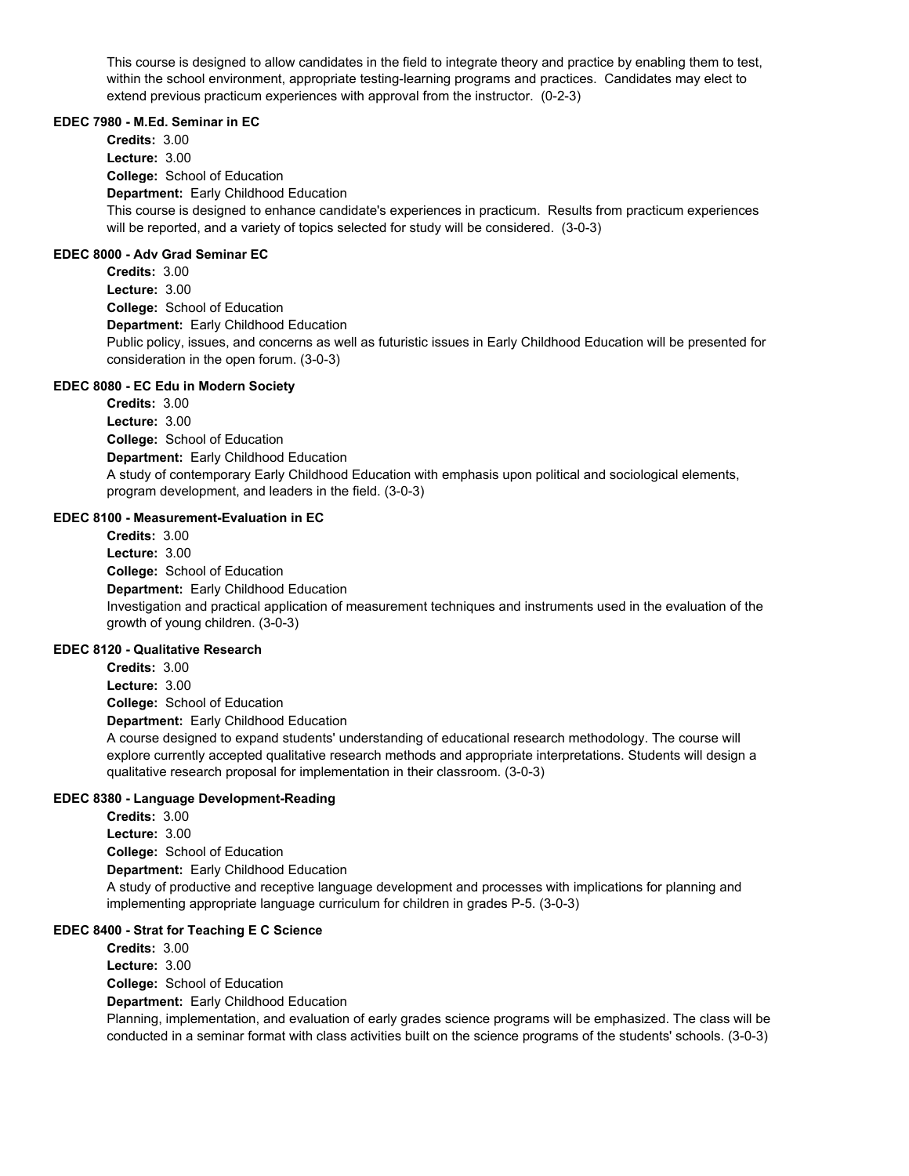This course is designed to allow candidates in the field to integrate theory and practice by enabling them to test, within the school environment, appropriate testing-learning programs and practices. Candidates may elect to extend previous practicum experiences with approval from the instructor. (0-2-3)

#### **EDEC 7980 - M.Ed. Seminar in EC**

**College:** School of Education **Department:** Early Childhood Education **Credits:** 3.00 **Lecture:** 3.00 This course is designed to enhance candidate's experiences in practicum. Results from practicum experiences will be reported, and a variety of topics selected for study will be considered. (3-0-3)

## **EDEC 8000 - Adv Grad Seminar EC**

**College:** School of Education **Department:** Early Childhood Education **Credits:** 3.00 **Lecture:** 3.00 Public policy, issues, and concerns as well as futuristic issues in Early Childhood Education will be presented for consideration in the open forum. (3-0-3)

#### **EDEC 8080 - EC Edu in Modern Society**

**College:** School of Education **Department:** Early Childhood Education **Credits:** 3.00 **Lecture:** 3.00 A study of contemporary Early Childhood Education with emphasis upon political and sociological elements, program development, and leaders in the field. (3-0-3)

#### **EDEC 8100 - Measurement-Evaluation in EC**

**College:** School of Education **Department:** Early Childhood Education **Credits:** 3.00 **Lecture:** 3.00 Investigation and practical application of measurement techniques and instruments used in the evaluation of the growth of young children. (3-0-3)

#### **EDEC 8120 - Qualitative Research**

**College:** School of Education **Department:** Early Childhood Education **Credits:** 3.00 **Lecture:** 3.00 A course designed to expand students' understanding of educational research methodology. The course will explore currently accepted qualitative research methods and appropriate interpretations. Students will design a

qualitative research proposal for implementation in their classroom. (3-0-3)

#### **EDEC 8380 - Language Development-Reading**

**College:** School of Education **Department:** Early Childhood Education **Credits:** 3.00 **Lecture:** 3.00 A study of productive and receptive language development and processes with implications for planning and implementing appropriate language curriculum for children in grades P-5. (3-0-3)

## **EDEC 8400 - Strat for Teaching E C Science**

**College:** School of Education **Department:** Early Childhood Education **Credits:** 3.00 **Lecture:** 3.00 Planning, implementation, and evaluation of early grades science programs will be emphasized. The class will be conducted in a seminar format with class activities built on the science programs of the students' schools. (3-0-3)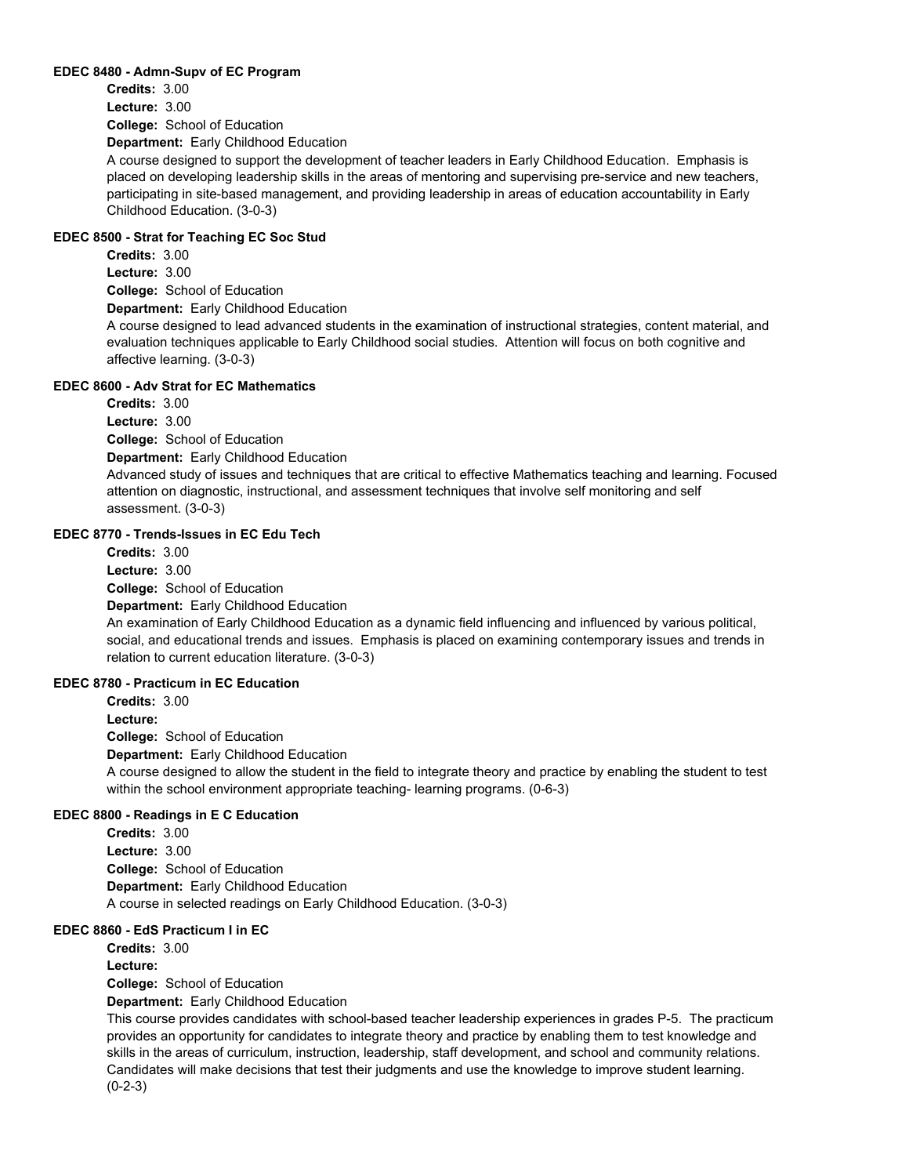#### **EDEC 8480 - Admn-Supv of EC Program**

**College:** School of Education **Department:** Early Childhood Education **Credits:** 3.00 **Lecture:** 3.00

A course designed to support the development of teacher leaders in Early Childhood Education. Emphasis is placed on developing leadership skills in the areas of mentoring and supervising pre-service and new teachers, participating in site-based management, and providing leadership in areas of education accountability in Early Childhood Education. (3-0-3)

## **EDEC 8500 - Strat for Teaching EC Soc Stud**

**College:** School of Education **Department:** Early Childhood Education **Credits:** 3.00 **Lecture:** 3.00

A course designed to lead advanced students in the examination of instructional strategies, content material, and evaluation techniques applicable to Early Childhood social studies. Attention will focus on both cognitive and affective learning. (3-0-3)

#### **EDEC 8600 - Adv Strat for EC Mathematics**

**College:** School of Education **Department:** Early Childhood Education **Credits:** 3.00 **Lecture:** 3.00

Advanced study of issues and techniques that are critical to effective Mathematics teaching and learning. Focused attention on diagnostic, instructional, and assessment techniques that involve self monitoring and self assessment. (3-0-3)

## **EDEC 8770 - Trends-Issues in EC Edu Tech**

**College:** School of Education **Department:** Early Childhood Education **Credits:** 3.00 **Lecture:** 3.00 An examination of Early Childhood Education as a dynamic field influencing and influenced by various political, social, and educational trends and issues. Emphasis is placed on examining contemporary issues and trends in relation to current education literature. (3-0-3)

## **EDEC 8780 - Practicum in EC Education**

**College:** School of Education **Department:** Early Childhood Education **Credits:** 3.00 **Lecture:** A course designed to allow the student in the field to integrate theory and practice by enabling the student to test within the school environment appropriate teaching- learning programs. (0-6-3)

#### **EDEC 8800 - Readings in E C Education**

**College:** School of Education **Department:** Early Childhood Education **Credits:** 3.00 **Lecture:** 3.00 A course in selected readings on Early Childhood Education. (3-0-3)

## **EDEC 8860 - EdS Practicum I in EC**

**College:** School of Education **Department:** Early Childhood Education **Credits:** 3.00 **Lecture:** This course provides candidates with school-based teacher leadership experiences in grades P-5. The practicum

provides an opportunity for candidates to integrate theory and practice by enabling them to test knowledge and skills in the areas of curriculum, instruction, leadership, staff development, and school and community relations. Candidates will make decisions that test their judgments and use the knowledge to improve student learning. (0-2-3)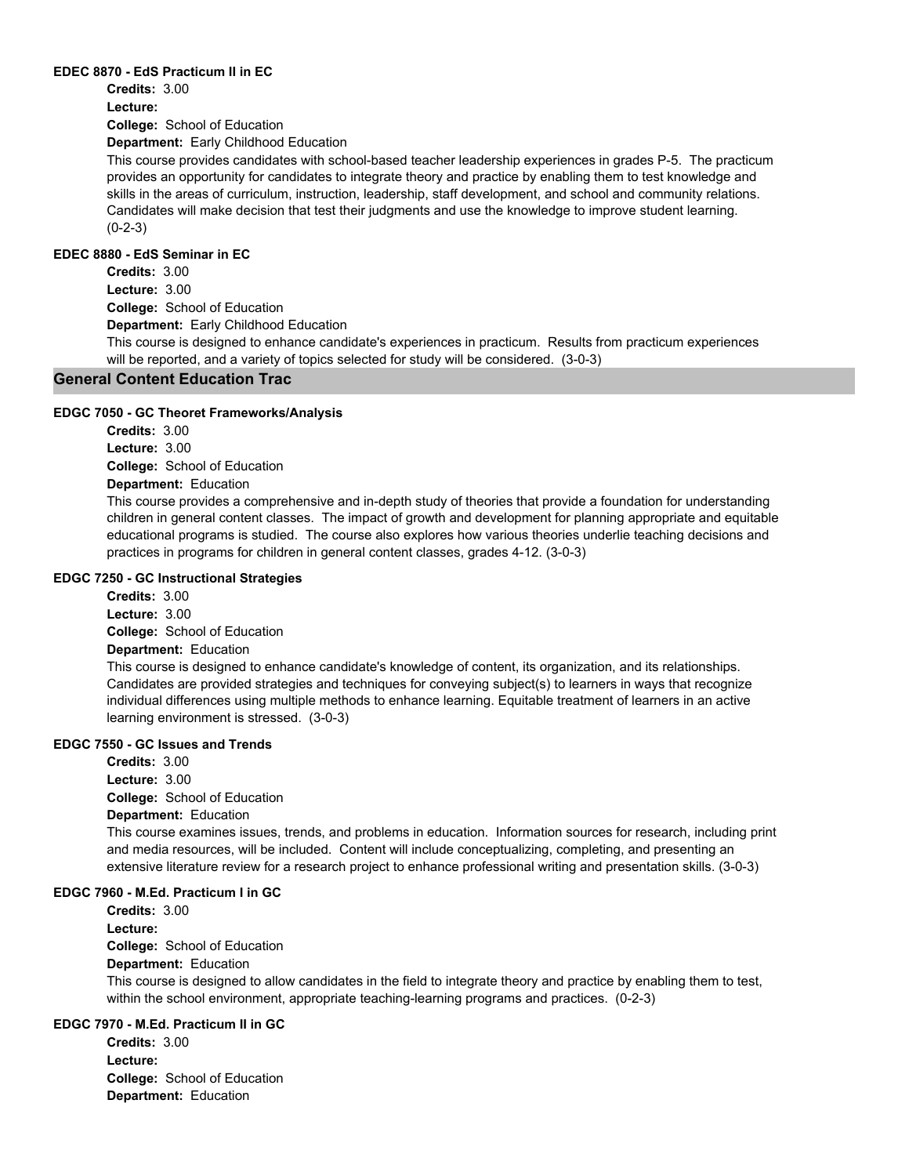#### **EDEC 8870 - EdS Practicum II in EC**

**Credits:** 3.00

**Lecture:**

**College:** School of Education

**Department:** Early Childhood Education

This course provides candidates with school-based teacher leadership experiences in grades P-5. The practicum provides an opportunity for candidates to integrate theory and practice by enabling them to test knowledge and skills in the areas of curriculum, instruction, leadership, staff development, and school and community relations. Candidates will make decision that test their judgments and use the knowledge to improve student learning. (0-2-3)

## **EDEC 8880 - EdS Seminar in EC**

**College:** School of Education **Department:** Early Childhood Education **Credits:** 3.00 **Lecture:** 3.00

This course is designed to enhance candidate's experiences in practicum. Results from practicum experiences will be reported, and a variety of topics selected for study will be considered. (3-0-3)

## **General Content Education Trac**

#### **EDGC 7050 - GC Theoret Frameworks/Analysis**

**College:** School of Education **Department:** Education **Credits:** 3.00 **Lecture:** 3.00

This course provides a comprehensive and in-depth study of theories that provide a foundation for understanding children in general content classes. The impact of growth and development for planning appropriate and equitable educational programs is studied. The course also explores how various theories underlie teaching decisions and practices in programs for children in general content classes, grades 4-12. (3-0-3)

#### **EDGC 7250 - GC Instructional Strategies**

**College:** School of Education **Department:** Education **Credits:** 3.00 **Lecture:** 3.00

This course is designed to enhance candidate's knowledge of content, its organization, and its relationships. Candidates are provided strategies and techniques for conveying subject(s) to learners in ways that recognize individual differences using multiple methods to enhance learning. Equitable treatment of learners in an active learning environment is stressed. (3-0-3)

#### **EDGC 7550 - GC Issues and Trends**

**College:** School of Education **Credits:** 3.00 **Lecture:** 3.00

# **Department:** Education

This course examines issues, trends, and problems in education. Information sources for research, including print and media resources, will be included. Content will include conceptualizing, completing, and presenting an extensive literature review for a research project to enhance professional writing and presentation skills. (3-0-3)

#### **EDGC 7960 - M.Ed. Practicum I in GC**

**College:** School of Education **Department:** Education **Credits:** 3.00 **Lecture:** This course is designed to allow candidates in the field to integrate theory and practice by enabling them to test, within the school environment, appropriate teaching-learning programs and practices. (0-2-3)

## **EDGC 7970 - M.Ed. Practicum II in GC**

**College:** School of Education **Department:** Education **Credits:** 3.00 **Lecture:**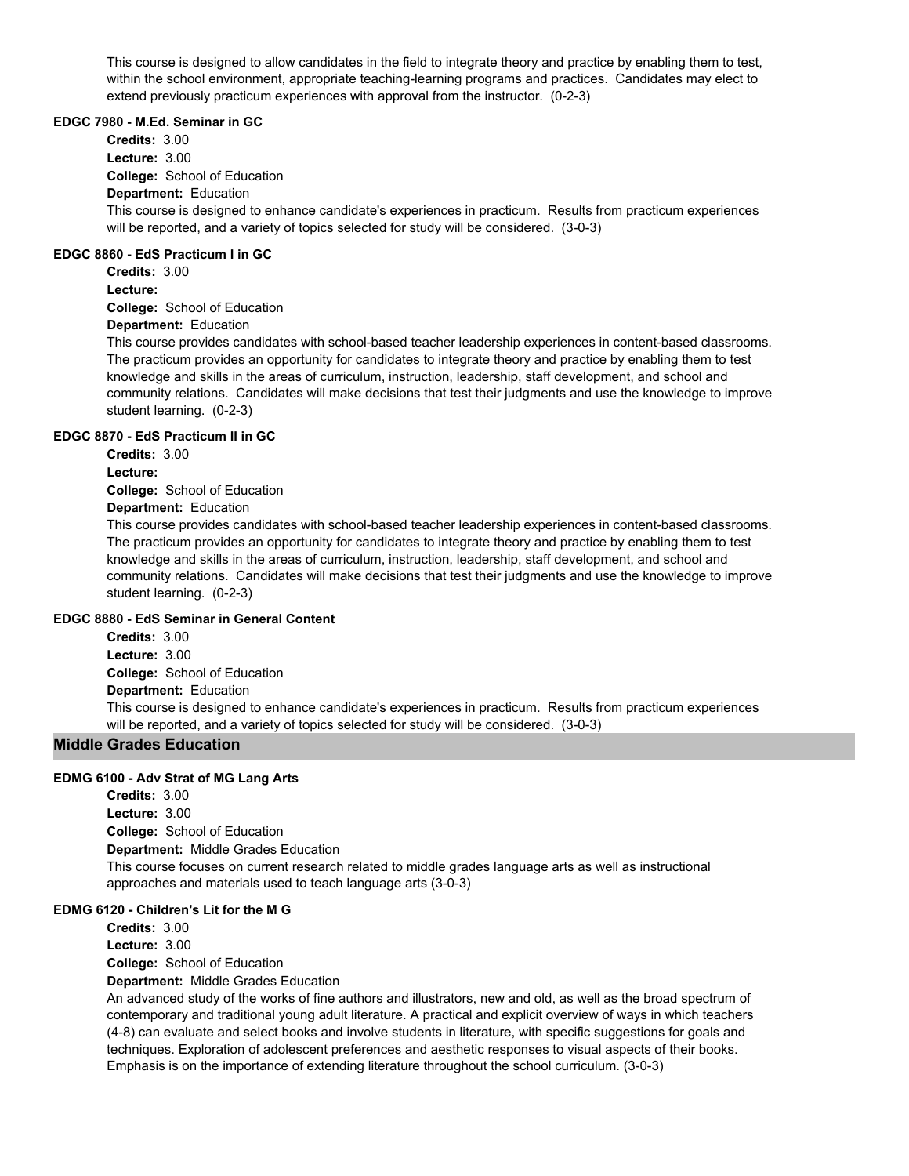This course is designed to allow candidates in the field to integrate theory and practice by enabling them to test, within the school environment, appropriate teaching-learning programs and practices. Candidates may elect to extend previously practicum experiences with approval from the instructor. (0-2-3)

#### **EDGC 7980 - M.Ed. Seminar in GC**

**College:** School of Education **Department:** Education **Credits:** 3.00 **Lecture:** 3.00 This course is designed to enhance candidate's experiences in practicum. Results from practicum experiences will be reported, and a variety of topics selected for study will be considered. (3-0-3)

## **EDGC 8860 - EdS Practicum I in GC**

**Credits:** 3.00 **Lecture:**

**College:** School of Education

## **Department:** Education

This course provides candidates with school-based teacher leadership experiences in content-based classrooms. The practicum provides an opportunity for candidates to integrate theory and practice by enabling them to test knowledge and skills in the areas of curriculum, instruction, leadership, staff development, and school and community relations. Candidates will make decisions that test their judgments and use the knowledge to improve student learning. (0-2-3)

## **EDGC 8870 - EdS Practicum II in GC**

**Credits:** 3.00

**Lecture:**

**College:** School of Education

## **Department:** Education

This course provides candidates with school-based teacher leadership experiences in content-based classrooms. The practicum provides an opportunity for candidates to integrate theory and practice by enabling them to test knowledge and skills in the areas of curriculum, instruction, leadership, staff development, and school and community relations. Candidates will make decisions that test their judgments and use the knowledge to improve student learning. (0-2-3)

#### **EDGC 8880 - EdS Seminar in General Content**

**College:** School of Education **Department:** Education **Credits:** 3.00 **Lecture:** 3.00 This course is designed to enhance candidate's experiences in practicum. Results from practicum experiences will be reported, and a variety of topics selected for study will be considered. (3-0-3)

## **Middle Grades Education**

#### **EDMG 6100 - Adv Strat of MG Lang Arts**

**College:** School of Education **Department:** Middle Grades Education **Credits:** 3.00 **Lecture:** 3.00 This course focuses on current research related to middle grades language arts as well as instructional approaches and materials used to teach language arts (3-0-3)

#### **EDMG 6120 - Children's Lit for the M G**

**Credits:** 3.00

**Lecture:** 3.00

**College:** School of Education

## **Department:** Middle Grades Education

An advanced study of the works of fine authors and illustrators, new and old, as well as the broad spectrum of contemporary and traditional young adult literature. A practical and explicit overview of ways in which teachers (4-8) can evaluate and select books and involve students in literature, with specific suggestions for goals and techniques. Exploration of adolescent preferences and aesthetic responses to visual aspects of their books. Emphasis is on the importance of extending literature throughout the school curriculum. (3-0-3)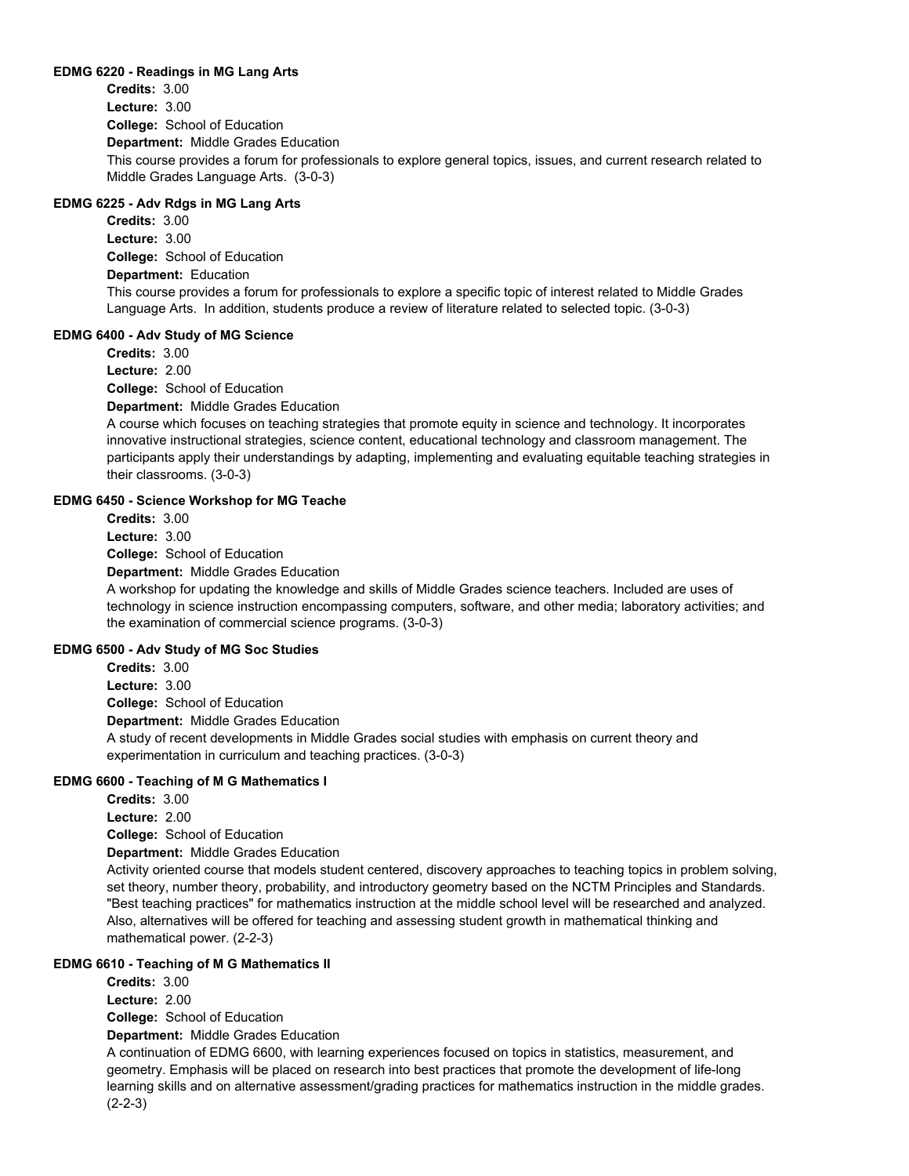#### **EDMG 6220 - Readings in MG Lang Arts**

**College:** School of Education **Department:** Middle Grades Education **Credits:** 3.00 **Lecture:** 3.00 This course provides a forum for professionals to explore general topics, issues, and current research related to Middle Grades Language Arts. (3-0-3)

## **EDMG 6225 - Adv Rdgs in MG Lang Arts**

**College:** School of Education **Department:** Education **Credits:** 3.00 **Lecture:** 3.00 This course provides a forum for professionals to explore a specific topic of interest related to Middle Grades Language Arts. In addition, students produce a review of literature related to selected topic. (3-0-3)

#### **EDMG 6400 - Adv Study of MG Science**

**College:** School of Education **Department:** Middle Grades Education **Credits:** 3.00 **Lecture:** 2.00

A course which focuses on teaching strategies that promote equity in science and technology. It incorporates innovative instructional strategies, science content, educational technology and classroom management. The participants apply their understandings by adapting, implementing and evaluating equitable teaching strategies in their classrooms. (3-0-3)

#### **EDMG 6450 - Science Workshop for MG Teache**

**College:** School of Education **Department:** Middle Grades Education **Credits:** 3.00 **Lecture:** 3.00

A workshop for updating the knowledge and skills of Middle Grades science teachers. Included are uses of technology in science instruction encompassing computers, software, and other media; laboratory activities; and the examination of commercial science programs. (3-0-3)

#### **EDMG 6500 - Adv Study of MG Soc Studies**

**College:** School of Education **Department:** Middle Grades Education **Credits:** 3.00 **Lecture:** 3.00 A study of recent developments in Middle Grades social studies with emphasis on current theory and experimentation in curriculum and teaching practices. (3-0-3)

#### **EDMG 6600 - Teaching of M G Mathematics I**

**Credits:** 3.00

**Lecture:** 2.00

**College:** School of Education

**Department:** Middle Grades Education

Activity oriented course that models student centered, discovery approaches to teaching topics in problem solving, set theory, number theory, probability, and introductory geometry based on the NCTM Principles and Standards. "Best teaching practices" for mathematics instruction at the middle school level will be researched and analyzed. Also, alternatives will be offered for teaching and assessing student growth in mathematical thinking and mathematical power. (2-2-3)

#### **EDMG 6610 - Teaching of M G Mathematics II**

**College:** School of Education **Credits:** 3.00 **Lecture:** 2.00

**Department:** Middle Grades Education

A continuation of EDMG 6600, with learning experiences focused on topics in statistics, measurement, and geometry. Emphasis will be placed on research into best practices that promote the development of life-long learning skills and on alternative assessment/grading practices for mathematics instruction in the middle grades. (2-2-3)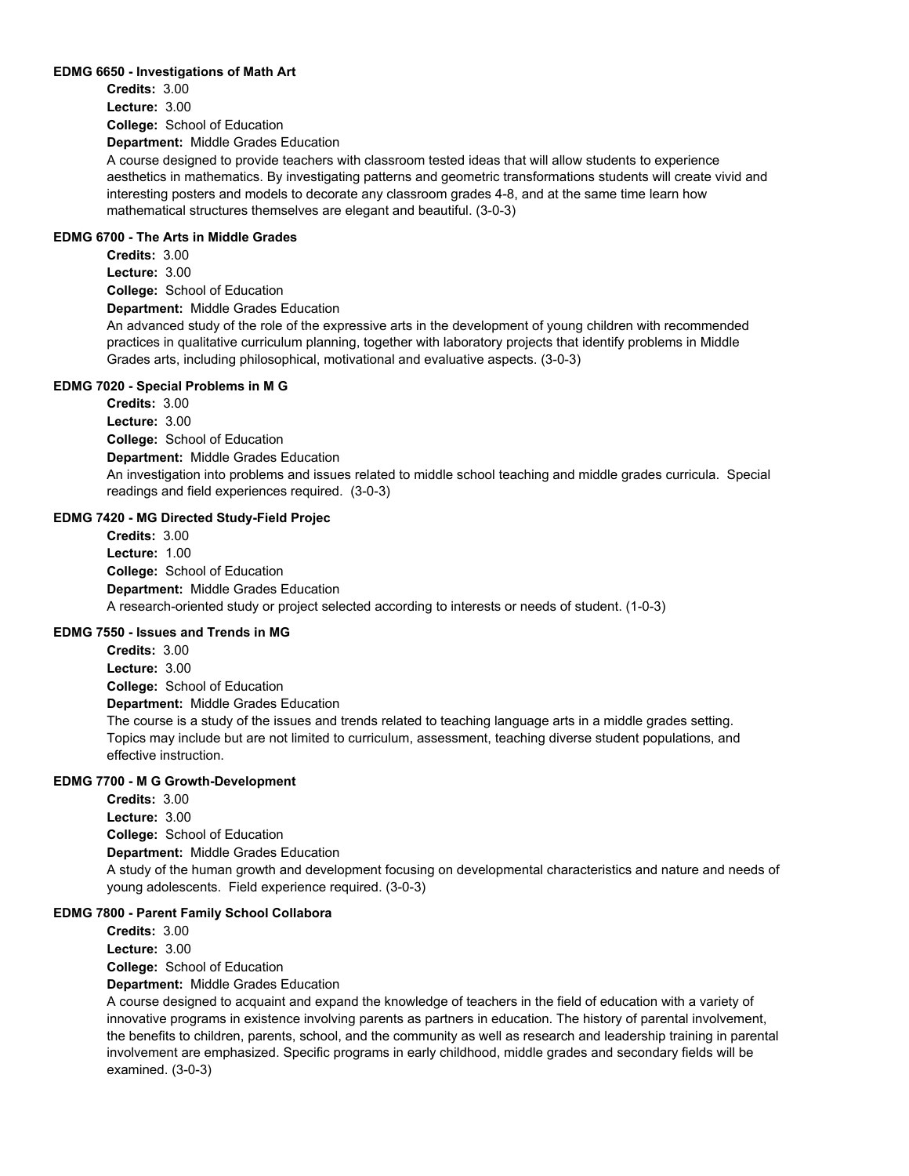#### **EDMG 6650 - Investigations of Math Art**

**College:** School of Education **Department:** Middle Grades Education **Credits:** 3.00 **Lecture:** 3.00

A course designed to provide teachers with classroom tested ideas that will allow students to experience aesthetics in mathematics. By investigating patterns and geometric transformations students will create vivid and interesting posters and models to decorate any classroom grades 4-8, and at the same time learn how mathematical structures themselves are elegant and beautiful. (3-0-3)

## **EDMG 6700 - The Arts in Middle Grades**

**College:** School of Education **Department:** Middle Grades Education **Credits:** 3.00 **Lecture:** 3.00 An advanced study of the role of the expressive arts in the development of young children with recommended practices in qualitative curriculum planning, together with laboratory projects that identify problems in Middle

#### **EDMG 7020 - Special Problems in M G**

**College:** School of Education **Department:** Middle Grades Education **Credits:** 3.00 **Lecture:** 3.00 An investigation into problems and issues related to middle school teaching and middle grades curricula. Special readings and field experiences required. (3-0-3)

#### **EDMG 7420 - MG Directed Study-Field Projec**

**College:** School of Education **Department:** Middle Grades Education **Credits:** 3.00 **Lecture:** 1.00 A research-oriented study or project selected according to interests or needs of student. (1-0-3)

Grades arts, including philosophical, motivational and evaluative aspects. (3-0-3)

#### **EDMG 7550 - Issues and Trends in MG**

**College:** School of Education **Department:** Middle Grades Education **Credits:** 3.00 **Lecture:** 3.00 The course is a study of the issues and trends related to teaching language arts in a middle grades setting.

Topics may include but are not limited to curriculum, assessment, teaching diverse student populations, and effective instruction.

#### **EDMG 7700 - M G Growth-Development**

**College:** School of Education **Department:** Middle Grades Education **Credits:** 3.00 **Lecture:** 3.00 A study of the human growth and development focusing on developmental characteristics and nature and needs of young adolescents. Field experience required. (3-0-3)

#### **EDMG 7800 - Parent Family School Collabora**

**College:** School of Education **Department:** Middle Grades Education **Credits:** 3.00 **Lecture:** 3.00

A course designed to acquaint and expand the knowledge of teachers in the field of education with a variety of innovative programs in existence involving parents as partners in education. The history of parental involvement, the benefits to children, parents, school, and the community as well as research and leadership training in parental involvement are emphasized. Specific programs in early childhood, middle grades and secondary fields will be examined. (3-0-3)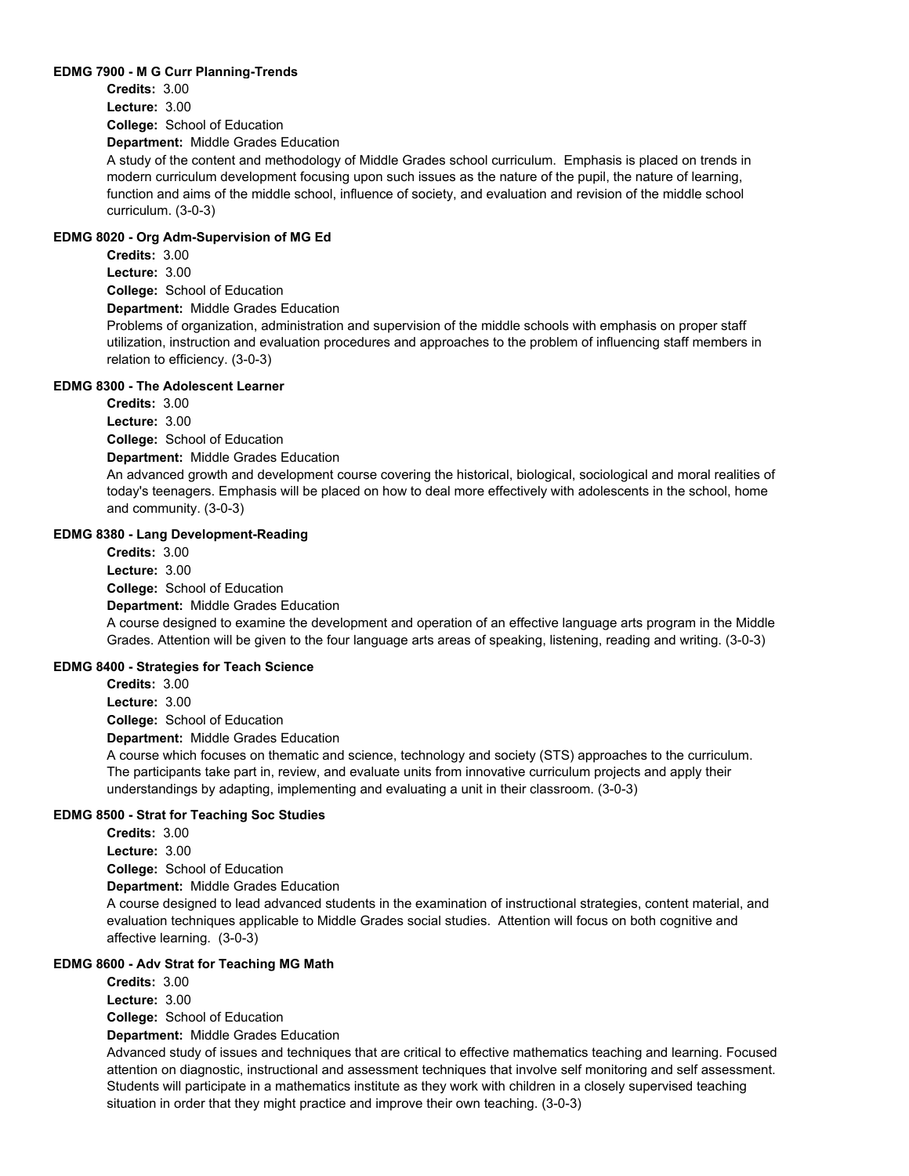#### **EDMG 7900 - M G Curr Planning-Trends**

**College:** School of Education **Department:** Middle Grades Education **Credits:** 3.00 **Lecture:** 3.00

A study of the content and methodology of Middle Grades school curriculum. Emphasis is placed on trends in modern curriculum development focusing upon such issues as the nature of the pupil, the nature of learning, function and aims of the middle school, influence of society, and evaluation and revision of the middle school curriculum. (3-0-3)

#### **EDMG 8020 - Org Adm-Supervision of MG Ed**

**College:** School of Education **Department:** Middle Grades Education **Credits:** 3.00 **Lecture:** 3.00

Problems of organization, administration and supervision of the middle schools with emphasis on proper staff utilization, instruction and evaluation procedures and approaches to the problem of influencing staff members in relation to efficiency. (3-0-3)

#### **EDMG 8300 - The Adolescent Learner**

**Credits:** 3.00 **Lecture:** 3.00

**College:** School of Education

**Department:** Middle Grades Education

An advanced growth and development course covering the historical, biological, sociological and moral realities of today's teenagers. Emphasis will be placed on how to deal more effectively with adolescents in the school, home and community. (3-0-3)

#### **EDMG 8380 - Lang Development-Reading**

**College:** School of Education **Department:** Middle Grades Education **Credits:** 3.00 **Lecture:** 3.00 A course designed to examine the development and operation of an effective language arts program in the Middle Grades. Attention will be given to the four language arts areas of speaking, listening, reading and writing. (3-0-3)

## **EDMG 8400 - Strategies for Teach Science**

**College:** School of Education **Department:** Middle Grades Education **Credits:** 3.00 **Lecture:** 3.00

A course which focuses on thematic and science, technology and society (STS) approaches to the curriculum. The participants take part in, review, and evaluate units from innovative curriculum projects and apply their understandings by adapting, implementing and evaluating a unit in their classroom. (3-0-3)

#### **EDMG 8500 - Strat for Teaching Soc Studies**

**Credits:** 3.00 **Lecture:** 3.00

**College:** School of Education

**Department:** Middle Grades Education

A course designed to lead advanced students in the examination of instructional strategies, content material, and evaluation techniques applicable to Middle Grades social studies. Attention will focus on both cognitive and affective learning. (3-0-3)

## **EDMG 8600 - Adv Strat for Teaching MG Math**

**College:** School of Education **Credits:** 3.00 **Lecture:** 3.00

**Department:** Middle Grades Education

Advanced study of issues and techniques that are critical to effective mathematics teaching and learning. Focused attention on diagnostic, instructional and assessment techniques that involve self monitoring and self assessment. Students will participate in a mathematics institute as they work with children in a closely supervised teaching situation in order that they might practice and improve their own teaching. (3-0-3)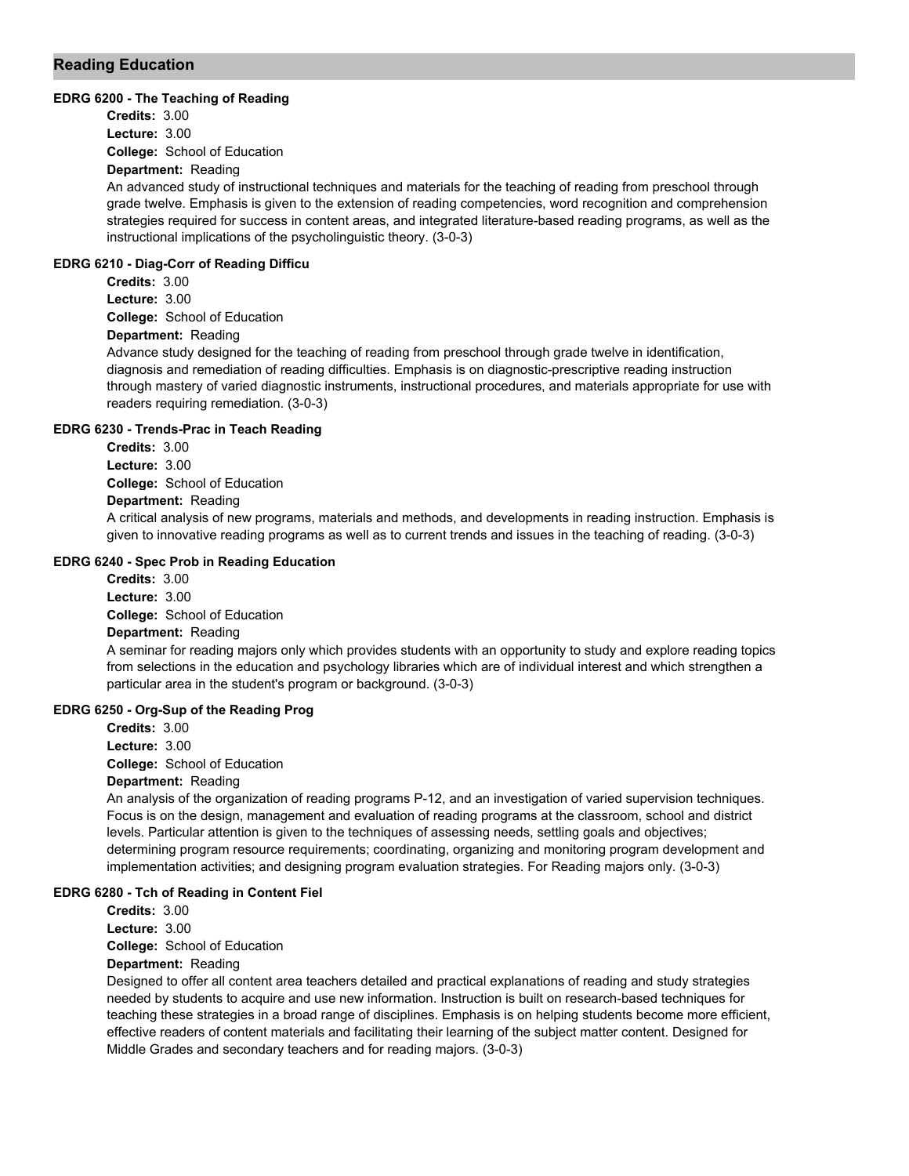## **Reading Education**

#### **EDRG 6200 - The Teaching of Reading**

**College:** School of Education **Department:** Reading **Credits:** 3.00 **Lecture:** 3.00

An advanced study of instructional techniques and materials for the teaching of reading from preschool through grade twelve. Emphasis is given to the extension of reading competencies, word recognition and comprehension strategies required for success in content areas, and integrated literature-based reading programs, as well as the instructional implications of the psycholinguistic theory. (3-0-3)

#### **EDRG 6210 - Diag-Corr of Reading Difficu**

**College:** School of Education **Credits:** 3.00 **Lecture:** 3.00

## **Department:** Reading

Advance study designed for the teaching of reading from preschool through grade twelve in identification, diagnosis and remediation of reading difficulties. Emphasis is on diagnostic-prescriptive reading instruction through mastery of varied diagnostic instruments, instructional procedures, and materials appropriate for use with readers requiring remediation. (3-0-3)

#### **EDRG 6230 - Trends-Prac in Teach Reading**

**College:** School of Education **Credits:** 3.00 **Lecture:** 3.00

## **Department:** Reading

A critical analysis of new programs, materials and methods, and developments in reading instruction. Emphasis is given to innovative reading programs as well as to current trends and issues in the teaching of reading. (3-0-3)

## **EDRG 6240 - Spec Prob in Reading Education**

**College:** School of Education **Department:** Reading **Credits:** 3.00 **Lecture:** 3.00

A seminar for reading majors only which provides students with an opportunity to study and explore reading topics from selections in the education and psychology libraries which are of individual interest and which strengthen a particular area in the student's program or background. (3-0-3)

## **EDRG 6250 - Org-Sup of the Reading Prog**

**College:** School of Education **Department:** Reading **Credits:** 3.00 **Lecture:** 3.00

An analysis of the organization of reading programs P-12, and an investigation of varied supervision techniques. Focus is on the design, management and evaluation of reading programs at the classroom, school and district levels. Particular attention is given to the techniques of assessing needs, settling goals and objectives; determining program resource requirements; coordinating, organizing and monitoring program development and implementation activities; and designing program evaluation strategies. For Reading majors only. (3-0-3)

#### **EDRG 6280 - Tch of Reading in Content Fiel**

**Credits:** 3.00 **Lecture:** 3.00

**College:** School of Education

## **Department:** Reading

Designed to offer all content area teachers detailed and practical explanations of reading and study strategies needed by students to acquire and use new information. Instruction is built on research-based techniques for teaching these strategies in a broad range of disciplines. Emphasis is on helping students become more efficient, effective readers of content materials and facilitating their learning of the subject matter content. Designed for Middle Grades and secondary teachers and for reading majors. (3-0-3)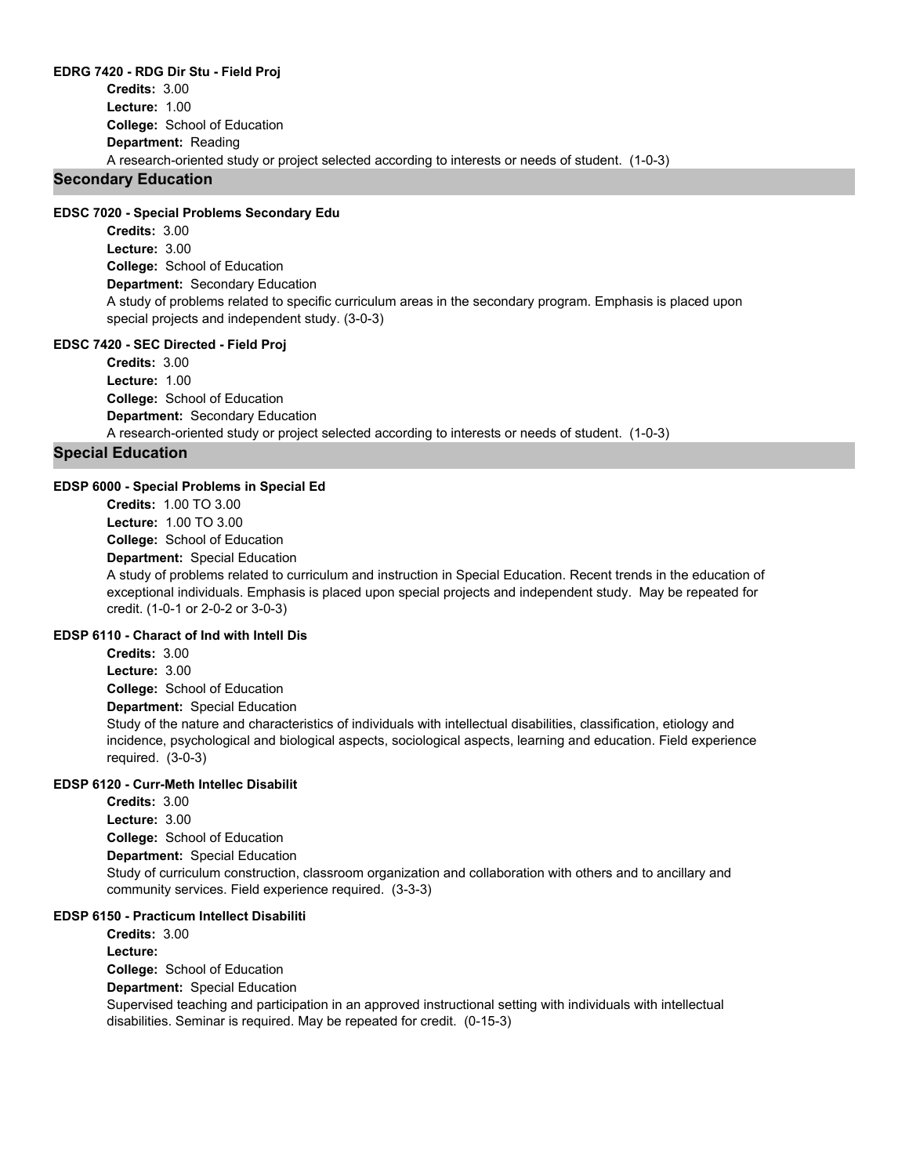#### **EDRG 7420 - RDG Dir Stu - Field Proj**

**College:** School of Education **Department:** Reading **Credits:** 3.00 **Lecture:** 1.00 A research-oriented study or project selected according to interests or needs of student. (1-0-3)

## **Secondary Education**

#### **EDSC 7020 - Special Problems Secondary Edu**

**College:** School of Education **Department:** Secondary Education **Credits:** 3.00 **Lecture:** 3.00 A study of problems related to specific curriculum areas in the secondary program. Emphasis is placed upon special projects and independent study. (3-0-3)

#### **EDSC 7420 - SEC Directed - Field Proj**

**College:** School of Education **Department:** Secondary Education **Credits:** 3.00 **Lecture:** 1.00 A research-oriented study or project selected according to interests or needs of student. (1-0-3)

#### **Special Education**

#### **EDSP 6000 - Special Problems in Special Ed**

**College:** School of Education **Department:** Special Education **Credits:** 1.00 TO 3.00 **Lecture:** 1.00 TO 3.00

A study of problems related to curriculum and instruction in Special Education. Recent trends in the education of exceptional individuals. Emphasis is placed upon special projects and independent study. May be repeated for credit. (1-0-1 or 2-0-2 or 3-0-3)

## **EDSP 6110 - Charact of Ind with Intell Dis**

**College:** School of Education **Department:** Special Education **Credits:** 3.00 **Lecture:** 3.00 Study of the nature and characteristics of individuals with intellectual disabilities, classification, etiology and incidence, psychological and biological aspects, sociological aspects, learning and education. Field experience required. (3-0-3)

#### **EDSP 6120 - Curr-Meth Intellec Disabilit**

**College:** School of Education **Department:** Special Education **Credits:** 3.00 **Lecture:** 3.00 Study of curriculum construction, classroom organization and collaboration with others and to ancillary and community services. Field experience required. (3-3-3)

#### **EDSP 6150 - Practicum Intellect Disabiliti**

**College:** School of Education **Department:** Special Education **Credits:** 3.00 **Lecture:** Supervised teaching and participation in an approved instructional setting with individuals with intellectual disabilities. Seminar is required. May be repeated for credit. (0-15-3)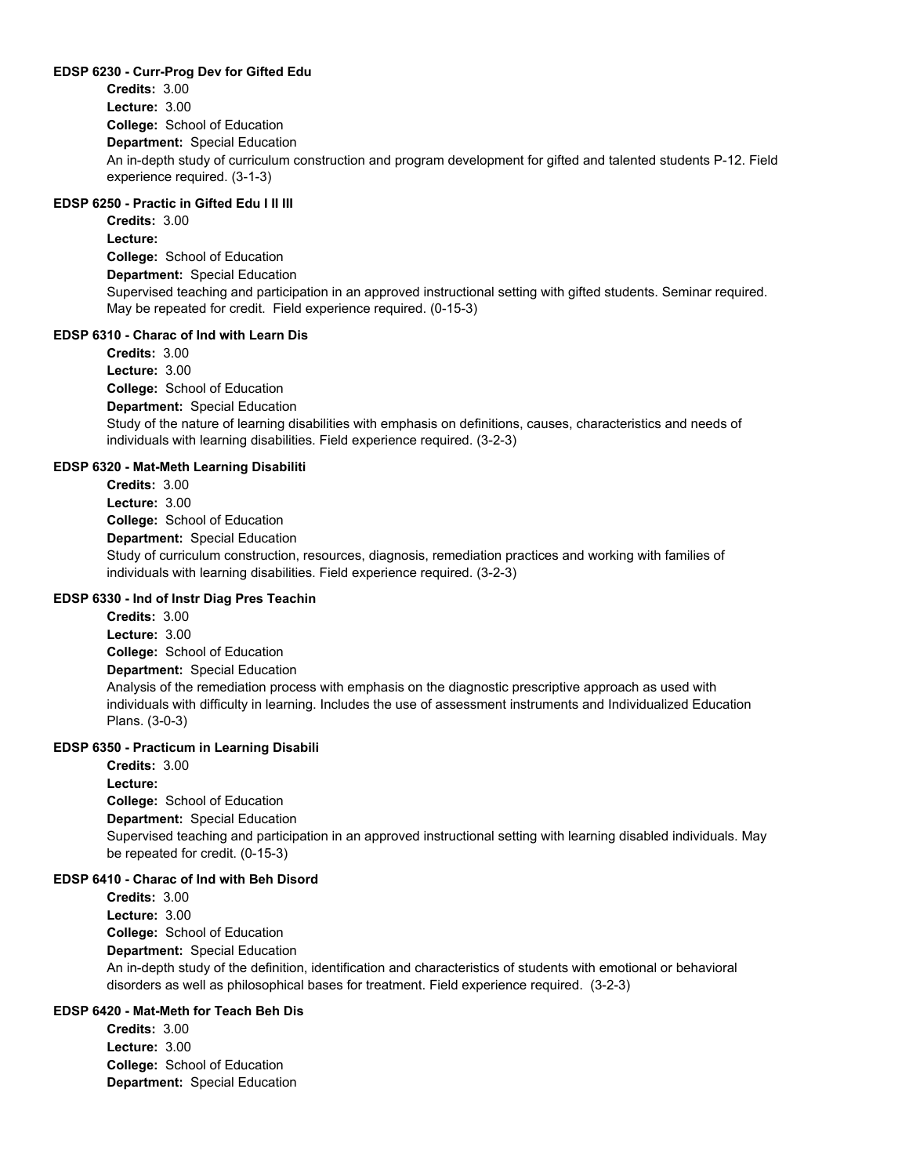#### **EDSP 6230 - Curr-Prog Dev for Gifted Edu**

**College:** School of Education **Department:** Special Education **Credits:** 3.00 **Lecture:** 3.00 An in-depth study of curriculum construction and program development for gifted and talented students P-12. Field experience required. (3-1-3)

## **EDSP 6250 - Practic in Gifted Edu I II III**

**College:** School of Education **Department:** Special Education **Credits:** 3.00 **Lecture:** Supervised teaching and participation in an approved instructional setting with gifted students. Seminar required. May be repeated for credit. Field experience required. (0-15-3)

#### **EDSP 6310 - Charac of Ind with Learn Dis**

**College:** School of Education **Department:** Special Education **Credits:** 3.00 **Lecture:** 3.00 Study of the nature of learning disabilities with emphasis on definitions, causes, characteristics and needs of individuals with learning disabilities. Field experience required. (3-2-3)

#### **EDSP 6320 - Mat-Meth Learning Disabiliti**

**College:** School of Education **Department:** Special Education **Credits:** 3.00 **Lecture:** 3.00 Study of curriculum construction, resources, diagnosis, remediation practices and working with families of individuals with learning disabilities. Field experience required. (3-2-3)

#### **EDSP 6330 - Ind of Instr Diag Pres Teachin**

**College:** School of Education **Department:** Special Education **Credits:** 3.00 **Lecture:** 3.00 Analysis of the remediation process with emphasis on the diagnostic prescriptive approach as used with individuals with difficulty in learning. Includes the use of assessment instruments and Individualized Education Plans. (3-0-3)

#### **EDSP 6350 - Practicum in Learning Disabili**

**College:** School of Education **Department:** Special Education **Credits:** 3.00 **Lecture:** Supervised teaching and participation in an approved instructional setting with learning disabled individuals. May be repeated for credit. (0-15-3)

### **EDSP 6410 - Charac of Ind with Beh Disord**

**College:** School of Education **Department:** Special Education **Credits:** 3.00 **Lecture:** 3.00 An in-depth study of the definition, identification and characteristics of students with emotional or behavioral disorders as well as philosophical bases for treatment. Field experience required. (3-2-3)

## **EDSP 6420 - Mat-Meth for Teach Beh Dis**

**College:** School of Education **Department:** Special Education **Credits:** 3.00 **Lecture:** 3.00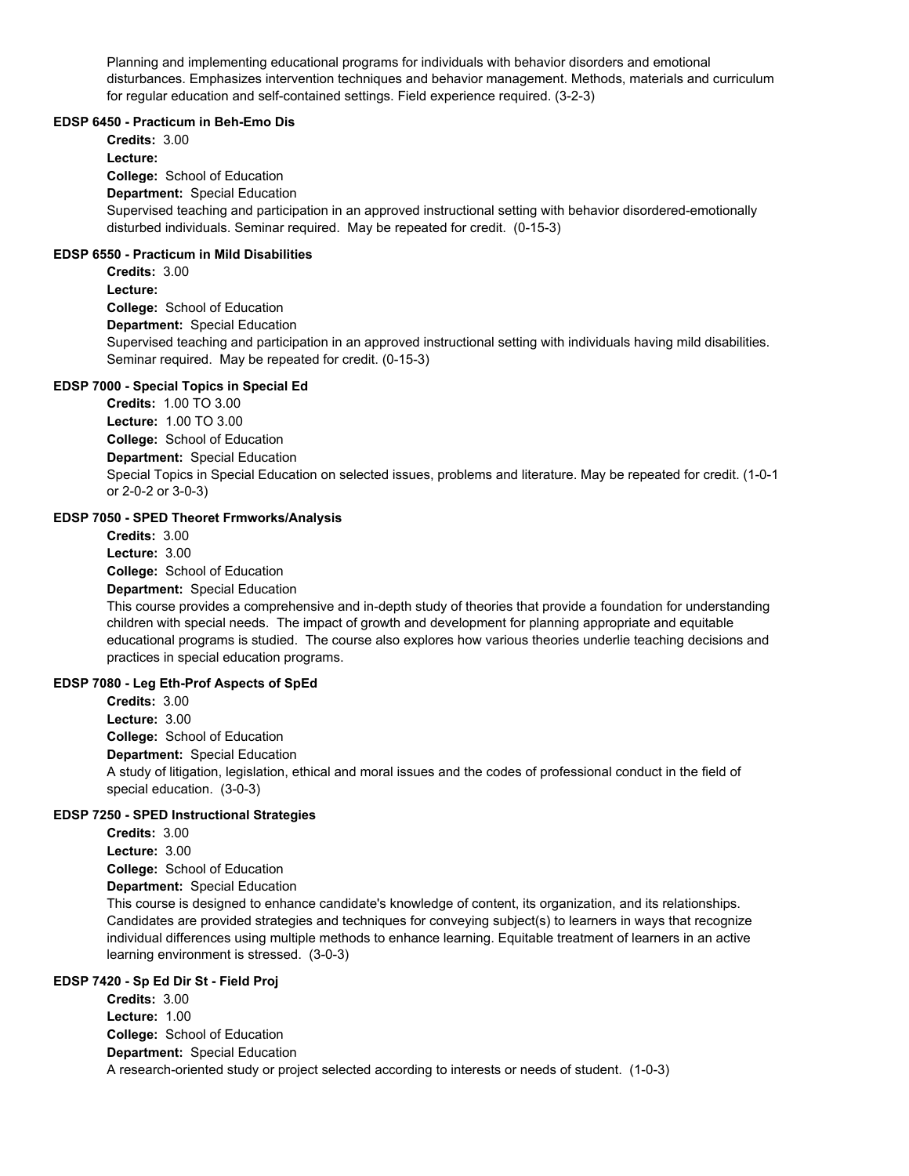Planning and implementing educational programs for individuals with behavior disorders and emotional disturbances. Emphasizes intervention techniques and behavior management. Methods, materials and curriculum for regular education and self-contained settings. Field experience required. (3-2-3)

#### **EDSP 6450 - Practicum in Beh-Emo Dis**

**College:** School of Education **Department:** Special Education **Credits:** 3.00 **Lecture:** Supervised teaching and participation in an approved instructional setting with behavior disordered-emotionally disturbed individuals. Seminar required. May be repeated for credit. (0-15-3)

#### **EDSP 6550 - Practicum in Mild Disabilities**

**College:** School of Education **Department:** Special Education **Credits:** 3.00 **Lecture:** Supervised teaching and participation in an approved instructional setting with individuals having mild disabilities. Seminar required. May be repeated for credit. (0-15-3)

#### **EDSP 7000 - Special Topics in Special Ed**

**College:** School of Education **Department:** Special Education **Credits:** 1.00 TO 3.00 **Lecture:** 1.00 TO 3.00 Special Topics in Special Education on selected issues, problems and literature. May be repeated for credit. (1-0-1 or 2-0-2 or 3-0-3)

#### **EDSP 7050 - SPED Theoret Frmworks/Analysis**

**College:** School of Education **Department:** Special Education **Credits:** 3.00 **Lecture:** 3.00

This course provides a comprehensive and in-depth study of theories that provide a foundation for understanding children with special needs. The impact of growth and development for planning appropriate and equitable educational programs is studied. The course also explores how various theories underlie teaching decisions and practices in special education programs.

#### **EDSP 7080 - Leg Eth-Prof Aspects of SpEd**

**College:** School of Education **Department:** Special Education **Credits:** 3.00 **Lecture:** 3.00 A study of litigation, legislation, ethical and moral issues and the codes of professional conduct in the field of special education. (3-0-3)

#### **EDSP 7250 - SPED Instructional Strategies**

**College:** School of Education **Department:** Special Education **Credits:** 3.00 **Lecture:** 3.00

This course is designed to enhance candidate's knowledge of content, its organization, and its relationships. Candidates are provided strategies and techniques for conveying subject(s) to learners in ways that recognize individual differences using multiple methods to enhance learning. Equitable treatment of learners in an active learning environment is stressed. (3-0-3)

#### **EDSP 7420 - Sp Ed Dir St - Field Proj**

**College:** School of Education **Department:** Special Education **Credits:** 3.00 **Lecture:** 1.00 A research-oriented study or project selected according to interests or needs of student. (1-0-3)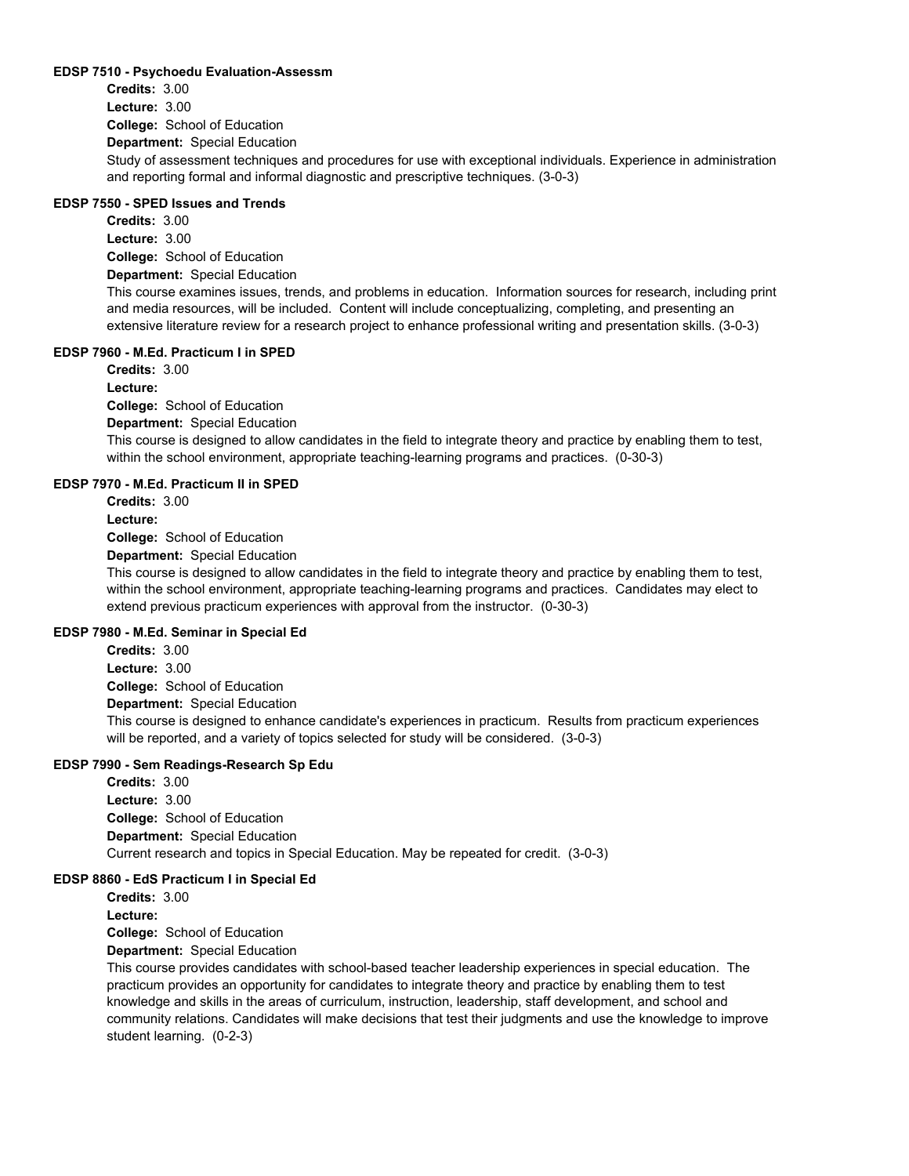#### **EDSP 7510 - Psychoedu Evaluation-Assessm**

**College:** School of Education **Department:** Special Education **Credits:** 3.00 **Lecture:** 3.00 Study of assessment techniques and procedures for use with exceptional individuals. Experience in administration and reporting formal and informal diagnostic and prescriptive techniques. (3-0-3)

## **EDSP 7550 - SPED Issues and Trends**

**College:** School of Education **Department:** Special Education **Credits:** 3.00 **Lecture:** 3.00 This course examines issues, trends, and problems in education. Information sources for research, including print and media resources, will be included. Content will include conceptualizing, completing, and presenting an extensive literature review for a research project to enhance professional writing and presentation skills. (3-0-3)

## **EDSP 7960 - M.Ed. Practicum I in SPED**

**College:** School of Education **Department:** Special Education **Credits:** 3.00 **Lecture:**

This course is designed to allow candidates in the field to integrate theory and practice by enabling them to test, within the school environment, appropriate teaching-learning programs and practices. (0-30-3)

#### **EDSP 7970 - M.Ed. Practicum II in SPED**

**College:** School of Education **Credits:** 3.00 **Lecture:**

**Department:** Special Education

This course is designed to allow candidates in the field to integrate theory and practice by enabling them to test, within the school environment, appropriate teaching-learning programs and practices. Candidates may elect to extend previous practicum experiences with approval from the instructor. (0-30-3)

## **EDSP 7980 - M.Ed. Seminar in Special Ed**

**College:** School of Education **Department:** Special Education **Credits:** 3.00 **Lecture:** 3.00 This course is designed to enhance candidate's experiences in practicum. Results from practicum experiences will be reported, and a variety of topics selected for study will be considered. (3-0-3)

#### **EDSP 7990 - Sem Readings-Research Sp Edu**

**College:** School of Education **Department:** Special Education **Credits:** 3.00 **Lecture:** 3.00 Current research and topics in Special Education. May be repeated for credit. (3-0-3)

#### **EDSP 8860 - EdS Practicum I in Special Ed**

**College:** School of Education **Department:** Special Education **Credits:** 3.00 **Lecture:**

This course provides candidates with school-based teacher leadership experiences in special education. The practicum provides an opportunity for candidates to integrate theory and practice by enabling them to test knowledge and skills in the areas of curriculum, instruction, leadership, staff development, and school and community relations. Candidates will make decisions that test their judgments and use the knowledge to improve student learning. (0-2-3)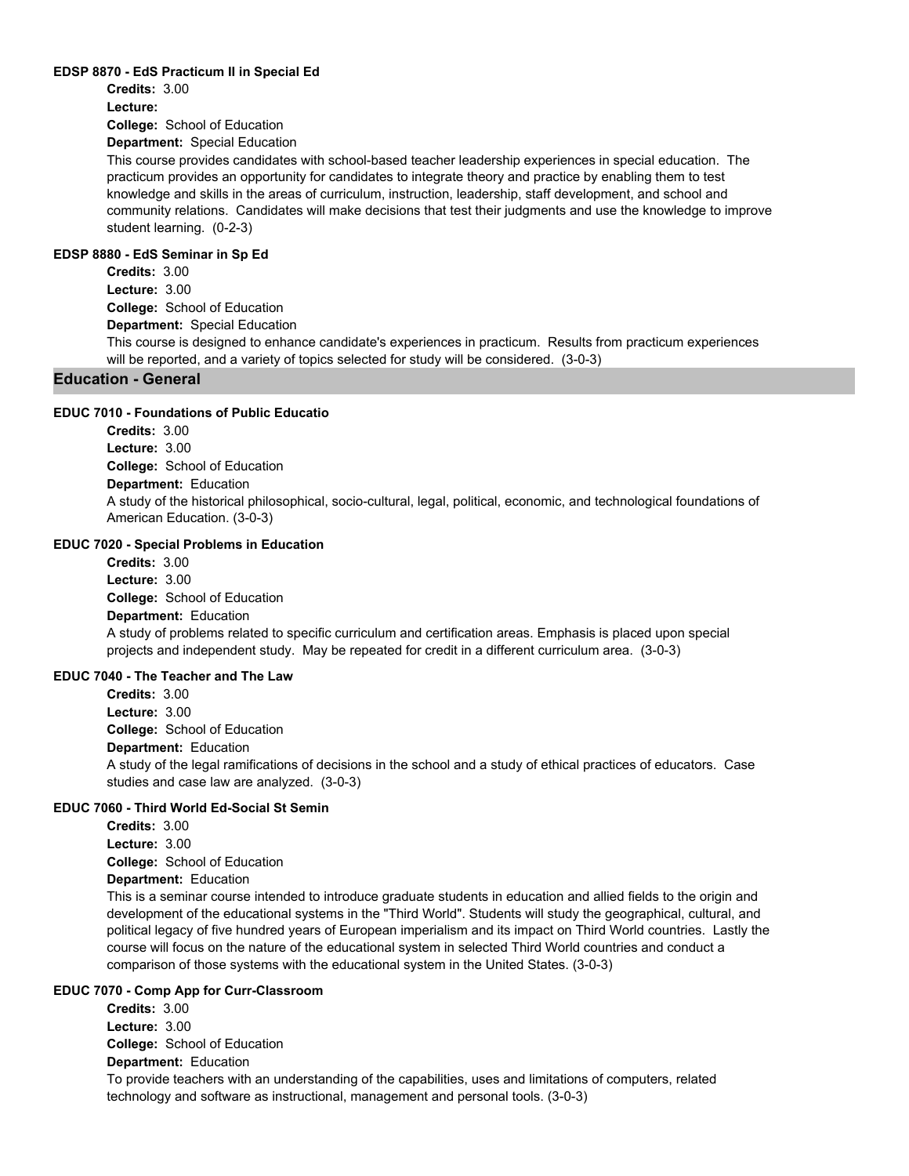#### **EDSP 8870 - EdS Practicum II in Special Ed**

**Credits:** 3.00 **Lecture:**

**College:** School of Education

**Department:** Special Education

This course provides candidates with school-based teacher leadership experiences in special education. The practicum provides an opportunity for candidates to integrate theory and practice by enabling them to test knowledge and skills in the areas of curriculum, instruction, leadership, staff development, and school and community relations. Candidates will make decisions that test their judgments and use the knowledge to improve student learning. (0-2-3)

#### **EDSP 8880 - EdS Seminar in Sp Ed**

**College:** School of Education **Department:** Special Education **Credits:** 3.00 **Lecture:** 3.00 This course is designed to enhance candidate's experiences in practicum. Results from practicum experiences will be reported, and a variety of topics selected for study will be considered. (3-0-3)

## **Education - General**

#### **EDUC 7010 - Foundations of Public Educatio**

**College:** School of Education **Department:** Education **Credits:** 3.00 **Lecture:** 3.00 A study of the historical philosophical, socio-cultural, legal, political, economic, and technological foundations of American Education. (3-0-3)

#### **EDUC 7020 - Special Problems in Education**

**College:** School of Education **Department:** Education **Credits:** 3.00 **Lecture:** 3.00 A study of problems related to specific curriculum and certification areas. Emphasis is placed upon special projects and independent study. May be repeated for credit in a different curriculum area. (3-0-3)

#### **EDUC 7040 - The Teacher and The Law**

**College:** School of Education **Department:** Education **Credits:** 3.00 **Lecture:** 3.00 A study of the legal ramifications of decisions in the school and a study of ethical practices of educators. Case studies and case law are analyzed. (3-0-3)

## **EDUC 7060 - Third World Ed-Social St Semin**

**College:** School of Education **Department:** Education **Credits:** 3.00 **Lecture:** 3.00

This is a seminar course intended to introduce graduate students in education and allied fields to the origin and development of the educational systems in the "Third World". Students will study the geographical, cultural, and political legacy of five hundred years of European imperialism and its impact on Third World countries. Lastly the course will focus on the nature of the educational system in selected Third World countries and conduct a comparison of those systems with the educational system in the United States. (3-0-3)

## **EDUC 7070 - Comp App for Curr-Classroom**

**College:** School of Education **Department:** Education **Credits:** 3.00 **Lecture:** 3.00 To provide teachers with an understanding of the capabilities, uses and limitations of computers, related technology and software as instructional, management and personal tools. (3-0-3)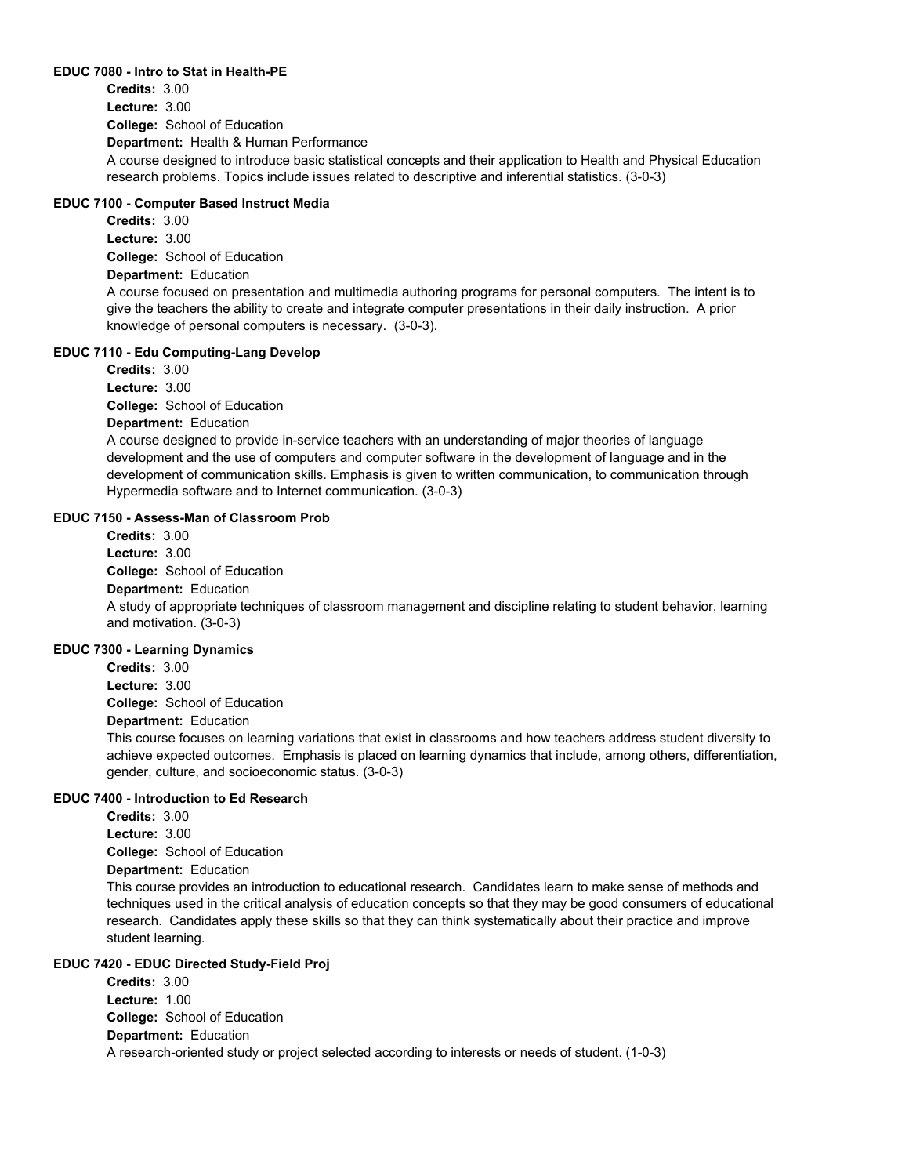#### **EDUC 7080 - Intro to Stat in Health-PE**

**College:** School of Education **Department:** Health & Human Performance **Credits:** 3.00 **Lecture:** 3.00 A course designed to introduce basic statistical concepts and their application to Health and Physical Education research problems. Topics include issues related to descriptive and inferential statistics. (3-0-3)

#### **EDUC 7100 - Computer Based Instruct Media**

**College:** School of Education **Department:** Education **Credits:** 3.00 **Lecture:** 3.00 A course focused on presentation and multimedia authoring programs for personal computers. The intent is to give the teachers the ability to create and integrate computer presentations in their daily instruction. A prior knowledge of personal computers is necessary. (3-0-3).

#### **EDUC 7110 - Edu Computing-Lang Develop**

**College:** School of Education **Department:** Education **Credits:** 3.00 **Lecture:** 3.00

A course designed to provide in-service teachers with an understanding of major theories of language development and the use of computers and computer software in the development of language and in the development of communication skills. Emphasis is given to written communication, to communication through Hypermedia software and to Internet communication. (3-0-3)

#### **EDUC 7150 - Assess-Man of Classroom Prob**

**College:** School of Education **Department:** Education **Credits:** 3.00 **Lecture:** 3.00 A study of appropriate techniques of classroom management and discipline relating to student behavior, learning and motivation. (3-0-3)

#### **EDUC 7300 - Learning Dynamics**

**College:** School of Education **Credits:** 3.00 **Lecture:** 3.00

## **Department:** Education

This course focuses on learning variations that exist in classrooms and how teachers address student diversity to achieve expected outcomes. Emphasis is placed on learning dynamics that include, among others, differentiation, gender, culture, and socioeconomic status. (3-0-3)

#### **EDUC 7400 - Introduction to Ed Research**

**Credits:** 3.00 **Lecture:** 3.00

**College:** School of Education

## **Department:** Education

This course provides an introduction to educational research. Candidates learn to make sense of methods and techniques used in the critical analysis of education concepts so that they may be good consumers of educational research. Candidates apply these skills so that they can think systematically about their practice and improve student learning.

#### **EDUC 7420 - EDUC Directed Study-Field Proj**

**College:** School of Education **Department:** Education **Credits:** 3.00 **Lecture:** 1.00 A research-oriented study or project selected according to interests or needs of student. (1-0-3)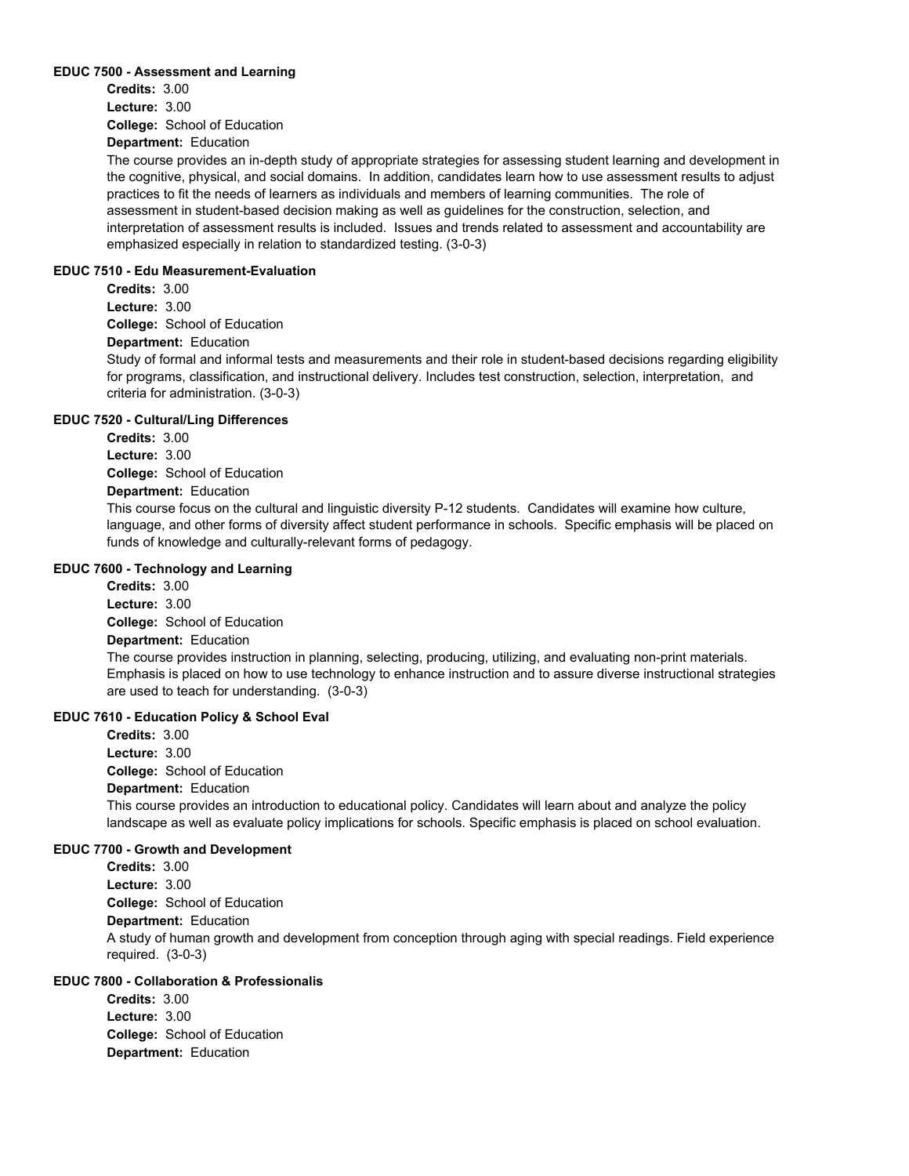#### **EDUC 7500 - Assessment and Learning**

**College:** School of Education **Department:** Education **Credits:** 3.00 **Lecture:** 3.00

The course provides an in-depth study of appropriate strategies for assessing student learning and development in the cognitive, physical, and social domains. In addition, candidates learn how to use assessment results to adjust practices to fit the needs of learners as individuals and members of learning communities. The role of assessment in student-based decision making as well as guidelines for the construction, selection, and interpretation of assessment results is included. Issues and trends related to assessment and accountability are emphasized especially in relation to standardized testing. (3-0-3)

#### **EDUC 7510 - Edu Measurement-Evaluation**

**College:** School of Education **Department:** Education **Credits:** 3.00 **Lecture:** 3.00 Study of formal and informal tests and measurements and their role in student-based decisions regarding eligibility for programs, classification, and instructional delivery. Includes test construction, selection, interpretation, and criteria for administration. (3-0-3)

#### **EDUC 7520 - Cultural/Ling Differences**

**College:** School of Education **Credits:** 3.00 **Lecture:** 3.00

## **Department:** Education

This course focus on the cultural and linguistic diversity P-12 students. Candidates will examine how culture, language, and other forms of diversity affect student performance in schools. Specific emphasis will be placed on funds of knowledge and culturally-relevant forms of pedagogy.

## **EDUC 7600 - Technology and Learning**

**College:** School of Education **Department:** Education **Credits:** 3.00 **Lecture:** 3.00 The course provides instruction in planning, selecting, producing, utilizing, and evaluating non-print materials. Emphasis is placed on how to use technology to enhance instruction and to assure diverse instructional strategies are used to teach for understanding. (3-0-3)

#### **EDUC 7610 - Education Policy & School Eval**

**College:** School of Education **Department:** Education **Credits:** 3.00 **Lecture:** 3.00 This course provides an introduction to educational policy. Candidates will learn about and analyze the policy landscape as well as evaluate policy implications for schools. Specific emphasis is placed on school evaluation.

#### **EDUC 7700 - Growth and Development**

**College:** School of Education **Department:** Education **Credits:** 3.00 **Lecture:** 3.00 A study of human growth and development from conception through aging with special readings. Field experience required. (3-0-3)

## **EDUC 7800 - Collaboration & Professionalis**

**College:** School of Education **Department:** Education **Credits:** 3.00 **Lecture:** 3.00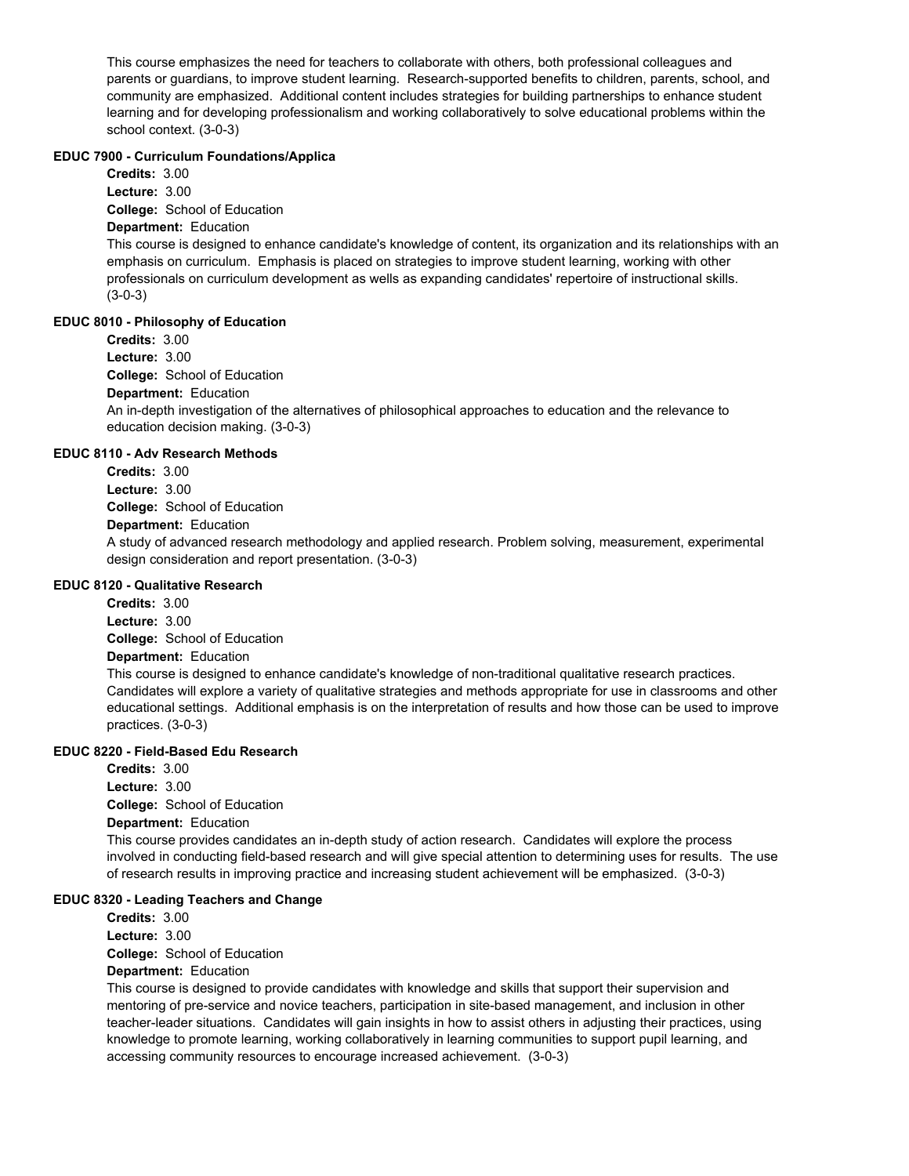This course emphasizes the need for teachers to collaborate with others, both professional colleagues and parents or guardians, to improve student learning. Research-supported benefits to children, parents, school, and community are emphasized. Additional content includes strategies for building partnerships to enhance student learning and for developing professionalism and working collaboratively to solve educational problems within the school context. (3-0-3)

#### **EDUC 7900 - Curriculum Foundations/Applica**

**Credits:** 3.00 **Lecture:** 3.00

**College:** School of Education

# **Department:** Education

This course is designed to enhance candidate's knowledge of content, its organization and its relationships with an emphasis on curriculum. Emphasis is placed on strategies to improve student learning, working with other professionals on curriculum development as wells as expanding candidates' repertoire of instructional skills. (3-0-3)

#### **EDUC 8010 - Philosophy of Education**

**College:** School of Education **Department:** Education **Credits:** 3.00 **Lecture:** 3.00 An in-depth investigation of the alternatives of philosophical approaches to education and the relevance to education decision making. (3-0-3)

#### **EDUC 8110 - Adv Research Methods**

**College:** School of Education **Department:** Education **Credits:** 3.00 **Lecture:** 3.00 A study of advanced research methodology and applied research. Problem solving, measurement, experimental design consideration and report presentation. (3-0-3)

#### **EDUC 8120 - Qualitative Research**

**College:** School of Education **Credits:** 3.00 **Lecture:** 3.00

#### **Department:** Education

This course is designed to enhance candidate's knowledge of non-traditional qualitative research practices. Candidates will explore a variety of qualitative strategies and methods appropriate for use in classrooms and other educational settings. Additional emphasis is on the interpretation of results and how those can be used to improve practices. (3-0-3)

## **EDUC 8220 - Field-Based Edu Research**

**College:** School of Education **Credits:** 3.00 **Lecture:** 3.00

## **Department:** Education

This course provides candidates an in-depth study of action research. Candidates will explore the process involved in conducting field-based research and will give special attention to determining uses for results. The use of research results in improving practice and increasing student achievement will be emphasized. (3-0-3)

## **EDUC 8320 - Leading Teachers and Change**

**College:** School of Education **Department:** Education **Credits:** 3.00 **Lecture:** 3.00

This course is designed to provide candidates with knowledge and skills that support their supervision and mentoring of pre-service and novice teachers, participation in site-based management, and inclusion in other teacher-leader situations. Candidates will gain insights in how to assist others in adjusting their practices, using knowledge to promote learning, working collaboratively in learning communities to support pupil learning, and accessing community resources to encourage increased achievement. (3-0-3)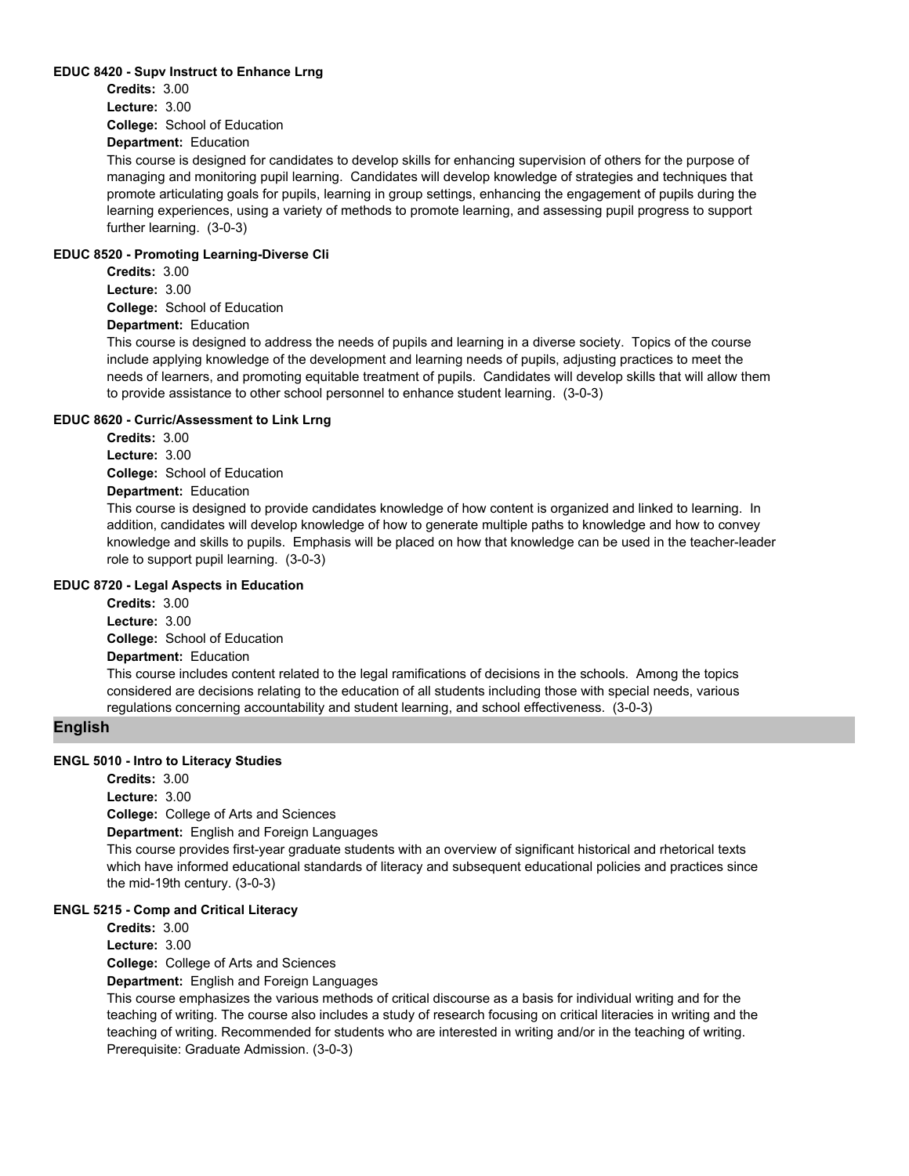#### **EDUC 8420 - Supv Instruct to Enhance Lrng**

**College:** School of Education **Credits:** 3.00 **Lecture:** 3.00

**Department:** Education

This course is designed for candidates to develop skills for enhancing supervision of others for the purpose of managing and monitoring pupil learning. Candidates will develop knowledge of strategies and techniques that promote articulating goals for pupils, learning in group settings, enhancing the engagement of pupils during the learning experiences, using a variety of methods to promote learning, and assessing pupil progress to support further learning. (3-0-3)

#### **EDUC 8520 - Promoting Learning-Diverse Cli**

**College:** School of Education **Credits:** 3.00 **Lecture:** 3.00

# **Department:** Education

This course is designed to address the needs of pupils and learning in a diverse society. Topics of the course include applying knowledge of the development and learning needs of pupils, adjusting practices to meet the needs of learners, and promoting equitable treatment of pupils. Candidates will develop skills that will allow them to provide assistance to other school personnel to enhance student learning. (3-0-3)

#### **EDUC 8620 - Curric/Assessment to Link Lrng**

**College:** School of Education **Department:** Education **Credits:** 3.00 **Lecture:** 3.00

This course is designed to provide candidates knowledge of how content is organized and linked to learning. In addition, candidates will develop knowledge of how to generate multiple paths to knowledge and how to convey knowledge and skills to pupils. Emphasis will be placed on how that knowledge can be used in the teacher-leader

role to support pupil learning. (3-0-3)

#### **EDUC 8720 - Legal Aspects in Education**

**Credits:** 3.00

**College:** School of Education **Lecture:** 3.00

**Department:** Education

This course includes content related to the legal ramifications of decisions in the schools. Among the topics considered are decisions relating to the education of all students including those with special needs, various regulations concerning accountability and student learning, and school effectiveness. (3-0-3)

## **English**

#### **ENGL 5010 - Intro to Literacy Studies**

**Credits:** 3.00

**Lecture:** 3.00

**College:** College of Arts and Sciences

**Department:** English and Foreign Languages

This course provides first-year graduate students with an overview of significant historical and rhetorical texts which have informed educational standards of literacy and subsequent educational policies and practices since the mid-19th century. (3-0-3)

#### **ENGL 5215 - Comp and Critical Literacy**

**Credits:** 3.00

**Lecture:** 3.00

**College:** College of Arts and Sciences

**Department:** English and Foreign Languages

This course emphasizes the various methods of critical discourse as a basis for individual writing and for the teaching of writing. The course also includes a study of research focusing on critical literacies in writing and the teaching of writing. Recommended for students who are interested in writing and/or in the teaching of writing. Prerequisite: Graduate Admission. (3-0-3)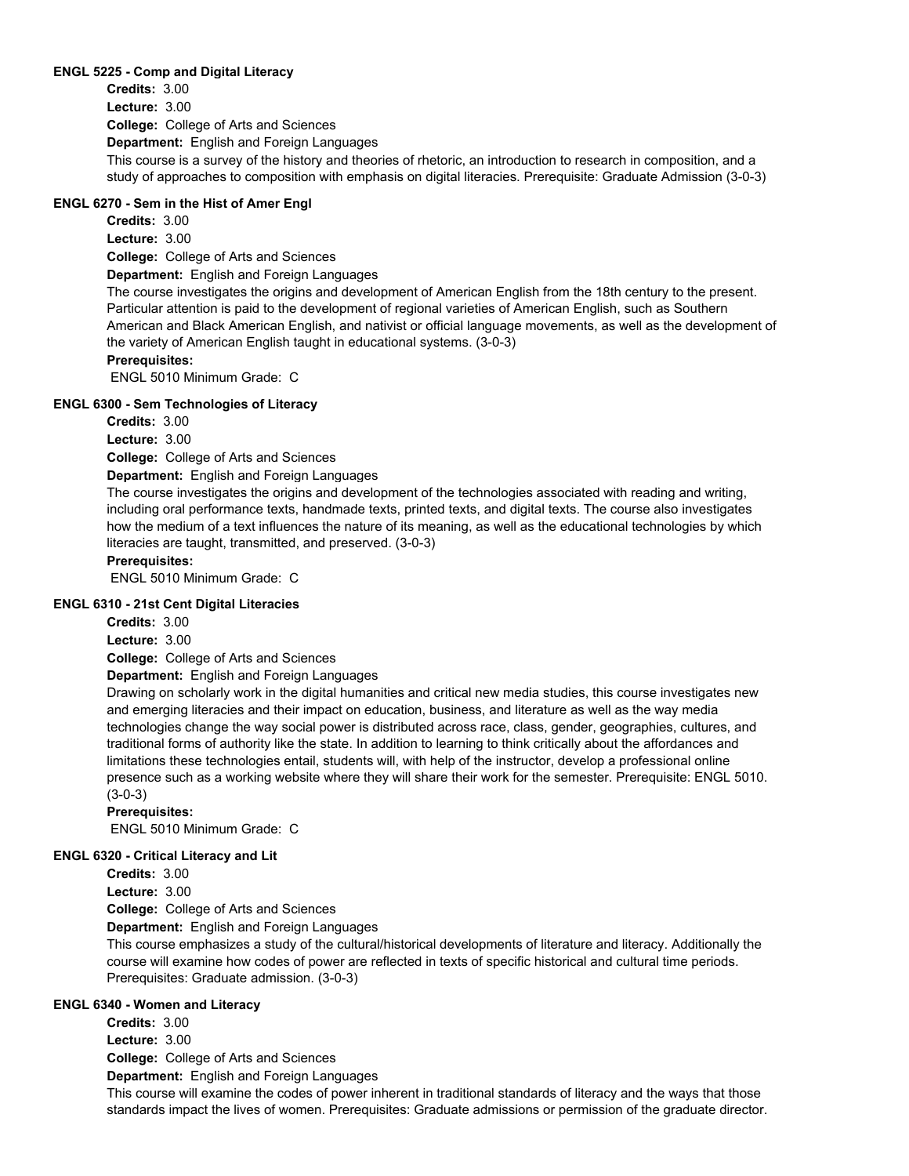#### **ENGL 5225 - Comp and Digital Literacy**

**College:** College of Arts and Sciences **Department:** English and Foreign Languages **Credits:** 3.00 **Lecture:** 3.00 This course is a survey of the history and theories of rhetoric, an introduction to research in composition, and a study of approaches to composition with emphasis on digital literacies. Prerequisite: Graduate Admission (3-0-3)

## **ENGL 6270 - Sem in the Hist of Amer Engl**

**Credits:** 3.00

**Lecture:** 3.00

**College:** College of Arts and Sciences

**Department:** English and Foreign Languages

The course investigates the origins and development of American English from the 18th century to the present. Particular attention is paid to the development of regional varieties of American English, such as Southern American and Black American English, and nativist or official language movements, as well as the development of the variety of American English taught in educational systems. (3-0-3)

## **Prerequisites:**

ENGL 5010 Minimum Grade: C

## **ENGL 6300 - Sem Technologies of Literacy**

**Credits:** 3.00

**Lecture:** 3.00

**College:** College of Arts and Sciences

**Department:** English and Foreign Languages

The course investigates the origins and development of the technologies associated with reading and writing, including oral performance texts, handmade texts, printed texts, and digital texts. The course also investigates how the medium of a text influences the nature of its meaning, as well as the educational technologies by which literacies are taught, transmitted, and preserved. (3-0-3)

## **Prerequisites:**

ENGL 5010 Minimum Grade: C

#### **ENGL 6310 - 21st Cent Digital Literacies**

**Credits:** 3.00

**Lecture:** 3.00

**College:** College of Arts and Sciences

**Department:** English and Foreign Languages

Drawing on scholarly work in the digital humanities and critical new media studies, this course investigates new and emerging literacies and their impact on education, business, and literature as well as the way media technologies change the way social power is distributed across race, class, gender, geographies, cultures, and traditional forms of authority like the state. In addition to learning to think critically about the affordances and limitations these technologies entail, students will, with help of the instructor, develop a professional online presence such as a working website where they will share their work for the semester. Prerequisite: ENGL 5010. (3-0-3)

#### **Prerequisites:**

ENGL 5010 Minimum Grade: C

#### **ENGL 6320 - Critical Literacy and Lit**

**Credits:** 3.00

**Lecture:** 3.00

**College:** College of Arts and Sciences

**Department:** English and Foreign Languages

This course emphasizes a study of the cultural/historical developments of literature and literacy. Additionally the course will examine how codes of power are reflected in texts of specific historical and cultural time periods. Prerequisites: Graduate admission. (3-0-3)

#### **ENGL 6340 - Women and Literacy**

**Credits:** 3.00

**Lecture:** 3.00

**College:** College of Arts and Sciences **Department:** English and Foreign Languages

This course will examine the codes of power inherent in traditional standards of literacy and the ways that those standards impact the lives of women. Prerequisites: Graduate admissions or permission of the graduate director.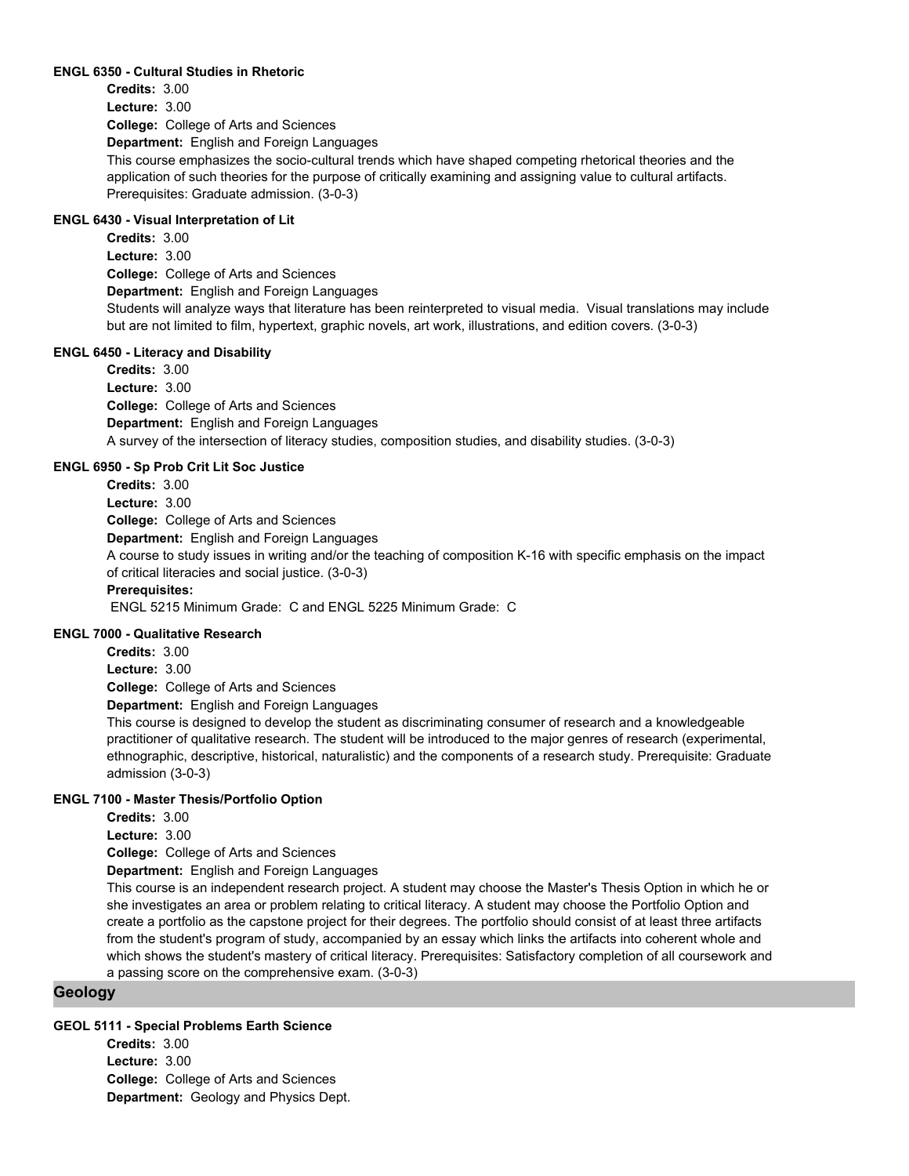#### **ENGL 6350 - Cultural Studies in Rhetoric**

**College:** College of Arts and Sciences **Department:** English and Foreign Languages **Credits:** 3.00 **Lecture:** 3.00 This course emphasizes the socio-cultural trends which have shaped competing rhetorical theories and the application of such theories for the purpose of critically examining and assigning value to cultural artifacts. Prerequisites: Graduate admission. (3-0-3)

## **ENGL 6430 - Visual Interpretation of Lit**

**College:** College of Arts and Sciences **Department:** English and Foreign Languages **Credits:** 3.00 **Lecture:** 3.00 Students will analyze ways that literature has been reinterpreted to visual media. Visual translations may include but are not limited to film, hypertext, graphic novels, art work, illustrations, and edition covers. (3-0-3)

#### **ENGL 6450 - Literacy and Disability**

**College:** College of Arts and Sciences **Department:** English and Foreign Languages **Credits:** 3.00 **Lecture:** 3.00 A survey of the intersection of literacy studies, composition studies, and disability studies. (3-0-3)

#### **ENGL 6950 - Sp Prob Crit Lit Soc Justice**

**College:** College of Arts and Sciences **Department:** English and Foreign Languages **Credits:** 3.00 **Lecture:** 3.00 A course to study issues in writing and/or the teaching of composition K-16 with specific emphasis on the impact of critical literacies and social justice. (3-0-3) **Prerequisites:**  ENGL 5215 Minimum Grade: C and ENGL 5225 Minimum Grade: C

#### **ENGL 7000 - Qualitative Research**

**College:** College of Arts and Sciences **Credits:** 3.00 **Lecture:** 3.00

**Department:** English and Foreign Languages

This course is designed to develop the student as discriminating consumer of research and a knowledgeable practitioner of qualitative research. The student will be introduced to the major genres of research (experimental, ethnographic, descriptive, historical, naturalistic) and the components of a research study. Prerequisite: Graduate admission (3-0-3)

#### **ENGL 7100 - Master Thesis/Portfolio Option**

**Credits:** 3.00

**Lecture:** 3.00

**College:** College of Arts and Sciences

**Department:** English and Foreign Languages

This course is an independent research project. A student may choose the Master's Thesis Option in which he or she investigates an area or problem relating to critical literacy. A student may choose the Portfolio Option and create a portfolio as the capstone project for their degrees. The portfolio should consist of at least three artifacts from the student's program of study, accompanied by an essay which links the artifacts into coherent whole and which shows the student's mastery of critical literacy. Prerequisites: Satisfactory completion of all coursework and a passing score on the comprehensive exam. (3-0-3)

## **Geology**

## **GEOL 5111 - Special Problems Earth Science**

**College:** College of Arts and Sciences **Department:** Geology and Physics Dept. **Credits:** 3.00 **Lecture:** 3.00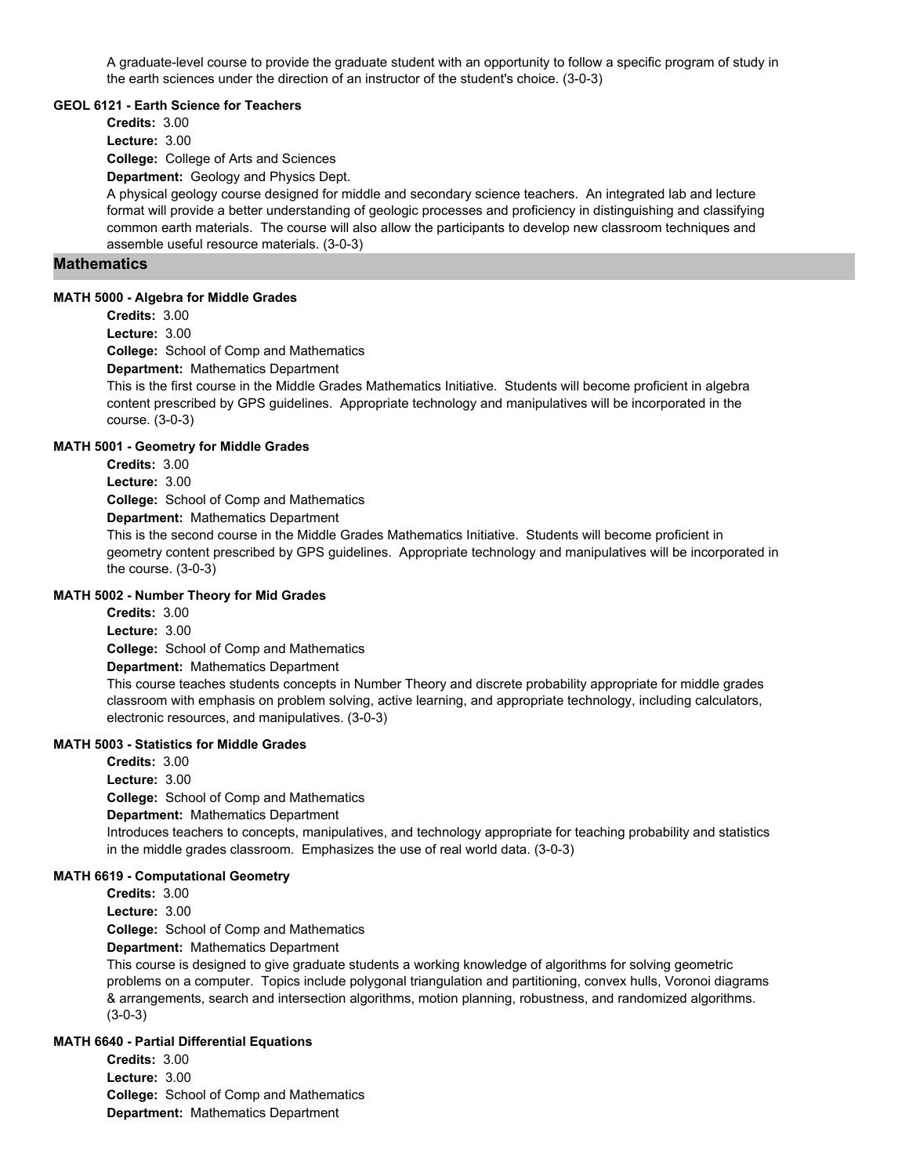A graduate-level course to provide the graduate student with an opportunity to follow a specific program of study in the earth sciences under the direction of an instructor of the student's choice. (3-0-3)

#### **GEOL 6121 - Earth Science for Teachers**

**Credits:** 3.00

**Lecture:** 3.00

**College:** College of Arts and Sciences

**Department:** Geology and Physics Dept.

A physical geology course designed for middle and secondary science teachers. An integrated lab and lecture format will provide a better understanding of geologic processes and proficiency in distinguishing and classifying common earth materials. The course will also allow the participants to develop new classroom techniques and assemble useful resource materials. (3-0-3)

## **Mathematics**

#### **MATH 5000 - Algebra for Middle Grades**

**Credits:** 3.00

**Lecture:** 3.00

**College:** School of Comp and Mathematics

**Department:** Mathematics Department

This is the first course in the Middle Grades Mathematics Initiative. Students will become proficient in algebra content prescribed by GPS guidelines. Appropriate technology and manipulatives will be incorporated in the course. (3-0-3)

#### **MATH 5001 - Geometry for Middle Grades**

**Credits:** 3.00

**Lecture:** 3.00

**College:** School of Comp and Mathematics

**Department:** Mathematics Department

This is the second course in the Middle Grades Mathematics Initiative. Students will become proficient in geometry content prescribed by GPS guidelines. Appropriate technology and manipulatives will be incorporated in the course. (3-0-3)

#### **MATH 5002 - Number Theory for Mid Grades**

**College:** School of Comp and Mathematics **Credits:** 3.00 **Lecture:** 3.00

**Department:** Mathematics Department

This course teaches students concepts in Number Theory and discrete probability appropriate for middle grades classroom with emphasis on problem solving, active learning, and appropriate technology, including calculators, electronic resources, and manipulatives. (3-0-3)

#### **MATH 5003 - Statistics for Middle Grades**

**College:** School of Comp and Mathematics **Department:** Mathematics Department **Credits:** 3.00 **Lecture:** 3.00 Introduces teachers to concepts, manipulatives, and technology appropriate for teaching probability and statistics in the middle grades classroom. Emphasizes the use of real world data. (3-0-3)

#### **MATH 6619 - Computational Geometry**

**Credits:** 3.00

**Lecture:** 3.00

**College:** School of Comp and Mathematics

**Department:** Mathematics Department

This course is designed to give graduate students a working knowledge of algorithms for solving geometric problems on a computer. Topics include polygonal triangulation and partitioning, convex hulls, Voronoi diagrams & arrangements, search and intersection algorithms, motion planning, robustness, and randomized algorithms. (3-0-3)

#### **MATH 6640 - Partial Differential Equations**

**College:** School of Comp and Mathematics **Department:** Mathematics Department **Credits:** 3.00 **Lecture:** 3.00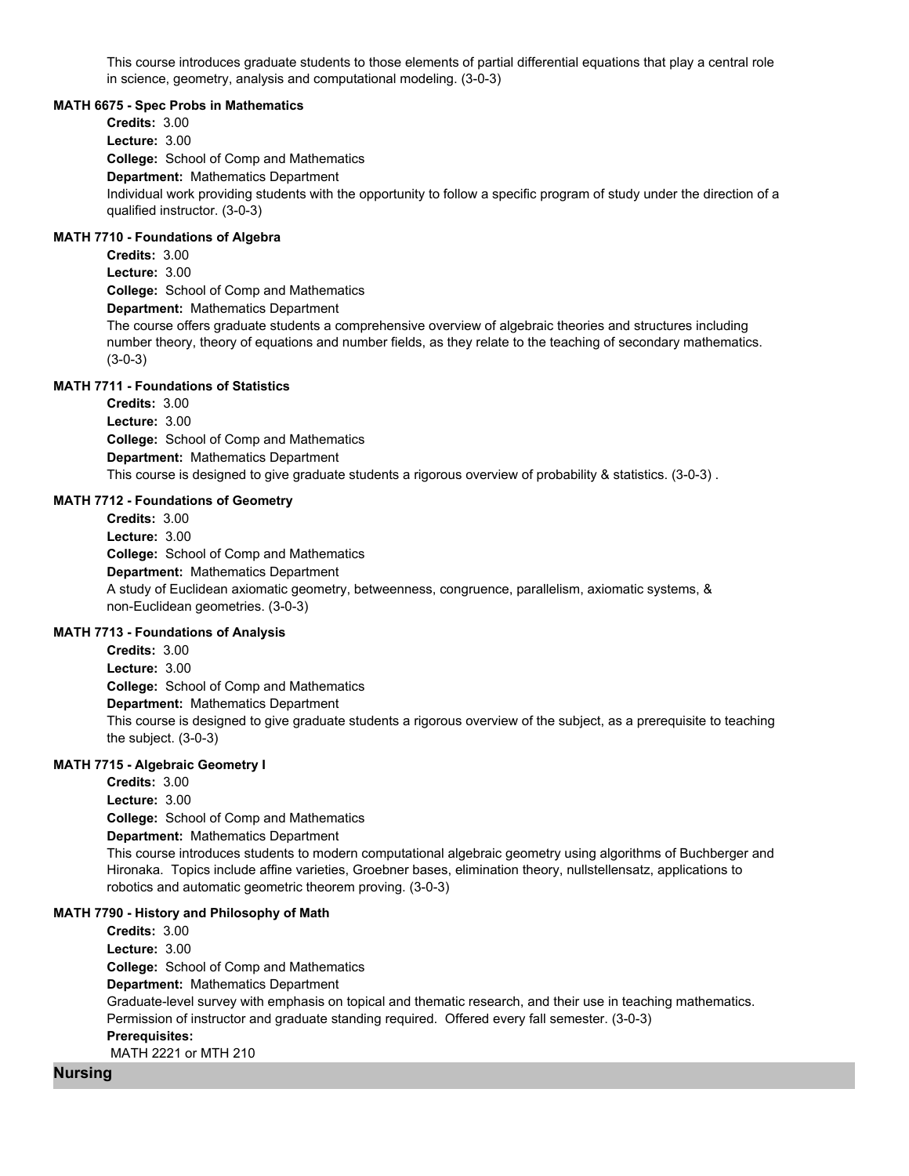This course introduces graduate students to those elements of partial differential equations that play a central role in science, geometry, analysis and computational modeling. (3-0-3)

#### **MATH 6675 - Spec Probs in Mathematics**

**College:** School of Comp and Mathematics **Department:** Mathematics Department **Credits:** 3.00 **Lecture:** 3.00 Individual work providing students with the opportunity to follow a specific program of study under the direction of a qualified instructor. (3-0-3)

## **MATH 7710 - Foundations of Algebra**

**College:** School of Comp and Mathematics **Department:** Mathematics Department **Credits:** 3.00 **Lecture:** 3.00 The course offers graduate students a comprehensive overview of algebraic theories and structures including number theory, theory of equations and number fields, as they relate to the teaching of secondary mathematics. (3-0-3)

## **MATH 7711 - Foundations of Statistics**

**College:** School of Comp and Mathematics **Department:** Mathematics Department **Credits:** 3.00 **Lecture:** 3.00 This course is designed to give graduate students a rigorous overview of probability & statistics. (3-0-3) .

#### **MATH 7712 - Foundations of Geometry**

**College:** School of Comp and Mathematics **Department:** Mathematics Department **Credits:** 3.00 **Lecture:** 3.00 A study of Euclidean axiomatic geometry, betweenness, congruence, parallelism, axiomatic systems, & non-Euclidean geometries. (3-0-3)

#### **MATH 7713 - Foundations of Analysis**

**College:** School of Comp and Mathematics **Department:** Mathematics Department **Credits:** 3.00 **Lecture:** 3.00 This course is designed to give graduate students a rigorous overview of the subject, as a prerequisite to teaching the subject. (3-0-3)

#### **MATH 7715 - Algebraic Geometry I**

**College:** School of Comp and Mathematics **Department:** Mathematics Department **Credits:** 3.00 **Lecture:** 3.00 This course introduces students to modern computational algebraic geometry using algorithms of Buchberger and Hironaka. Topics include affine varieties, Groebner bases, elimination theory, nullstellensatz, applications to robotics and automatic geometric theorem proving. (3-0-3)

#### **MATH 7790 - History and Philosophy of Math**

**College:** School of Comp and Mathematics **Department:** Mathematics Department **Credits:** 3.00 **Lecture:** 3.00 Graduate-level survey with emphasis on topical and thematic research, and their use in teaching mathematics. Permission of instructor and graduate standing required. Offered every fall semester. (3-0-3) **Prerequisites:**  MATH 2221 or MTH 210

#### **Nursing**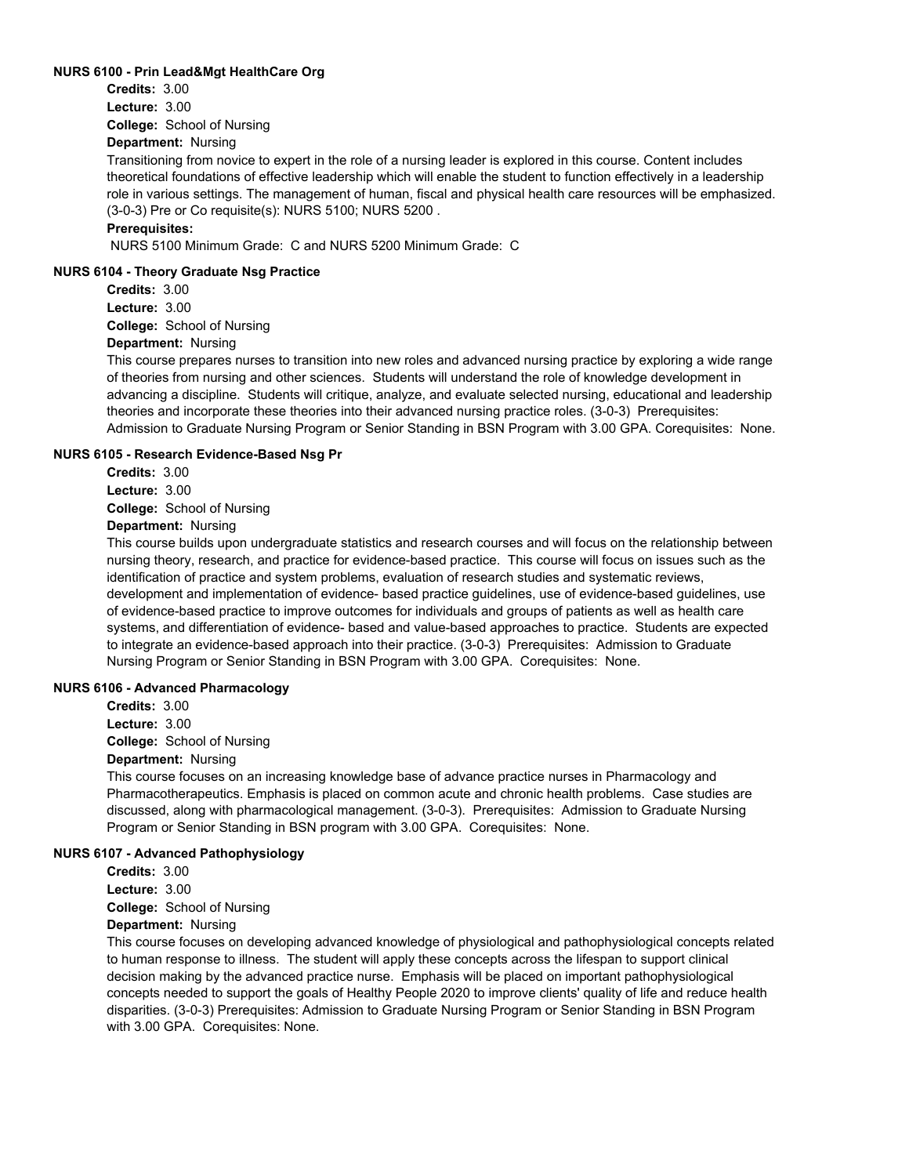#### **NURS 6100 - Prin Lead&Mgt HealthCare Org**

**College:** School of Nursing **Credits:** 3.00 **Lecture:** 3.00

#### **Department:** Nursing

Transitioning from novice to expert in the role of a nursing leader is explored in this course. Content includes theoretical foundations of effective leadership which will enable the student to function effectively in a leadership role in various settings. The management of human, fiscal and physical health care resources will be emphasized. (3-0-3) Pre or Co requisite(s): NURS 5100; NURS 5200 .

## **Prerequisites:**

NURS 5100 Minimum Grade: C and NURS 5200 Minimum Grade: C

#### **NURS 6104 - Theory Graduate Nsg Practice**

**College:** School of Nursing **Credits:** 3.00 **Lecture:** 3.00

## **Department:** Nursing

This course prepares nurses to transition into new roles and advanced nursing practice by exploring a wide range of theories from nursing and other sciences. Students will understand the role of knowledge development in advancing a discipline. Students will critique, analyze, and evaluate selected nursing, educational and leadership theories and incorporate these theories into their advanced nursing practice roles. (3-0-3) Prerequisites: Admission to Graduate Nursing Program or Senior Standing in BSN Program with 3.00 GPA. Corequisites: None.

#### **NURS 6105 - Research Evidence-Based Nsg Pr**

**College:** School of Nursing **Credits:** 3.00 **Lecture:** 3.00

# **Department:** Nursing

This course builds upon undergraduate statistics and research courses and will focus on the relationship between nursing theory, research, and practice for evidence-based practice. This course will focus on issues such as the identification of practice and system problems, evaluation of research studies and systematic reviews, development and implementation of evidence- based practice guidelines, use of evidence-based guidelines, use of evidence-based practice to improve outcomes for individuals and groups of patients as well as health care systems, and differentiation of evidence- based and value-based approaches to practice. Students are expected to integrate an evidence-based approach into their practice. (3-0-3) Prerequisites: Admission to Graduate Nursing Program or Senior Standing in BSN Program with 3.00 GPA. Corequisites: None.

#### **NURS 6106 - Advanced Pharmacology**

**College:** School of Nursing **Credits:** 3.00 **Lecture:** 3.00

## **Department:** Nursing

This course focuses on an increasing knowledge base of advance practice nurses in Pharmacology and Pharmacotherapeutics. Emphasis is placed on common acute and chronic health problems. Case studies are discussed, along with pharmacological management. (3-0-3). Prerequisites: Admission to Graduate Nursing Program or Senior Standing in BSN program with 3.00 GPA. Corequisites: None.

#### **NURS 6107 - Advanced Pathophysiology**

**Credits:** 3.00

**Lecture:** 3.00

**College:** School of Nursing

## **Department:** Nursing

This course focuses on developing advanced knowledge of physiological and pathophysiological concepts related to human response to illness. The student will apply these concepts across the lifespan to support clinical decision making by the advanced practice nurse. Emphasis will be placed on important pathophysiological concepts needed to support the goals of Healthy People 2020 to improve clients' quality of life and reduce health disparities. (3-0-3) Prerequisites: Admission to Graduate Nursing Program or Senior Standing in BSN Program with 3.00 GPA. Corequisites: None.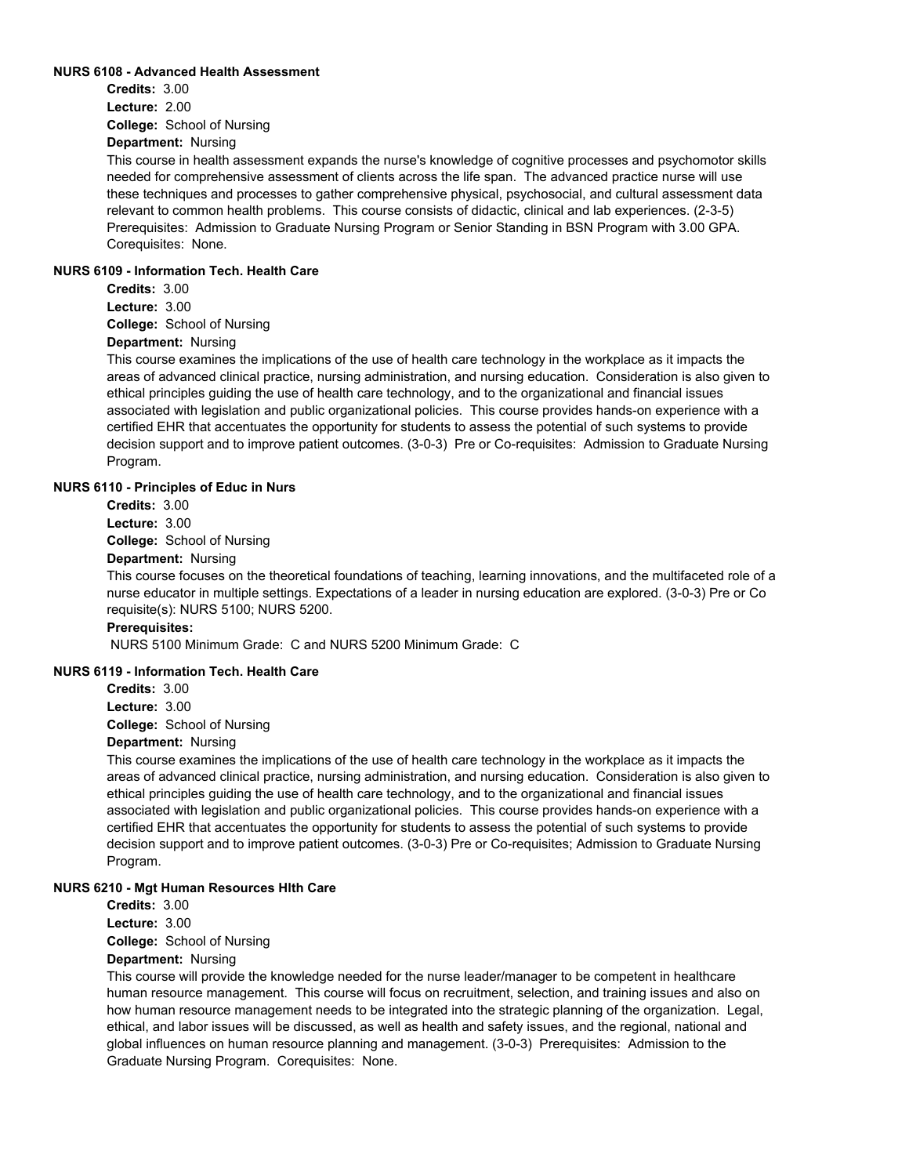#### **NURS 6108 - Advanced Health Assessment**

**College:** School of Nursing **Credits:** 3.00 **Lecture:** 2.00

**Department:** Nursing

This course in health assessment expands the nurse's knowledge of cognitive processes and psychomotor skills needed for comprehensive assessment of clients across the life span. The advanced practice nurse will use these techniques and processes to gather comprehensive physical, psychosocial, and cultural assessment data relevant to common health problems. This course consists of didactic, clinical and lab experiences. (2-3-5) Prerequisites: Admission to Graduate Nursing Program or Senior Standing in BSN Program with 3.00 GPA. Corequisites: None.

#### **NURS 6109 - Information Tech. Health Care**

**Credits:** 3.00 **Lecture:** 3.00

**College:** School of Nursing

## **Department:** Nursing

This course examines the implications of the use of health care technology in the workplace as it impacts the areas of advanced clinical practice, nursing administration, and nursing education. Consideration is also given to ethical principles guiding the use of health care technology, and to the organizational and financial issues associated with legislation and public organizational policies. This course provides hands-on experience with a certified EHR that accentuates the opportunity for students to assess the potential of such systems to provide decision support and to improve patient outcomes. (3-0-3) Pre or Co-requisites: Admission to Graduate Nursing Program.

#### **NURS 6110 - Principles of Educ in Nurs**

**Credits:** 3.00

**Lecture:** 3.00

**College:** School of Nursing

## **Department:** Nursing

This course focuses on the theoretical foundations of teaching, learning innovations, and the multifaceted role of a nurse educator in multiple settings. Expectations of a leader in nursing education are explored. (3-0-3) Pre or Co requisite(s): NURS 5100; NURS 5200.

## **Prerequisites:**

NURS 5100 Minimum Grade: C and NURS 5200 Minimum Grade: C

#### **NURS 6119 - Information Tech. Health Care**

**Credits:** 3.00

**Lecture:** 3.00

**College:** School of Nursing

## **Department:** Nursing

This course examines the implications of the use of health care technology in the workplace as it impacts the areas of advanced clinical practice, nursing administration, and nursing education. Consideration is also given to ethical principles guiding the use of health care technology, and to the organizational and financial issues associated with legislation and public organizational policies. This course provides hands-on experience with a certified EHR that accentuates the opportunity for students to assess the potential of such systems to provide decision support and to improve patient outcomes. (3-0-3) Pre or Co-requisites; Admission to Graduate Nursing Program.

#### **NURS 6210 - Mgt Human Resources Hlth Care**

**Credits:** 3.00

**Lecture:** 3.00

**College:** School of Nursing

#### **Department:** Nursing

This course will provide the knowledge needed for the nurse leader/manager to be competent in healthcare human resource management. This course will focus on recruitment, selection, and training issues and also on how human resource management needs to be integrated into the strategic planning of the organization. Legal, ethical, and labor issues will be discussed, as well as health and safety issues, and the regional, national and global influences on human resource planning and management. (3-0-3) Prerequisites: Admission to the Graduate Nursing Program. Corequisites: None.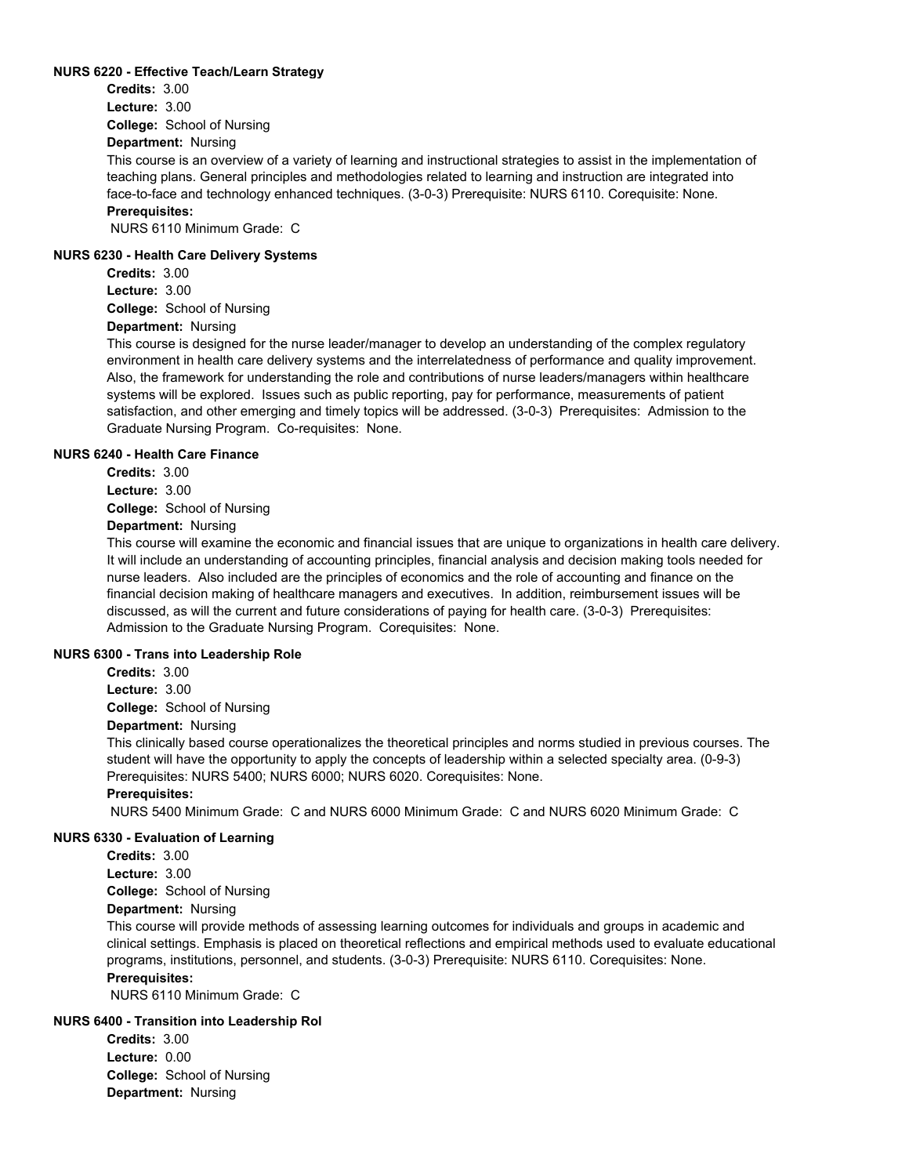#### **NURS 6220 - Effective Teach/Learn Strategy**

**College:** School of Nursing **Credits:** 3.00 **Lecture:** 3.00

## **Department:** Nursing

This course is an overview of a variety of learning and instructional strategies to assist in the implementation of teaching plans. General principles and methodologies related to learning and instruction are integrated into face-to-face and technology enhanced techniques. (3-0-3) Prerequisite: NURS 6110. Corequisite: None. **Prerequisites:** 

NURS 6110 Minimum Grade: C

#### **NURS 6230 - Health Care Delivery Systems**

**College:** School of Nursing **Credits:** 3.00 **Lecture:** 3.00

# **Department:** Nursing

This course is designed for the nurse leader/manager to develop an understanding of the complex regulatory environment in health care delivery systems and the interrelatedness of performance and quality improvement. Also, the framework for understanding the role and contributions of nurse leaders/managers within healthcare systems will be explored. Issues such as public reporting, pay for performance, measurements of patient satisfaction, and other emerging and timely topics will be addressed. (3-0-3) Prerequisites: Admission to the Graduate Nursing Program. Co-requisites: None.

#### **NURS 6240 - Health Care Finance**

**College:** School of Nursing **Credits:** 3.00 **Lecture:** 3.00

# **Department:** Nursing

This course will examine the economic and financial issues that are unique to organizations in health care delivery. It will include an understanding of accounting principles, financial analysis and decision making tools needed for nurse leaders. Also included are the principles of economics and the role of accounting and finance on the financial decision making of healthcare managers and executives. In addition, reimbursement issues will be discussed, as will the current and future considerations of paying for health care. (3-0-3) Prerequisites: Admission to the Graduate Nursing Program. Corequisites: None.

#### **NURS 6300 - Trans into Leadership Role**

**Credits:** 3.00 **Lecture:** 3.00

**College:** School of Nursing

## **Department:** Nursing

This clinically based course operationalizes the theoretical principles and norms studied in previous courses. The student will have the opportunity to apply the concepts of leadership within a selected specialty area. (0-9-3) Prerequisites: NURS 5400; NURS 6000; NURS 6020. Corequisites: None.

## **Prerequisites:**

NURS 5400 Minimum Grade: C and NURS 6000 Minimum Grade: C and NURS 6020 Minimum Grade: C

#### **NURS 6330 - Evaluation of Learning**

**College:** School of Nursing **Department:** Nursing **Credits:** 3.00 **Lecture:** 3.00

This course will provide methods of assessing learning outcomes for individuals and groups in academic and clinical settings. Emphasis is placed on theoretical reflections and empirical methods used to evaluate educational programs, institutions, personnel, and students. (3-0-3) Prerequisite: NURS 6110. Corequisites: None. **Prerequisites:** 

NURS 6110 Minimum Grade: C

## **NURS 6400 - Transition into Leadership Rol**

**College:** School of Nursing **Department:** Nursing **Credits:** 3.00 **Lecture:** 0.00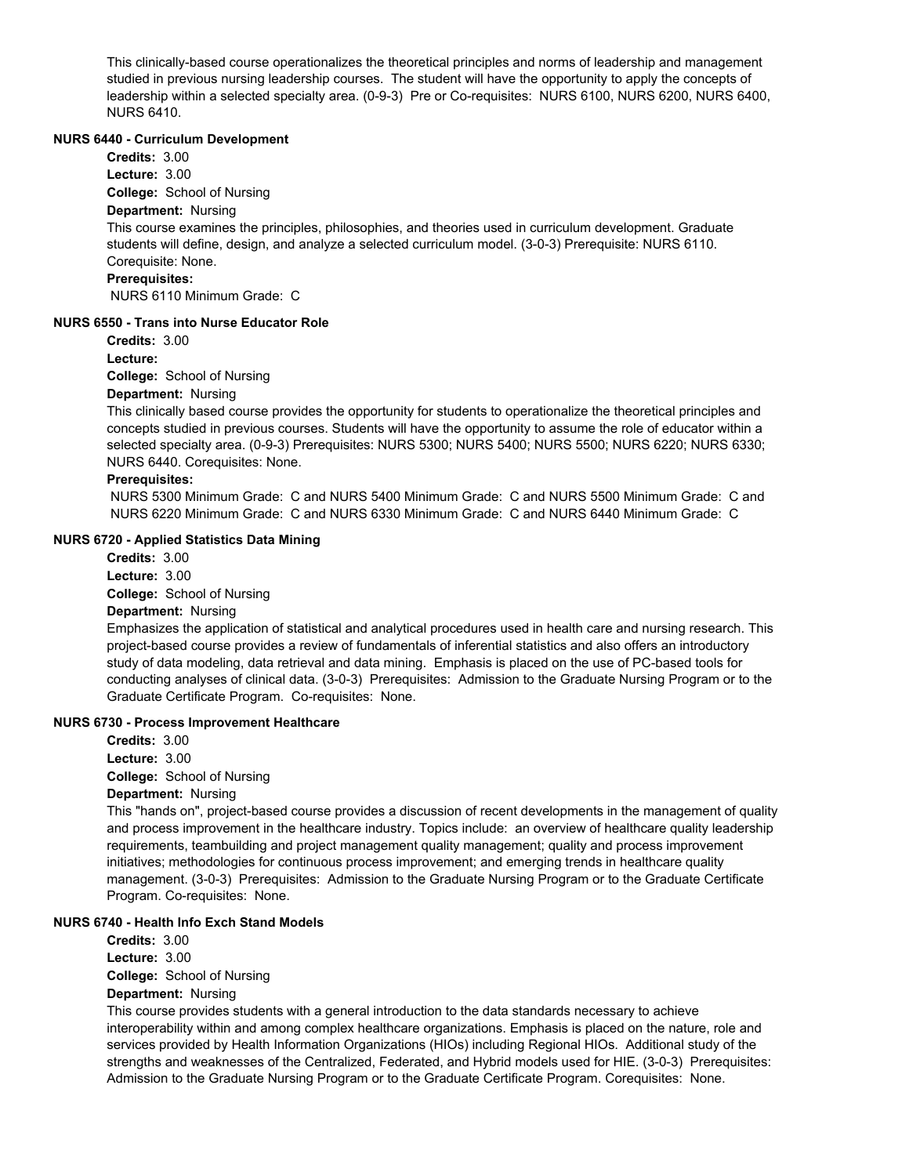This clinically-based course operationalizes the theoretical principles and norms of leadership and management studied in previous nursing leadership courses. The student will have the opportunity to apply the concepts of leadership within a selected specialty area. (0-9-3) Pre or Co-requisites: NURS 6100, NURS 6200, NURS 6400, NURS 6410.

#### **NURS 6440 - Curriculum Development**

**Credits:** 3.00 **Lecture:** 3.00

**College:** School of Nursing

## **Department:** Nursing

This course examines the principles, philosophies, and theories used in curriculum development. Graduate students will define, design, and analyze a selected curriculum model. (3-0-3) Prerequisite: NURS 6110. Corequisite: None.

#### **Prerequisites:**

NURS 6110 Minimum Grade: C

#### **NURS 6550 - Trans into Nurse Educator Role**

**Credits:** 3.00

**Lecture:**

**College:** School of Nursing

#### **Department:** Nursing

This clinically based course provides the opportunity for students to operationalize the theoretical principles and concepts studied in previous courses. Students will have the opportunity to assume the role of educator within a selected specialty area. (0-9-3) Prerequisites: NURS 5300; NURS 5400; NURS 5500; NURS 6220; NURS 6330; NURS 6440. Corequisites: None.

#### **Prerequisites:**

 NURS 5300 Minimum Grade: C and NURS 5400 Minimum Grade: C and NURS 5500 Minimum Grade: C and NURS 6220 Minimum Grade: C and NURS 6330 Minimum Grade: C and NURS 6440 Minimum Grade: C

#### **NURS 6720 - Applied Statistics Data Mining**

**College:** School of Nursing **Department:** Nursing **Credits:** 3.00 **Lecture:** 3.00

Emphasizes the application of statistical and analytical procedures used in health care and nursing research. This project-based course provides a review of fundamentals of inferential statistics and also offers an introductory study of data modeling, data retrieval and data mining. Emphasis is placed on the use of PC-based tools for conducting analyses of clinical data. (3-0-3) Prerequisites: Admission to the Graduate Nursing Program or to the Graduate Certificate Program. Co-requisites: None.

#### **NURS 6730 - Process Improvement Healthcare**

**College:** School of Nursing **Department:** Nursing **Credits:** 3.00 **Lecture:** 3.00

This "hands on", project-based course provides a discussion of recent developments in the management of quality and process improvement in the healthcare industry. Topics include: an overview of healthcare quality leadership requirements, teambuilding and project management quality management; quality and process improvement initiatives; methodologies for continuous process improvement; and emerging trends in healthcare quality management. (3-0-3) Prerequisites: Admission to the Graduate Nursing Program or to the Graduate Certificate Program. Co-requisites: None.

## **NURS 6740 - Health Info Exch Stand Models**

**College:** School of Nursing **Department:** Nursing **Credits:** 3.00 **Lecture:** 3.00

This course provides students with a general introduction to the data standards necessary to achieve interoperability within and among complex healthcare organizations. Emphasis is placed on the nature, role and services provided by Health Information Organizations (HIOs) including Regional HIOs. Additional study of the strengths and weaknesses of the Centralized, Federated, and Hybrid models used for HIE. (3-0-3) Prerequisites: Admission to the Graduate Nursing Program or to the Graduate Certificate Program. Corequisites: None.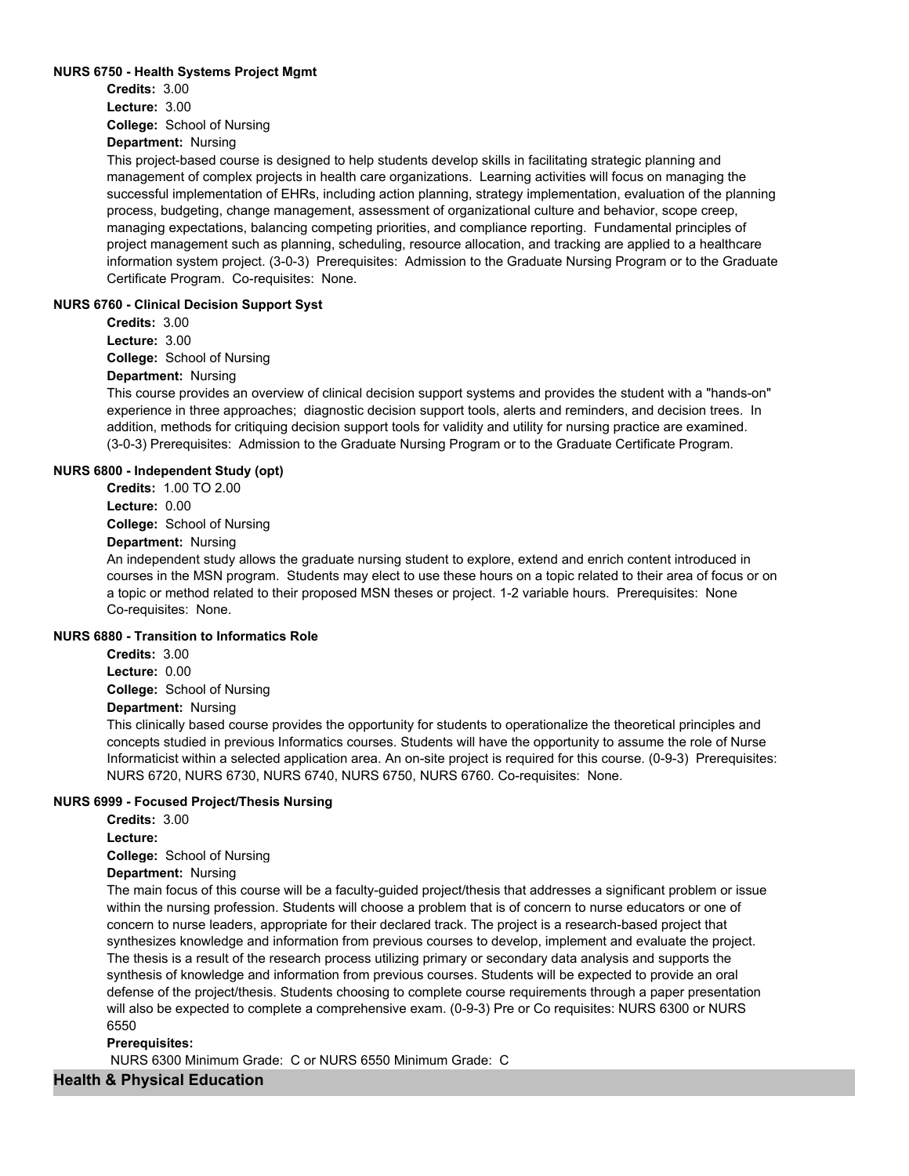#### **NURS 6750 - Health Systems Project Mgmt**

**College:** School of Nursing **Credits:** 3.00 **Lecture:** 3.00

**Department:** Nursing

This project-based course is designed to help students develop skills in facilitating strategic planning and management of complex projects in health care organizations. Learning activities will focus on managing the successful implementation of EHRs, including action planning, strategy implementation, evaluation of the planning process, budgeting, change management, assessment of organizational culture and behavior, scope creep, managing expectations, balancing competing priorities, and compliance reporting. Fundamental principles of project management such as planning, scheduling, resource allocation, and tracking are applied to a healthcare information system project. (3-0-3) Prerequisites: Admission to the Graduate Nursing Program or to the Graduate Certificate Program. Co-requisites: None.

#### **NURS 6760 - Clinical Decision Support Syst**

**College:** School of Nursing **Credits:** 3.00 **Lecture:** 3.00

# **Department:** Nursing

This course provides an overview of clinical decision support systems and provides the student with a "hands-on" experience in three approaches; diagnostic decision support tools, alerts and reminders, and decision trees. In addition, methods for critiquing decision support tools for validity and utility for nursing practice are examined. (3-0-3) Prerequisites: Admission to the Graduate Nursing Program or to the Graduate Certificate Program.

#### **NURS 6800 - Independent Study (opt)**

**College:** School of Nursing **Credits:** 1.00 TO 2.00 **Lecture:** 0.00

## **Department:** Nursing

An independent study allows the graduate nursing student to explore, extend and enrich content introduced in courses in the MSN program. Students may elect to use these hours on a topic related to their area of focus or on a topic or method related to their proposed MSN theses or project. 1-2 variable hours. Prerequisites: None Co-requisites: None.

## **NURS 6880 - Transition to Informatics Role**

**College:** School of Nursing **Credits:** 3.00 **Lecture:** 0.00

## **Department:** Nursing

This clinically based course provides the opportunity for students to operationalize the theoretical principles and concepts studied in previous Informatics courses. Students will have the opportunity to assume the role of Nurse Informaticist within a selected application area. An on-site project is required for this course. (0-9-3) Prerequisites: NURS 6720, NURS 6730, NURS 6740, NURS 6750, NURS 6760. Co-requisites: None.

#### **NURS 6999 - Focused Project/Thesis Nursing**

**Credits:** 3.00

**Lecture:**

**College:** School of Nursing

## **Department:** Nursing

The main focus of this course will be a faculty-guided project/thesis that addresses a significant problem or issue within the nursing profession. Students will choose a problem that is of concern to nurse educators or one of concern to nurse leaders, appropriate for their declared track. The project is a research-based project that synthesizes knowledge and information from previous courses to develop, implement and evaluate the project. The thesis is a result of the research process utilizing primary or secondary data analysis and supports the synthesis of knowledge and information from previous courses. Students will be expected to provide an oral defense of the project/thesis. Students choosing to complete course requirements through a paper presentation will also be expected to complete a comprehensive exam. (0-9-3) Pre or Co requisites: NURS 6300 or NURS 6550

#### **Prerequisites:**

NURS 6300 Minimum Grade: C or NURS 6550 Minimum Grade: C

## **Health & Physical Education**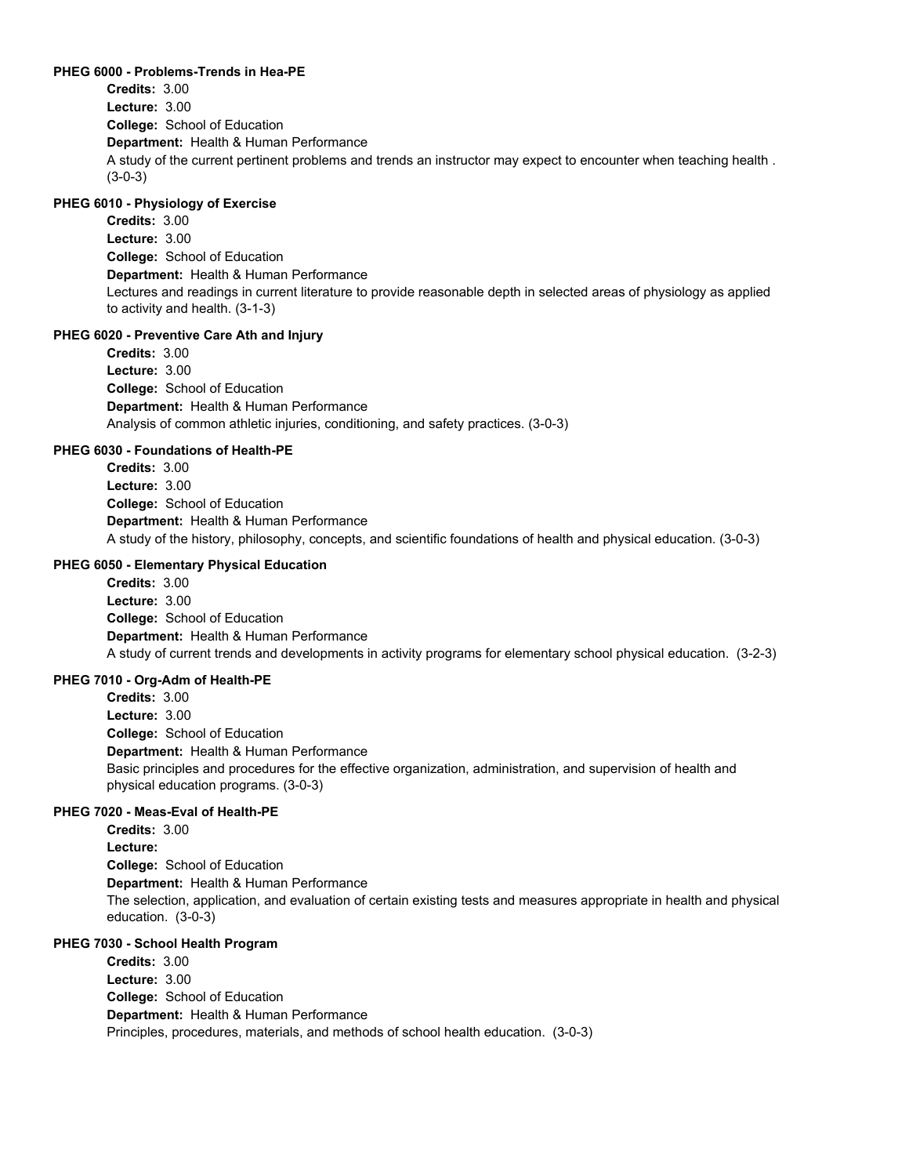#### **PHEG 6000 - Problems-Trends in Hea-PE**

**College:** School of Education **Department:** Health & Human Performance **Credits:** 3.00 **Lecture:** 3.00 A study of the current pertinent problems and trends an instructor may expect to encounter when teaching health . (3-0-3)

## **PHEG 6010 - Physiology of Exercise**

**College:** School of Education **Department:** Health & Human Performance **Credits:** 3.00 **Lecture:** 3.00 Lectures and readings in current literature to provide reasonable depth in selected areas of physiology as applied to activity and health. (3-1-3)

#### **PHEG 6020 - Preventive Care Ath and Injury**

**College:** School of Education **Department:** Health & Human Performance **Credits:** 3.00 **Lecture:** 3.00 Analysis of common athletic injuries, conditioning, and safety practices. (3-0-3)

#### **PHEG 6030 - Foundations of Health-PE**

**College:** School of Education **Department:** Health & Human Performance **Credits:** 3.00 **Lecture:** 3.00 A study of the history, philosophy, concepts, and scientific foundations of health and physical education. (3-0-3)

#### **PHEG 6050 - Elementary Physical Education**

**College:** School of Education **Department:** Health & Human Performance **Credits:** 3.00 **Lecture:** 3.00 A study of current trends and developments in activity programs for elementary school physical education. (3-2-3)

#### **PHEG 7010 - Org-Adm of Health-PE**

**College:** School of Education **Department:** Health & Human Performance **Credits:** 3.00 **Lecture:** 3.00 Basic principles and procedures for the effective organization, administration, and supervision of health and physical education programs. (3-0-3)

#### **PHEG 7020 - Meas-Eval of Health-PE**

**College:** School of Education **Department:** Health & Human Performance **Credits:** 3.00 **Lecture:** The selection, application, and evaluation of certain existing tests and measures appropriate in health and physical education. (3-0-3)

#### **PHEG 7030 - School Health Program**

**College:** School of Education **Department:** Health & Human Performance **Credits:** 3.00 **Lecture:** 3.00 Principles, procedures, materials, and methods of school health education. (3-0-3)